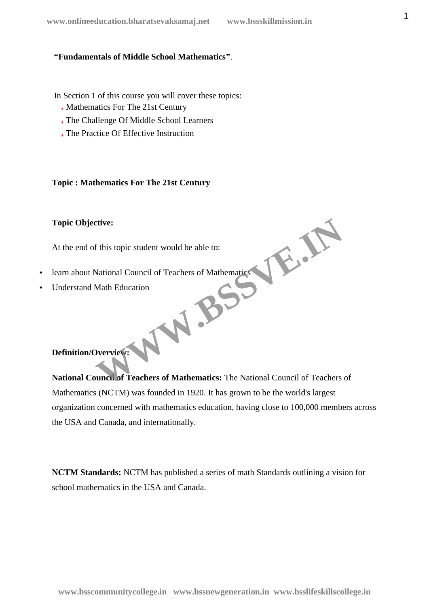### **"Fundamentals of Middle School Mathematics"**.

In Section 1 of this course you will cover these topics:

- Mathematics For The 21st Century
- The Challenge Of Middle School Learners
- The Practice Of Effective Instruction

### **Topic : Mathematics For The 21st Century**

### **Topic Objective:**

At the end of this topic student would be able to:

- learn about National Council of Teachers of Mathematics
- Understand Math Education

## **Definition/Overview:**

**National Council of Teachers of Mathematics:** The National Council of Teachers of Mathematics (NCTM) was founded in 1920. It has grown to be the world's largest organization concerned with mathematics education, having close to 100,000 members across the USA and Canada, and internationally. Ferrits this topic student would be able to:<br>
National Council of Teachers of Mathematics<br>
Math Education<br>
News:<br>
Newsletter:<br> **Were the State of Mathematics:** The National Council of Teachers<br>
Teachers of Mathematics: The

**NCTM Standards:** NCTM has published a series of math Standards outlining a vision for school mathematics in the USA and Canada.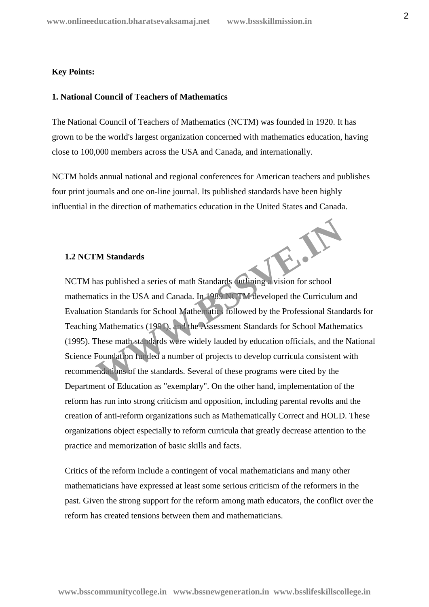### **Key Points:**

### **1. National Council of Teachers of Mathematics**

The National Council of Teachers of Mathematics (NCTM) was founded in 1920. It has grown to be the world's largest organization concerned with mathematics education, having close to 100,000 members across the USA and Canada, and internationally.

NCTM holds annual national and regional conferences for American teachers and publishes four print journals and one on-line journal. Its published standards have been highly influential in the direction of mathematics education in the United States and Canada.

## **1.2 NCTM Standards**

1.2 NCTM Standards<br>NCTM has published a series of math Standards outlining a vision for school mathematics in the USA and Canada. In 1989 NCTM developed the Curriculum and Evaluation Standards for School Mathematics followed by the Professional Standards for Teaching Mathematics (1991), and the Assessment Standards for School Mathematics (1995). These math standards were widely lauded by education officials, and the National Science Foundation funded a number of projects to develop curricula consistent with recommendations of the standards. Several of these programs were cited by the Department of Education as "exemplary". On the other hand, implementation of the reform has run into strong criticism and opposition, including parental revolts and the creation of anti-reform organizations such as Mathematically Correct and HOLD. These organizations object especially to reform curricula that greatly decrease attention to the practice and memorization of basic skills and facts. **Example 18 Standards**<br>
Mass published a series of math Standards **outlining** a vision for school<br>
attics in the USA and Canada. In 1989 NCTM developed the Curriculum<br>
Don Standards for School Mathematics followed by the P

Critics of the reform include a contingent of vocal mathematicians and many other mathematicians have expressed at least some serious criticism of the reformers in the past. Given the strong support for the reform among math educators, the conflict over the reform has created tensions between them and mathematicians.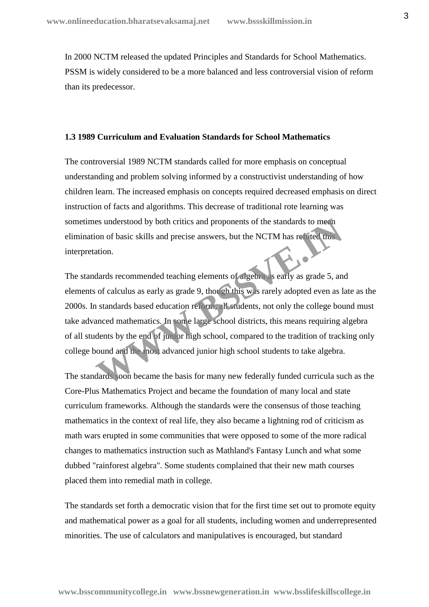In 2000 NCTM released the updated Principles and Standards for School Mathematics. PSSM is widely considered to be a more balanced and less controversial vision of reform than its predecessor.

### **1.3 1989 Curriculum and Evaluation Standards for School Mathematics**

The controversial 1989 NCTM standards called for more emphasis on conceptual understanding and problem solving informed by a constructivist understanding of how children learn. The increased emphasis on concepts required decreased emphasis on direct instruction of facts and algorithms. This decrease of traditional rote learning was sometimes understood by both critics and proponents of the standards to mean elimination of basic skills and precise answers, but the NCTM has refuted this interpretation.

The standards recommended teaching elements of algebra as early as grade 5, and elements of calculus as early as grade 9, though this was rarely adopted even as late as the 2000s. In standards based education reform, all students, not only the college bound must take advanced mathematics. In some large school districts, this means requiring algebra of all students by the end of junior high school, compared to the tradition of tracking only college bound and the most advanced junior high school students to take algebra. es understood by both critics and proponents of the standards to mean<br>tion of basic skills and precise answers, but the NCTM has ref teed thus<br>ation.<br>dards recommended teaching elements of algebra as early as grade 5, an<br>i

The standards soon became the basis for many new federally funded curricula such as the Core-Plus Mathematics Project and became the foundation of many local and state curriculum frameworks. Although the standards were the consensus of those teaching mathematics in the context of real life, they also became a lightning rod of criticism as math wars erupted in some communities that were opposed to some of the more radical changes to mathematics instruction such as Mathland's Fantasy Lunch and what some dubbed "rainforest algebra". Some students complained that their new math courses placed them into remedial math in college.

The standards set forth a democratic vision that for the first time set out to promote equity and mathematical power as a goal for all students, including women and underrepresented minorities. The use of calculators and manipulatives is encouraged, but standard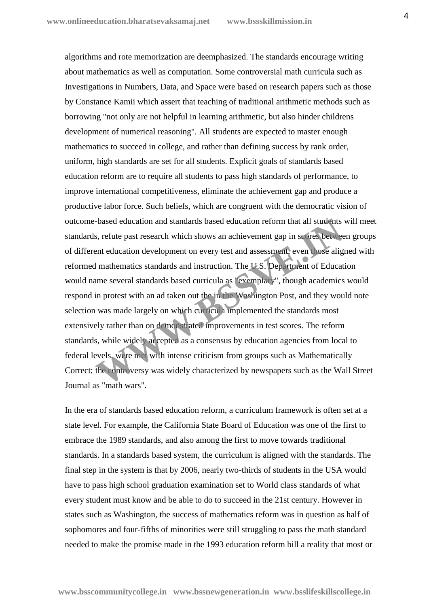algorithms and rote memorization are deemphasized. The standards encourage writing about mathematics as well as computation. Some controversial math curricula such as Investigations in Numbers, Data, and Space were based on research papers such as those by Constance Kamii which assert that teaching of traditional arithmetic methods such as borrowing "not only are not helpful in learning arithmetic, but also hinder childrens development of numerical reasoning". All students are expected to master enough mathematics to succeed in college, and rather than defining success by rank order, uniform, high standards are set for all students. Explicit goals of standards based education reform are to require all students to pass high standards of performance, to improve international competitiveness, eliminate the achievement gap and produce a productive labor force. Such beliefs, which are congruent with the democratic vision of outcome-based education and standards based education reform that all students will meet standards, refute past research which shows an achievement gap in scores between groups of different education development on every test and assessment, even those aligned with reformed mathematics standards and instruction. The U.S. Department of Education would name several standards based curricula as "exemplary", though academics would respond in protest with an ad taken out the in the Washington Post, and they would note selection was made largely on which curricula implemented the standards most extensively rather than on demonstrated improvements in test scores. The reform standards, while widely accepted as a consensus by education agencies from local to federal levels, were met with intense criticism from groups such as Mathematically Correct; the controversy was widely characterized by newspapers such as the Wall Street Journal as "math wars". -based education and standards based education reform that all students<br>s, refute past research which shows an achievement gap in section entert<br>entert education development on every test and assessment, even those alig<br>if

In the era of standards based education reform, a curriculum framework is often set at a state level. For example, the California State Board of Education was one of the first to embrace the 1989 standards, and also among the first to move towards traditional standards. In a standards based system, the curriculum is aligned with the standards. The final step in the system is that by 2006, nearly two-thirds of students in the USA would have to pass high school graduation examination set to World class standards of what every student must know and be able to do to succeed in the 21st century. However in states such as Washington, the success of mathematics reform was in question as half of sophomores and four-fifths of minorities were still struggling to pass the math standard needed to make the promise made in the 1993 education reform bill a reality that most or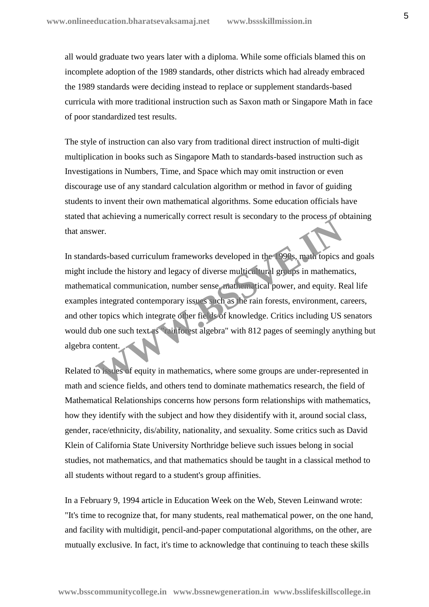all would graduate two years later with a diploma. While some officials blamed this on incomplete adoption of the 1989 standards, other districts which had already embraced the 1989 standards were deciding instead to replace or supplement standards-based curricula with more traditional instruction such as Saxon math or Singapore Math in face of poor standardized test results.

The style of instruction can also vary from traditional direct instruction of multi-digit multiplication in books such as Singapore Math to standards-based instruction such as Investigations in Numbers, Time, and Space which may omit instruction or even discourage use of any standard calculation algorithm or method in favor of guiding students to invent their own mathematical algorithms. Some education officials have stated that achieving a numerically correct result is secondary to the process of obtaining that answer.

In standards-based curriculum frameworks developed in the 1990s, math topics and goals might include the history and legacy of diverse multicultural groups in mathematics, mathematical communication, number sense, mathematical power, and equity. Real life examples integrated contemporary issues such as the rain forests, environment, careers, and other topics which integrate other fields of knowledge. Critics including US senators would dub one such text as "rainforest algebra" with 812 pages of seemingly anything but algebra content. and anti-right indicate the secondary of the 1990s, math topics and<br>transfer and the interval properties and the topics and the interval groups in mathematical communication, number sense mathematical power, and equity. R<br>

Related to issues of equity in mathematics, where some groups are under-represented in math and science fields, and others tend to dominate mathematics research, the field of Mathematical Relationships concerns how persons form relationships with mathematics, how they identify with the subject and how they disidentify with it, around social class, gender, race/ethnicity, dis/ability, nationality, and sexuality. Some critics such as David Klein of California State University Northridge believe such issues belong in social studies, not mathematics, and that mathematics should be taught in a classical method to all students without regard to a student's group affinities.

In a February 9, 1994 article in Education Week on the Web, Steven Leinwand wrote: "It's time to recognize that, for many students, real mathematical power, on the one hand, and facility with multidigit, pencil-and-paper computational algorithms, on the other, are mutually exclusive. In fact, it's time to acknowledge that continuing to teach these skills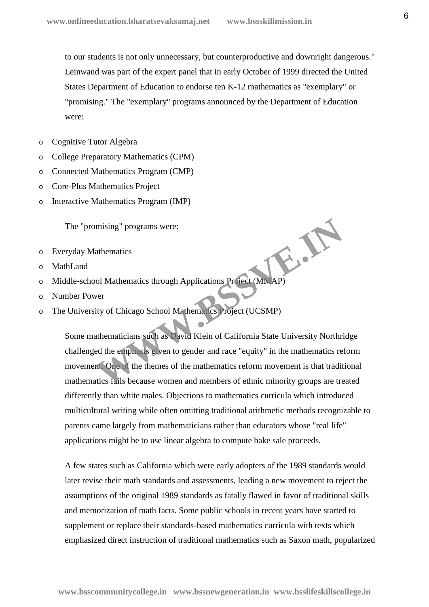to our students is not only unnecessary, but counterproductive and downright dangerous." Leinwand was part of the expert panel that in early October of 1999 directed the United States Department of Education to endorse ten K-12 mathematics as "exemplary" or "promising." The "exemplary" programs announced by the Department of Education were:

- o Cognitive Tutor Algebra
- o College Preparatory Mathematics (CPM)
- o Connected Mathematics Program (CMP)
- o Core-Plus Mathematics Project
- o Interactive Mathematics Program (IMP)

The "promising" programs were:

- o Everyday Mathematics
- o MathLand
- o Middle-school Mathematics through Applications Project (MMAP)
- o Number Power
- o The University of Chicago School Mathematics Project (UCSMP)

Some mathematicians such as David Klein of California State University Northridge challenged the emphasis given to gender and race "equity" in the mathematics reform movement. One of the themes of the mathematics reform movement is that traditional mathematics fails because women and members of ethnic minority groups are treated differently than white males. Objections to mathematics curricula which introduced multicultural writing while often omitting traditional arithmetic methods recognizable to parents came largely from mathematicians rather than educators whose "real life" applications might be to use linear algebra to compute bake sale proceeds. mising" programs were:<br>
athematics<br>
athematics<br>
bol Mathematics through Applications Project (MMAP)<br>
ver<br>
ity of Chicago School Mathematics<br>
verb as avid Klein of California State University Northri<br>
athematicians such as

A few states such as California which were early adopters of the 1989 standards would later revise their math standards and assessments, leading a new movement to reject the assumptions of the original 1989 standards as fatally flawed in favor of traditional skills and memorization of math facts. Some public schools in recent years have started to supplement or replace their standards-based mathematics curricula with texts which emphasized direct instruction of traditional mathematics such as Saxon math, popularized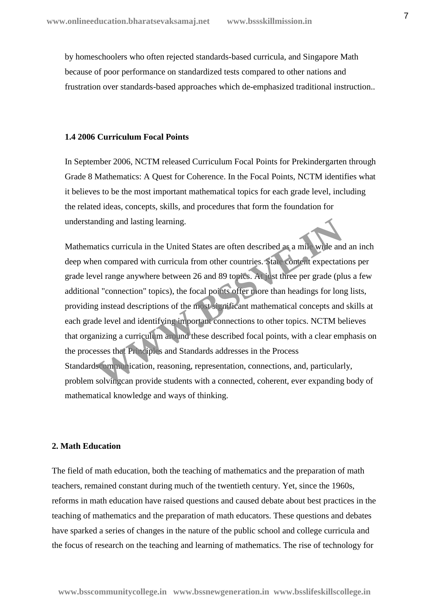by homeschoolers who often rejected standards-based curricula, and Singapore Math because of poor performance on standardized tests compared to other nations and frustration over standards-based approaches which de-emphasized traditional instruction..

### **1.4 2006 Curriculum Focal Points**

In September 2006, NCTM released Curriculum Focal Points for Prekindergarten through Grade 8 Mathematics: A Quest for Coherence. In the Focal Points, NCTM identifies what it believes to be the most important mathematical topics for each grade level, including the related ideas, concepts, skills, and procedures that form the foundation for understanding and lasting learning.

Mathematics curricula in the United States are often described as a mile wide and an inch deep when compared with curricula from other countries. State content expectations per grade level range anywhere between 26 and 89 topics. At just three per grade (plus a few additional "connection" topics), the focal points offer more than headings for long lists, providing instead descriptions of the most significant mathematical concepts and skills at each grade level and identifying important connections to other topics. NCTM believes that organizing a curriculum around these described focal points, with a clear emphasis on the processes that Principles and Standards addresses in the Process Standardscommunication, reasoning, representation, connections, and, particularly, problem solvingcan provide students with a connected, coherent, ever expanding body of mathematical knowledge and ways of thinking. Inding and lasting learning.<br>
Attics curricula in the United States are often described as a mile wide and<br>
the analytical compared with curricula from other countries. State content expectativel range anywhere between 26

# **2. Math Education**

The field of math education, both the teaching of mathematics and the preparation of math teachers, remained constant during much of the twentieth century. Yet, since the 1960s, reforms in math education have raised questions and caused debate about best practices in the teaching of mathematics and the preparation of math educators. These questions and debates have sparked a series of changes in the nature of the public school and college curricula and the focus of research on the teaching and learning of mathematics. The rise of technology for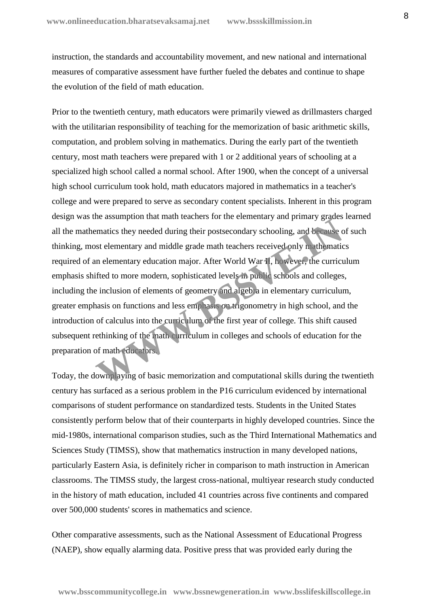instruction, the standards and accountability movement, and new national and international measures of comparative assessment have further fueled the debates and continue to shape the evolution of the field of math education.

Prior to the twentieth century, math educators were primarily viewed as drillmasters charged with the utilitarian responsibility of teaching for the memorization of basic arithmetic skills, computation, and problem solving in mathematics. During the early part of the twentieth century, most math teachers were prepared with 1 or 2 additional years of schooling at a specialized high school called a normal school. After 1900, when the concept of a universal high school curriculum took hold, math educators majored in mathematics in a teacher's college and were prepared to serve as secondary content specialists. Inherent in this program design was the assumption that math teachers for the elementary and primary grades learned all the mathematics they needed during their postsecondary schooling, and because of such thinking, most elementary and middle grade math teachers received only mathematics required of an elementary education major. After World War II, however, the curriculum emphasis shifted to more modern, sophisticated levels in public schools and colleges, including the inclusion of elements of geometry and algebra in elementary curriculum, greater emphasis on functions and less emphasis on trigonometry in high school, and the introduction of calculus into the curriculum of the first year of college. This shift caused subsequent rethinking of the math curriculum in colleges and schools of education for the preparation of math educators. The assumption that main catiness for the elementary and primary grades<br>
Solid exponenties they needed during their postsecondary schooling, and because<br>
onst elementary and middle grade math teachers received only in athe

Today, the downplaying of basic memorization and computational skills during the twentieth century has surfaced as a serious problem in the P16 curriculum evidenced by international comparisons of student performance on standardized tests. Students in the United States consistently perform below that of their counterparts in highly developed countries. Since the mid-1980s, international comparison studies, such as the Third International Mathematics and Sciences Study (TIMSS), show that mathematics instruction in many developed nations, particularly Eastern Asia, is definitely richer in comparison to math instruction in American classrooms. The TIMSS study, the largest cross-national, multiyear research study conducted in the history of math education, included 41 countries across five continents and compared over 500,000 students' scores in mathematics and science.

Other comparative assessments, such as the National Assessment of Educational Progress (NAEP), show equally alarming data. Positive press that was provided early during the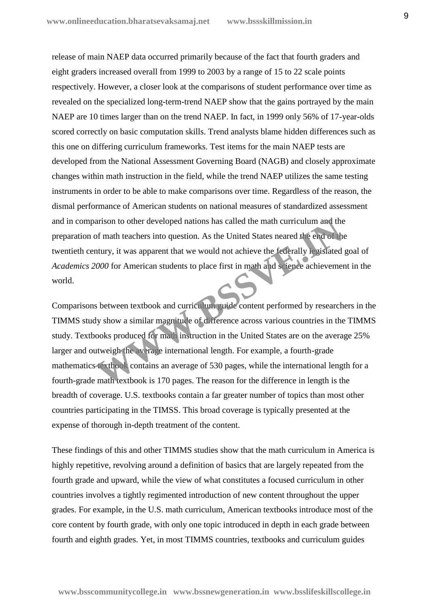release of main NAEP data occurred primarily because of the fact that fourth graders and eight graders increased overall from 1999 to 2003 by a range of 15 to 22 scale points respectively. However, a closer look at the comparisons of student performance over time as revealed on the specialized long-term-trend NAEP show that the gains portrayed by the main NAEP are 10 times larger than on the trend NAEP. In fact, in 1999 only 56% of 17-year-olds scored correctly on basic computation skills. Trend analysts blame hidden differences such as this one on differing curriculum frameworks. Test items for the main NAEP tests are developed from the National Assessment Governing Board (NAGB) and closely approximate changes within math instruction in the field, while the trend NAEP utilizes the same testing instruments in order to be able to make comparisons over time. Regardless of the reason, the dismal performance of American students on national measures of standardized assessment and in comparison to other developed nations has called the math curriculum and the preparation of math teachers into question. As the United States neared the end of the twentieth century, it was apparent that we would not achieve the federally legislated goal of *Academics 2000* for American students to place first in math and science achievement in the world.

Comparisons between textbook and curriculum guide content performed by researchers in the TIMMS study show a similar magnitude of difference across various countries in the TIMMS study. Textbooks produced for math instruction in the United States are on the average 25% larger and outweigh the average international length. For example, a fourth-grade mathematics textbook contains an average of 530 pages, while the international length for a fourth-grade math textbook is 170 pages. The reason for the difference in length is the breadth of coverage. U.S. textbooks contain a far greater number of topics than most other countries participating in the TIMSS. This broad coverage is typically presented at the expense of thorough in-depth treatment of the content. arison to other developed nations has called the math curriculum and the<br>of math teachers into question. As the United States neared the end of the<br>ntury, it was apparent that we would not achieve the **f**-derally legislate

These findings of this and other TIMMS studies show that the math curriculum in America is highly repetitive, revolving around a definition of basics that are largely repeated from the fourth grade and upward, while the view of what constitutes a focused curriculum in other countries involves a tightly regimented introduction of new content throughout the upper grades. For example, in the U.S. math curriculum, American textbooks introduce most of the core content by fourth grade, with only one topic introduced in depth in each grade between fourth and eighth grades. Yet, in most TIMMS countries, textbooks and curriculum guides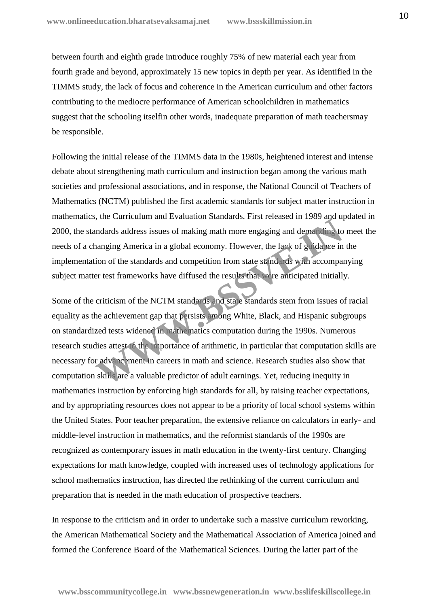between fourth and eighth grade introduce roughly 75% of new material each year from fourth grade and beyond, approximately 15 new topics in depth per year. As identified in the TIMMS study, the lack of focus and coherence in the American curriculum and other factors contributing to the mediocre performance of American schoolchildren in mathematics suggest that the schooling itselfin other words, inadequate preparation of math teachersmay be responsible.

Following the initial release of the TIMMS data in the 1980s, heightened interest and intense debate about strengthening math curriculum and instruction began among the various math societies and professional associations, and in response, the National Council of Teachers of Mathematics (NCTM) published the first academic standards for subject matter instruction in mathematics, the Curriculum and Evaluation Standards. First released in 1989 and updated in 2000, the standards address issues of making math more engaging and demanding to meet the needs of a changing America in a global economy. However, the lack of guidance in the implementation of the standards and competition from state standards with accompanying subject matter test frameworks have diffused the results that were anticipated initially.

Some of the criticism of the NCTM standards and state standards stem from issues of racial equality as the achievement gap that persists among White, Black, and Hispanic subgroups on standardized tests widened in mathematics computation during the 1990s. Numerous research studies attest to the importance of arithmetic, in particular that computation skills are necessary for advancement in careers in math and science. Research studies also show that computation skills are a valuable predictor of adult earnings. Yet, reducing inequity in mathematics instruction by enforcing high standards for all, by raising teacher expectations, and by appropriating resources does not appear to be a priority of local school systems within the United States. Poor teacher preparation, the extensive reliance on calculators in early- and middle-level instruction in mathematics, and the reformist standards of the 1990s are recognized as contemporary issues in math education in the twenty-first century. Changing expectations for math knowledge, coupled with increased uses of technology applications for school mathematics instruction, has directed the rethinking of the current curriculum and preparation that is needed in the math education of prospective teachers. which and Extractation Standards. This released in 1999 and dipendent of the standards is issues of making math more engaging and demanding to anging America in a global economy. However, the lack of guidance in ion of the

In response to the criticism and in order to undertake such a massive curriculum reworking, the American Mathematical Society and the Mathematical Association of America joined and formed the Conference Board of the Mathematical Sciences. During the latter part of the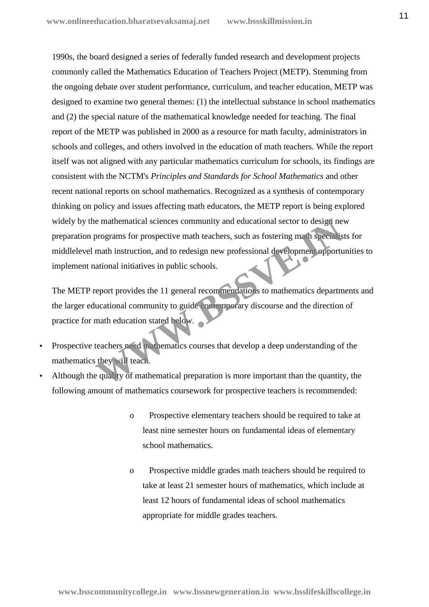1990s, the board designed a series of federally funded research and development projects commonly called the Mathematics Education of Teachers Project (METP). Stemming from the ongoing debate over student performance, curriculum, and teacher education, METP was designed to examine two general themes: (1) the intellectual substance in school mathematics and (2) the special nature of the mathematical knowledge needed for teaching. The final report of the METP was published in 2000 as a resource for math faculty, administrators in schools and colleges, and others involved in the education of math teachers. While the report itself was not aligned with any particular mathematics curriculum for schools, its findings are consistent with the NCTM's *Principles and Standards for School Mathematics* and other recent national reports on school mathematics. Recognized as a synthesis of contemporary thinking on policy and issues affecting math educators, the METP report is being explored widely by the mathematical sciences community and educational sector to design new preparation programs for prospective math teachers, such as fostering math specialists for middlelevel math instruction, and to redesign new professional development opportunities to implement national initiatives in public schools. Examples a mathematical sciences community and educational sector to design nerotyperams for prospective math teachers, such as fostering math specialism math instruction, and to redesign new professional development oppor

The METP report provides the 11 general recommendations to mathematics departments and the larger educational community to guide contemporary discourse and the direction of practice for math education stated below.

- Prospective teachers need mathematics courses that develop a deep understanding of the mathematics they will teach.
- Although the quality of mathematical preparation is more important than the quantity, the following amount of mathematics coursework for prospective teachers is recommended:
	- o Prospective elementary teachers should be required to take at least nine semester hours on fundamental ideas of elementary school mathematics.
	- o Prospective middle grades math teachers should be required to take at least 21 semester hours of mathematics, which include at least 12 hours of fundamental ideas of school mathematics appropriate for middle grades teachers.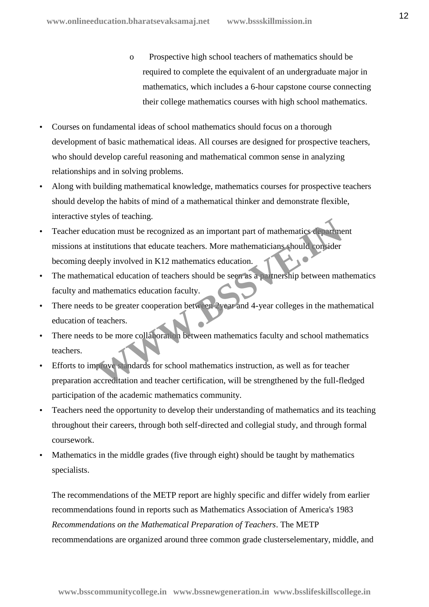- o Prospective high school teachers of mathematics should be required to complete the equivalent of an undergraduate major in mathematics, which includes a 6-hour capstone course connecting their college mathematics courses with high school mathematics.
- Courses on fundamental ideas of school mathematics should focus on a thorough development of basic mathematical ideas. All courses are designed for prospective teachers, who should develop careful reasoning and mathematical common sense in analyzing relationships and in solving problems.
- Along with building mathematical knowledge, mathematics courses for prospective teachers should develop the habits of mind of a mathematical thinker and demonstrate flexible, interactive styles of teaching.
- Teacher education must be recognized as an important part of mathematics department missions at institutions that educate teachers. More mathematicians should consider becoming deeply involved in K12 mathematics education. Extra must be recognized as an important part of mathematics department<br>
Institutions that educate teachers. More mathematicians should consider<br>
whereby involved in K12 mathematics education.<br>
atical education of teachers
- The mathematical education of teachers should be seen as a partnership between mathematics faculty and mathematics education faculty.
- There needs to be greater cooperation between 2year and 4-year colleges in the mathematical education of teachers.
- There needs to be more collaboration between mathematics faculty and school mathematics teachers.
- Efforts to improve standards for school mathematics instruction, as well as for teacher preparation accreditation and teacher certification, will be strengthened by the full-fledged participation of the academic mathematics community.
- Teachers need the opportunity to develop their understanding of mathematics and its teaching throughout their careers, through both self-directed and collegial study, and through formal coursework.
- Mathematics in the middle grades (five through eight) should be taught by mathematics specialists.

The recommendations of the METP report are highly specific and differ widely from earlier recommendations found in reports such as Mathematics Association of America's 1983 *Recommendations on the Mathematical Preparation of Teachers*. The METP recommendations are organized around three common grade clusterselementary, middle, and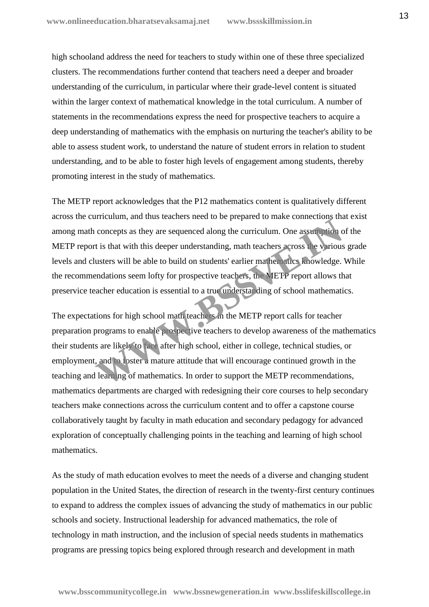high schooland address the need for teachers to study within one of these three specialized clusters. The recommendations further contend that teachers need a deeper and broader understanding of the curriculum, in particular where their grade-level content is situated within the larger context of mathematical knowledge in the total curriculum. A number of statements in the recommendations express the need for prospective teachers to acquire a deep understanding of mathematics with the emphasis on nurturing the teacher's ability to be able to assess student work, to understand the nature of student errors in relation to student understanding, and to be able to foster high levels of engagement among students, thereby promoting interest in the study of mathematics.

The METP report acknowledges that the P12 mathematics content is qualitatively different across the curriculum, and thus teachers need to be prepared to make connections that exist among math concepts as they are sequenced along the curriculum. One assumption of the METP report is that with this deeper understanding, math teachers across the various grade levels and clusters will be able to build on students' earlier mathematics knowledge. While the recommendations seem lofty for prospective teachers, the METP report allows that preservice teacher education is essential to a true understanding of school mathematics. **EXECUTE:** The state of the state of the connections are concepts as they are sequenced along the curriculum. One assumption c<br>t is that with this deeper understanding, math teachers across the various<br>usters will be able

The expectations for high school math teachers in the METP report calls for teacher preparation programs to enable prospective teachers to develop awareness of the mathematics their students are likely to face after high school, either in college, technical studies, or employment, and to foster a mature attitude that will encourage continued growth in the teaching and learning of mathematics. In order to support the METP recommendations, mathematics departments are charged with redesigning their core courses to help secondary teachers make connections across the curriculum content and to offer a capstone course collaboratively taught by faculty in math education and secondary pedagogy for advanced exploration of conceptually challenging points in the teaching and learning of high school mathematics.

As the study of math education evolves to meet the needs of a diverse and changing student population in the United States, the direction of research in the twenty-first century continues to expand to address the complex issues of advancing the study of mathematics in our public schools and society. Instructional leadership for advanced mathematics, the role of technology in math instruction, and the inclusion of special needs students in mathematics programs are pressing topics being explored through research and development in math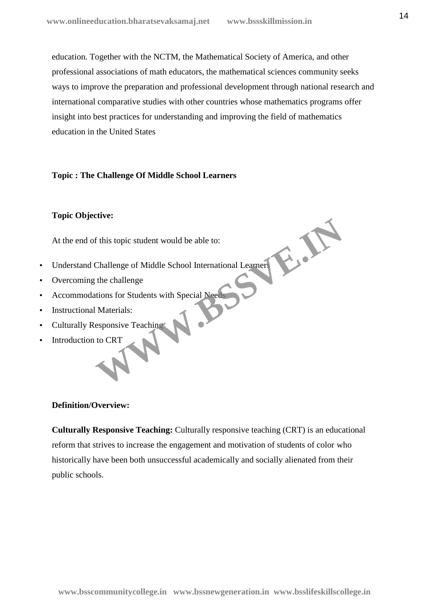education. Together with the NCTM, the Mathematical Society of America, and other professional associations of math educators, the mathematical sciences community seeks ways to improve the preparation and professional development through national research and international comparative studies with other countries whose mathematics programs offer insight into best practices for understanding and improving the field of mathematics education in the United States

### **Topic : The Challenge Of Middle School Learners**

### **Topic Objective:**

At the end of this topic student would be able to:

- Understand Challenge of Middle School International Learners F this topic student would be able to:<br>
Challenge of Middle School International Learners<br>
the challenge<br>
tions for Students with Special Need<br>
Materials:<br>
to CRT<br>
to CRT
- Overcoming the challenge
- Accommodations for Students with Special Needs
- Instructional Materials:
- Culturally Responsive Teaching
- Introduction to CRT

### **Definition/Overview:**

**Culturally Responsive Teaching:** Culturally responsive teaching (CRT) is an educational reform that strives to increase the engagement and motivation of students of color who historically have been both unsuccessful academically and socially alienated from their public schools.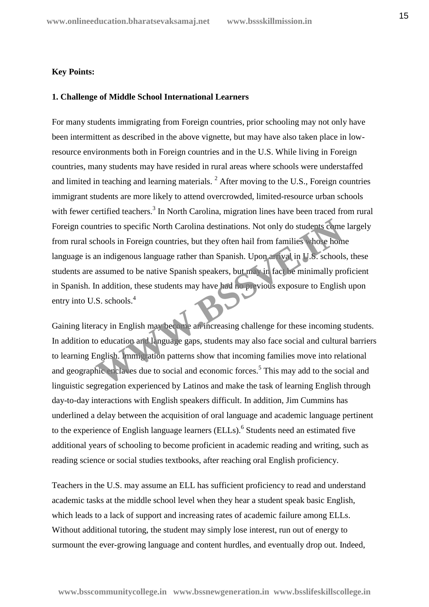### **Key Points:**

### **1. Challenge of Middle School International Learners**

For many students immigrating from Foreign countries, prior schooling may not only have been intermittent as described in the above vignette, but may have also taken place in lowresource environments both in Foreign countries and in the U.S. While living in Foreign countries, many students may have resided in rural areas where schools were understaffed and limited in teaching and learning materials.  $2$  After moving to the U.S., Foreign countries immigrant students are more likely to attend overcrowded, limited-resource urban schools with fewer certified teachers.<sup>3</sup> In North Carolina, migration lines have been traced from rural Foreign countries to specific North Carolina destinations. Not only do students come largely from rural schools in Foreign countries, but they often hail from families whose home language is an indigenous language rather than Spanish. Upon arrival in U.S. schools, these students are assumed to be native Spanish speakers, but may in fact be minimally proficient in Spanish. In addition, these students may have had no previous exposure to English upon entry into U.S. schools.<sup>4</sup> ntries to specific North Carolina destinations. Not only do students come<br>
hools in Foreign countries, but they often hail from families whose hom<br>
an indigenous language rather than Spanish. Upon an w<sup>1</sup> in U.S. schools<br>

Gaining literacy in English may become an increasing challenge for these incoming students. In addition to education and language gaps, students may also face social and cultural barriers to learning English. Immigration patterns show that incoming families move into relational and geographic enclaves due to social and economic forces.<sup>5</sup> This may add to the social and linguistic segregation experienced by Latinos and make the task of learning English through day-to-day interactions with English speakers difficult. In addition, Jim Cummins has underlined a delay between the acquisition of oral language and academic language pertinent to the experience of English language learners (ELLs).<sup>6</sup> Students need an estimated five additional years of schooling to become proficient in academic reading and writing, such as reading science or social studies textbooks, after reaching oral English proficiency.

Teachers in the U.S. may assume an ELL has sufficient proficiency to read and understand academic tasks at the middle school level when they hear a student speak basic English, which leads to a lack of support and increasing rates of academic failure among ELLs. Without additional tutoring, the student may simply lose interest, run out of energy to surmount the ever-growing language and content hurdles, and eventually drop out. Indeed,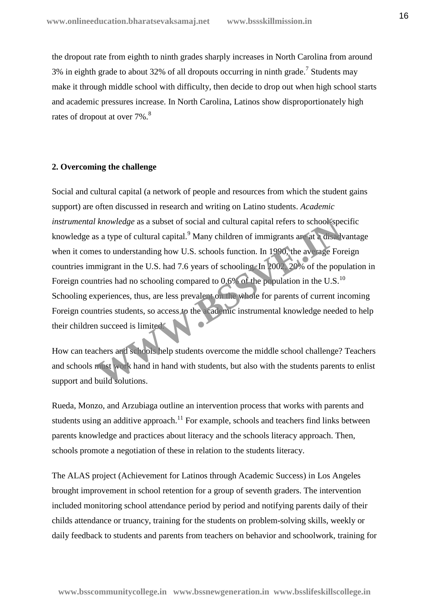the dropout rate from eighth to ninth grades sharply increases in North Carolina from around 3% in eighth grade to about 32% of all dropouts occurring in ninth grade.<sup>7</sup> Students may make it through middle school with difficulty, then decide to drop out when high school starts and academic pressures increase. In North Carolina, Latinos show disproportionately high rates of dropout at over 7%.<sup>8</sup>

## **2. Overcoming the challenge**

Social and cultural capital (a network of people and resources from which the student gains support) are often discussed in research and writing on Latino students. *Academic instrumental knowledge* as a subset of social and cultural capital refers to school-specific knowledge as a type of cultural capital.<sup>9</sup> Many children of immigrants are at a disadvantage when it comes to understanding how U.S. schools function. In 1990, the average Foreign countries immigrant in the U.S. had 7.6 years of schooling. In 2002, 20% of the population in Foreign countries had no schooling compared to  $0.6\%$  of the population in the U.S.<sup>10</sup> Schooling experiences, thus, are less prevalent on the whole for parents of current incoming Foreign countries students, so access to the academic instrumental knowledge needed to help their children succeed is limited. *knowledge* as a subset of social and cultural capital refers to school spe<br>s a type of cultural capital.<sup>9</sup> Many children of immigrants are at a disady<br>es to understanding how U.S. schools function. In 1990, the average F

How can teachers and schools help students overcome the middle school challenge? Teachers and schools must work hand in hand with students, but also with the students parents to enlist support and build solutions.

Rueda, Monzo, and Arzubiaga outline an intervention process that works with parents and students using an additive approach.<sup>11</sup> For example, schools and teachers find links between parents knowledge and practices about literacy and the schools literacy approach. Then, schools promote a negotiation of these in relation to the students literacy.

The ALAS project (Achievement for Latinos through Academic Success) in Los Angeles brought improvement in school retention for a group of seventh graders. The intervention included monitoring school attendance period by period and notifying parents daily of their childs attendance or truancy, training for the students on problem-solving skills, weekly or daily feedback to students and parents from teachers on behavior and schoolwork, training for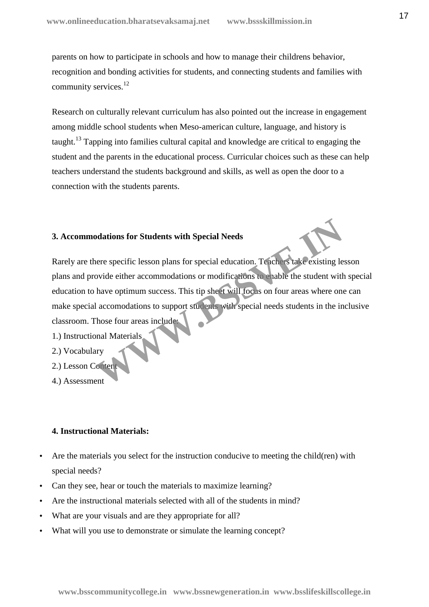parents on how to participate in schools and how to manage their childrens behavior, recognition and bonding activities for students, and connecting students and families with community services.<sup>12</sup>

Research on culturally relevant curriculum has also pointed out the increase in engagement among middle school students when Meso-american culture, language, and history is taught.<sup>13</sup> Tapping into families cultural capital and knowledge are critical to engaging the student and the parents in the educational process. Curricular choices such as these can help teachers understand the students background and skills, as well as open the door to a connection with the students parents.

### **3. Accommodations for Students with Special Needs**

Rarely are there specific lesson plans for special education. Teachers take existing lesson plans and provide either accommodations or modifications to enable the student with special education to have optimum success. This tip sheet will focus on four areas where one can make special accomodations to support students with special needs students in the inclusive classroom. Those four areas include: **Example 18 Second Students with Special Needs**<br>
Nere specific lesson plans for special education. Teachers take existing le<br>
ovide either accommodations or modifications to shable the student with<br>
have optimum success. T

- 1.) Instructional Materials
- 2.) Vocabulary
- 2.) Lesson Conten
- 4.) Assessment

### **4. Instructional Materials:**

- Are the materials you select for the instruction conducive to meeting the child(ren) with special needs?
- Can they see, hear or touch the materials to maximize learning?
- Are the instructional materials selected with all of the students in mind?
- What are your visuals and are they appropriate for all?
- What will you use to demonstrate or simulate the learning concept?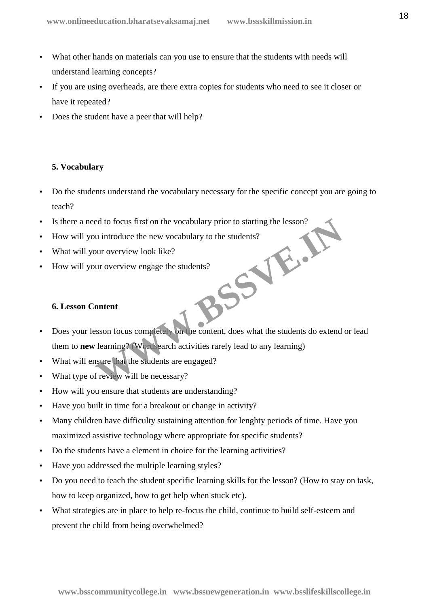- What other hands on materials can you use to ensure that the students with needs will understand learning concepts?
- If you are using overheads, are there extra copies for students who need to see it closer or have it repeated?
- Does the student have a peer that will help?

# **5. Vocabulary**

- Do the students understand the vocabulary necessary for the specific concept you are going to teach?
- Is there a need to focus first on the vocabulary prior to starting the lesson? **WWW.BSSVE.IN**
- How will you introduce the new vocabulary to the students?
- What will your overview look like?
- How will your overview engage the students?

# **6. Lesson Content**

- Does your lesson focus completely on the content, does what the students do extend or lead them to **new** learning? (Wordsearch activities rarely lead to any learning)
- What will ensure that the students are engaged?
- What type of review will be necessary?
- How will you ensure that students are understanding?
- Have you built in time for a breakout or change in activity?
- Many children have difficulty sustaining attention for lenghty periods of time. Have you maximized assistive technology where appropriate for specific students?
- Do the students have a element in choice for the learning activities?
- Have you addressed the multiple learning styles?
- Do you need to teach the student specific learning skills for the lesson? (How to stay on task, how to keep organized, how to get help when stuck etc).
- What strategies are in place to help re-focus the child, continue to build self-esteem and prevent the child from being overwhelmed?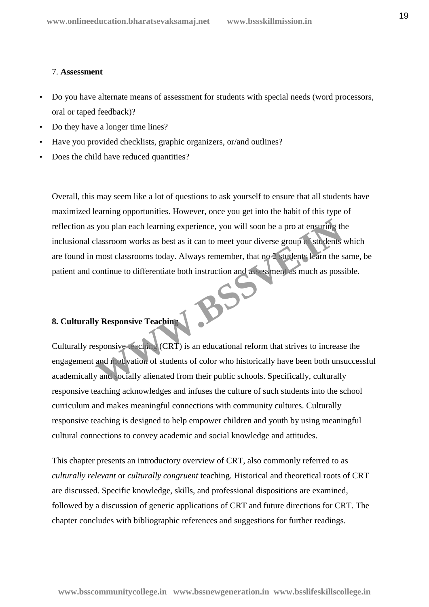### 7. **Assessment**

- Do you have alternate means of assessment for students with special needs (word processors, oral or taped feedback)?
- Do they have a longer time lines?
- Have you provided checklists, graphic organizers, or/and outlines?
- Does the child have reduced quantities?

Overall, this may seem like a lot of questions to ask yourself to ensure that all students have maximized learning opportunities. However, once you get into the habit of this type of reflection as you plan each learning experience, you will soon be a pro at ensuring the inclusional classroom works as best as it can to meet your diverse group of students which are found in most classrooms today. Always remember, that no 2 students learn the same, be patient and continue to differentiate both instruction and assessment as much as possible.  $B^{S^2}$ 

# **8. Culturally Responsive Teaching**

Culturally responsive teaching (CRT) is an educational reform that strives to increase the engagement and motivation of students of color who historically have been both unsuccessful academically and socially alienated from their public schools. Specifically, culturally responsive teaching acknowledges and infuses the culture of such students into the school curriculum and makes meaningful connections with community cultures. Culturally responsive teaching is designed to help empower children and youth by using meaningful cultural connections to convey academic and social knowledge and attitudes.

This chapter presents an introductory overview of CRT, also commonly referred to as *culturally relevant* or *culturally congruent* teaching. Historical and theoretical roots of CRT are discussed. Specific knowledge, skills, and professional dispositions are examined, followed by a discussion of generic applications of CRT and future directions for CRT. The chapter concludes with bibliographic references and suggestions for further readings.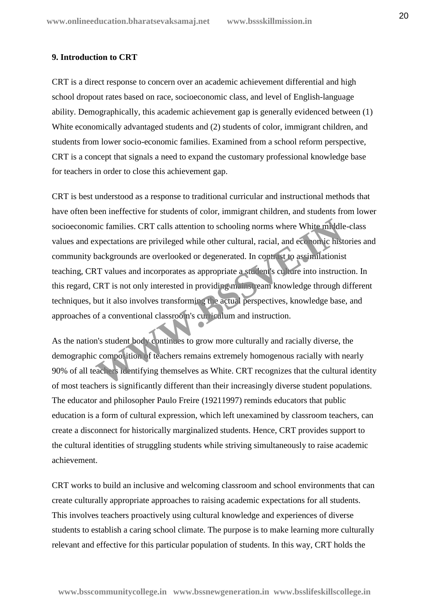### **9. Introduction to CRT**

CRT is a direct response to concern over an academic achievement differential and high school dropout rates based on race, socioeconomic class, and level of English-language ability. Demographically, this academic achievement gap is generally evidenced between (1) White economically advantaged students and (2) students of color, immigrant children, and students from lower socio-economic families. Examined from a school reform perspective, CRT is a concept that signals a need to expand the customary professional knowledge base for teachers in order to close this achievement gap.

CRT is best understood as a response to traditional curricular and instructional methods that have often been ineffective for students of color, immigrant children, and students from lower socioeconomic families. CRT calls attention to schooling norms where White middle-class values and expectations are privileged while other cultural, racial, and economic histories and community backgrounds are overlooked or degenerated. In contrast to assimilationist teaching, CRT values and incorporates as appropriate a student's culture into instruction. In this regard, CRT is not only interested in providing mainstream knowledge through different techniques, but it also involves transforming the actual perspectives, knowledge base, and approaches of a conventional classroom's curriculum and instruction. inc families. CRT calls attention to schooling norms where White middle<br>xpectations are privileged while other cultural, racial, and economic hist<br>backgrounds are overlooked or degenerated. In contract to assimulation<br>is<br>T

As the nation's student body continues to grow more culturally and racially diverse, the demographic composition of teachers remains extremely homogenous racially with nearly 90% of all teachers identifying themselves as White. CRT recognizes that the cultural identity of most teachers is significantly different than their increasingly diverse student populations. The educator and philosopher Paulo Freire (19211997) reminds educators that public education is a form of cultural expression, which left unexamined by classroom teachers, can create a disconnect for historically marginalized students. Hence, CRT provides support to the cultural identities of struggling students while striving simultaneously to raise academic achievement.

CRT works to build an inclusive and welcoming classroom and school environments that can create culturally appropriate approaches to raising academic expectations for all students. This involves teachers proactively using cultural knowledge and experiences of diverse students to establish a caring school climate. The purpose is to make learning more culturally relevant and effective for this particular population of students. In this way, CRT holds the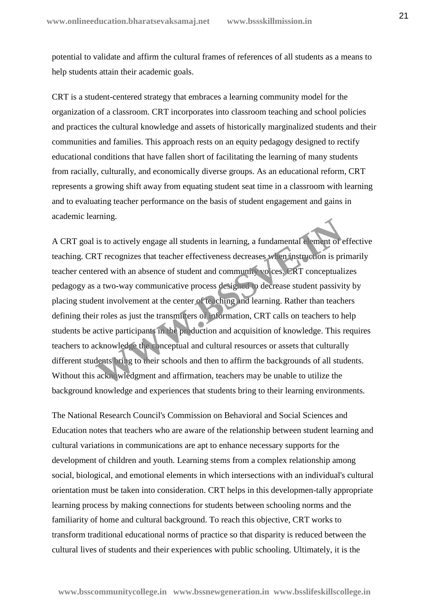potential to validate and affirm the cultural frames of references of all students as a means to help students attain their academic goals.

CRT is a student-centered strategy that embraces a learning community model for the organization of a classroom. CRT incorporates into classroom teaching and school policies and practices the cultural knowledge and assets of historically marginalized students and their communities and families. This approach rests on an equity pedagogy designed to rectify educational conditions that have fallen short of facilitating the learning of many students from racially, culturally, and economically diverse groups. As an educational reform, CRT represents a growing shift away from equating student seat time in a classroom with learning and to evaluating teacher performance on the basis of student engagement and gains in academic learning.

A CRT goal is to actively engage all students in learning, a fundamental element of effective teaching. CRT recognizes that teacher effectiveness decreases when instruction is primarily teacher centered with an absence of student and community voices. CRT conceptualizes pedagogy as a two-way communicative process designed to decrease student passivity by placing student involvement at the center of teaching and learning. Rather than teachers defining their roles as just the transmitters of information, CRT calls on teachers to help students be active participants in the production and acquisition of knowledge. This requires teachers to acknowledge the conceptual and cultural resources or assets that culturally different students bring to their schools and then to affirm the backgrounds of all students. Without this acknowledgment and affirmation, teachers may be unable to utilize the background knowledge and experiences that students bring to their learning environments. is to actively engage all students in learning, a fundamental element of example it and the active of student and community volces. CRT conceptual a two-way communicative process designed to decrease student passivient inv

The National Research Council's Commission on Behavioral and Social Sciences and Education notes that teachers who are aware of the relationship between student learning and cultural variations in communications are apt to enhance necessary supports for the development of children and youth. Learning stems from a complex relationship among social, biological, and emotional elements in which intersections with an individual's cultural orientation must be taken into consideration. CRT helps in this developmen-tally appropriate learning process by making connections for students between schooling norms and the familiarity of home and cultural background. To reach this objective, CRT works to transform traditional educational norms of practice so that disparity is reduced between the cultural lives of students and their experiences with public schooling. Ultimately, it is the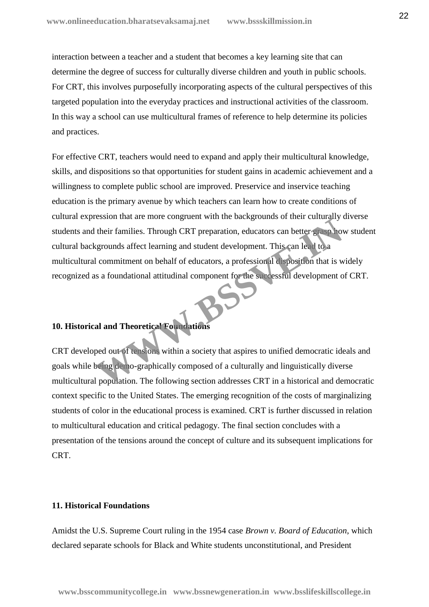interaction between a teacher and a student that becomes a key learning site that can determine the degree of success for culturally diverse children and youth in public schools. For CRT, this involves purposefully incorporating aspects of the cultural perspectives of this targeted population into the everyday practices and instructional activities of the classroom. In this way a school can use multicultural frames of reference to help determine its policies and practices.

For effective CRT, teachers would need to expand and apply their multicultural knowledge, skills, and dispositions so that opportunities for student gains in academic achievement and a willingness to complete public school are improved. Preservice and inservice teaching education is the primary avenue by which teachers can learn how to create conditions of cultural expression that are more congruent with the backgrounds of their culturally diverse students and their families. Through CRT preparation, educators can better grasp how student cultural backgrounds affect learning and student development. This can lead to a multicultural commitment on behalf of educators, a professional disposition that is widely recognized as a foundational attitudinal component for the successful development of CRT. their families. Through CRT preparation, educators can better graphics<br>igrounds affect learning and student development. This can lead to a<br>l commitment on behalf of educators, a professional disposition that is we<br>as a fo

# **10. Historical and Theoretical Foundations**

CRT developed out of tensions within a society that aspires to unified democratic ideals and goals while being demo-graphically composed of a culturally and linguistically diverse multicultural population. The following section addresses CRT in a historical and democratic context specific to the United States. The emerging recognition of the costs of marginalizing students of color in the educational process is examined. CRT is further discussed in relation to multicultural education and critical pedagogy. The final section concludes with a presentation of the tensions around the concept of culture and its subsequent implications for CRT.

### **11. Historical Foundations**

Amidst the U.S. Supreme Court ruling in the 1954 case *Brown v. Board of Education*, which declared separate schools for Black and White students unconstitutional, and President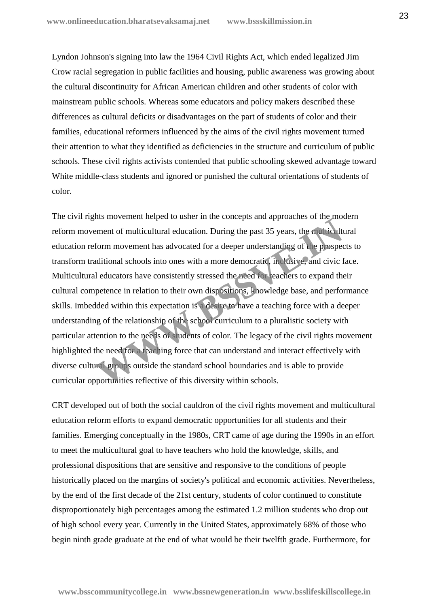Lyndon Johnson's signing into law the 1964 Civil Rights Act, which ended legalized Jim Crow racial segregation in public facilities and housing, public awareness was growing about the cultural discontinuity for African American children and other students of color with mainstream public schools. Whereas some educators and policy makers described these differences as cultural deficits or disadvantages on the part of students of color and their families, educational reformers influenced by the aims of the civil rights movement turned their attention to what they identified as deficiencies in the structure and curriculum of public schools. These civil rights activists contended that public schooling skewed advantage toward White middle-class students and ignored or punished the cultural orientations of students of color.

The civil rights movement helped to usher in the concepts and approaches of the modern reform movement of multicultural education. During the past 35 years, the multicultural education reform movement has advocated for a deeper understanding of the prospects to transform traditional schools into ones with a more democratic, inclusive, and civic face. Multicultural educators have consistently stressed the need for teachers to expand their cultural competence in relation to their own dispositions, knowledge base, and performance skills. Imbedded within this expectation is a desire to have a teaching force with a deeper understanding of the relationship of the school curriculum to a pluralistic society with particular attention to the needs of students of color. The legacy of the civil rights movement highlighted the need for a teaching force that can understand and interact effectively with diverse cultural groups outside the standard school boundaries and is able to provide curricular opportunities reflective of this diversity within schools. The movement has advocated for a deeper understanding of the prospection movement has advocated for a deeper understanding of the prospectional schools into ones with a more democratic, inclusive, and civic 1 educators hav

CRT developed out of both the social cauldron of the civil rights movement and multicultural education reform efforts to expand democratic opportunities for all students and their families. Emerging conceptually in the 1980s, CRT came of age during the 1990s in an effort to meet the multicultural goal to have teachers who hold the knowledge, skills, and professional dispositions that are sensitive and responsive to the conditions of people historically placed on the margins of society's political and economic activities. Nevertheless, by the end of the first decade of the 21st century, students of color continued to constitute disproportionately high percentages among the estimated 1.2 million students who drop out of high school every year. Currently in the United States, approximately 68% of those who begin ninth grade graduate at the end of what would be their twelfth grade. Furthermore, for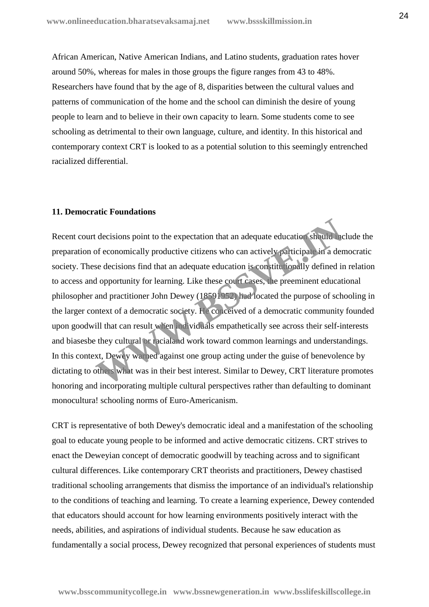African American, Native American Indians, and Latino students, graduation rates hover around 50%, whereas for males in those groups the figure ranges from 43 to 48%. Researchers have found that by the age of 8, disparities between the cultural values and patterns of communication of the home and the school can diminish the desire of young people to learn and to believe in their own capacity to learn. Some students come to see schooling as detrimental to their own language, culture, and identity. In this historical and contemporary context CRT is looked to as a potential solution to this seemingly entrenched racialized differential.

# **11. Democratic Foundations**

Recent court decisions point to the expectation that an adequate education should include the preparation of economically productive citizens who can actively participate in a democratic society. These decisions find that an adequate education is constitutionally defined in relation to access and opportunity for learning. Like these court cases, the preeminent educational philosopher and practitioner John Dewey (18591952) had located the purpose of schooling in the larger context of a democratic society. He conceived of a democratic community founded upon goodwill that can result when individuals empathetically see across their self-interests and biasesbe they cultural or racialand work toward common learnings and understandings. In this context, Dewey warned against one group acting under the guise of benevolence by dictating to others what was in their best interest. Similar to Dewey, CRT literature promotes honoring and incorporating multiple cultural perspectives rather than defaulting to dominant monocultura! schooling norms of Euro-Americanism. decisions point to the expectation that an adequate education should not be conomically productive citizens who can actively participate in a derive decisions find that an adequate education is constituted by defined in a

CRT is representative of both Dewey's democratic ideal and a manifestation of the schooling goal to educate young people to be informed and active democratic citizens. CRT strives to enact the Deweyian concept of democratic goodwill by teaching across and to significant cultural differences. Like contemporary CRT theorists and practitioners, Dewey chastised traditional schooling arrangements that dismiss the importance of an individual's relationship to the conditions of teaching and learning. To create a learning experience, Dewey contended that educators should account for how learning environments positively interact with the needs, abilities, and aspirations of individual students. Because he saw education as fundamentally a social process, Dewey recognized that personal experiences of students must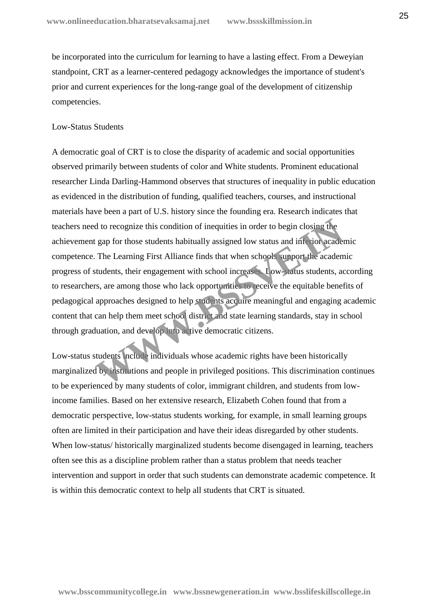be incorporated into the curriculum for learning to have a lasting effect. From a Deweyian standpoint, CRT as a learner-centered pedagogy acknowledges the importance of student's prior and current experiences for the long-range goal of the development of citizenship competencies.

# Low-Status Students

A democratic goal of CRT is to close the disparity of academic and social opportunities observed primarily between students of color and White students. Prominent educational researcher Linda Darling-Hammond observes that structures of inequality in public education as evidenced in the distribution of funding, qualified teachers, courses, and instructional materials have been a part of U.S. history since the founding era. Research indicates that teachers need to recognize this condition of inequities in order to begin closing the achievement gap for those students habitually assigned low status and inferior academic competence. The Learning First Alliance finds that when schools support the academic progress of students, their engagement with school increases. Low-status students, according to researchers, are among those who lack opportunities to receive the equitable benefits of pedagogical approaches designed to help students acquire meaningful and engaging academic content that can help them meet school district and state learning standards, stay in school through graduation, and develop into active democratic citizens. d to recognize this condition of inequities in order to begin closing the<br>gap for those students habitually assigned low status and interior academ<br>The Learning First Alliance finds that when schools support the academ<br>stu

Low-status students include individuals whose academic rights have been historically marginalized by institutions and people in privileged positions. This discrimination continues to be experienced by many students of color, immigrant children, and students from lowincome families. Based on her extensive research, Elizabeth Cohen found that from a democratic perspective, low-status students working, for example, in small learning groups often are limited in their participation and have their ideas disregarded by other students. When low-status/ historically marginalized students become disengaged in learning, teachers often see this as a discipline problem rather than a status problem that needs teacher intervention and support in order that such students can demonstrate academic competence. It is within this democratic context to help all students that CRT is situated.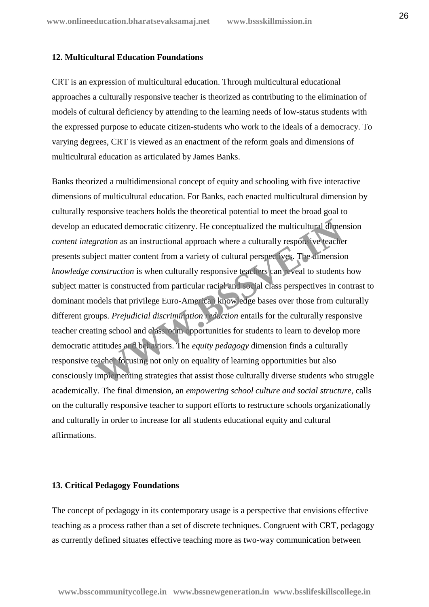### **12. Multicultural Education Foundations**

CRT is an expression of multicultural education. Through multicultural educational approaches a culturally responsive teacher is theorized as contributing to the elimination of models of cultural deficiency by attending to the learning needs of low-status students with the expressed purpose to educate citizen-students who work to the ideals of a democracy. To varying degrees, CRT is viewed as an enactment of the reform goals and dimensions of multicultural education as articulated by James Banks.

Banks theorized a multidimensional concept of equity and schooling with five interactive dimensions of multicultural education. For Banks, each enacted multicultural dimension by culturally responsive teachers holds the theoretical potential to meet the broad goal to develop an educated democratic citizenry. He conceptualized the multicultural dimension *content integration* as an instructional approach where a culturally responsive teacher presents subject matter content from a variety of cultural perspectives. The dimension *knowledge construction* is when culturally responsive teachers can reveal to students how subject matter is constructed from particular racial and social class perspectives in contrast to dominant models that privilege Euro-American knowledge bases over those from culturally different groups. *Prejudicial discrimination reduction* entails for the culturally responsive teacher creating school and classroom opportunities for students to learn to develop more democratic attitudes and behaviors. The *equity pedagogy* dimension finds a culturally responsive teacher focusing not only on equality of learning opportunities but also consciously implementing strategies that assist those culturally diverse students who struggle academically. The final dimension, an *empowering school culture and social structure*, calls on the culturally responsive teacher to support efforts to restructure schools organizationally and culturally in order to increase for all students educational equity and cultural affirmations. ducated democratic citizenry. He conceptualized the multicultural dimer<br>gration as an instructional approach where a culturally responsive teacher<br>ject matter content from a variety of cultural perspectives. The dimensio<br>o

### **13. Critical Pedagogy Foundations**

The concept of pedagogy in its contemporary usage is a perspective that envisions effective teaching as a process rather than a set of discrete techniques. Congruent with CRT, pedagogy as currently defined situates effective teaching more as two-way communication between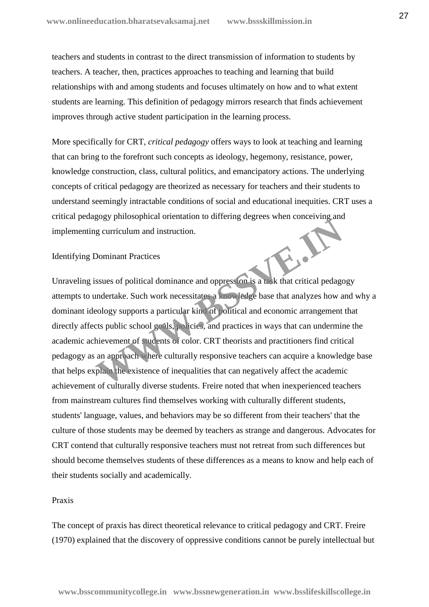teachers and students in contrast to the direct transmission of information to students by teachers. A teacher, then, practices approaches to teaching and learning that build relationships with and among students and focuses ultimately on how and to what extent students are learning. This definition of pedagogy mirrors research that finds achievement improves through active student participation in the learning process.

More specifically for CRT, *critical pedagogy* offers ways to look at teaching and learning that can bring to the forefront such concepts as ideology, hegemony, resistance, power, knowledge construction, class, cultural politics, and emancipatory actions. The underlying concepts of critical pedagogy are theorized as necessary for teachers and their students to understand seemingly intractable conditions of social and educational inequities. CRT uses a critical pedagogy philosophical orientation to differing degrees when conceiving and implementing curriculum and instruction. Identifying Dominant Practices<br>Unraveling issues of political dominance and oppression is a task that critical pedagogy

# Identifying Dominant Practices

attempts to undertake. Such work necessitates a knowledge base that analyzes how and why a dominant ideology supports a particular kind of political and economic arrangement that directly affects public school goals, policies, and practices in ways that can undermine the academic achievement of students of color. CRT theorists and practitioners find critical pedagogy as an approach where culturally responsive teachers can acquire a knowledge base that helps explain the existence of inequalities that can negatively affect the academic achievement of culturally diverse students. Freire noted that when inexperienced teachers from mainstream cultures find themselves working with culturally different students, students' language, values, and behaviors may be so different from their teachers' that the culture of those students may be deemed by teachers as strange and dangerous. Advocates for CRT contend that culturally responsive teachers must not retreat from such differences but should become themselves students of these differences as a means to know and help each of their students socially and academically. Bester the anti-<br>
Sommant Practices<br>
Ssues of political dominance and oppression is a task that critical pedage<br>
Independental school grads, political and economic arrangement<br>
Such school grads, political and economic arr

# Praxis

The concept of praxis has direct theoretical relevance to critical pedagogy and CRT. Freire (1970) explained that the discovery of oppressive conditions cannot be purely intellectual but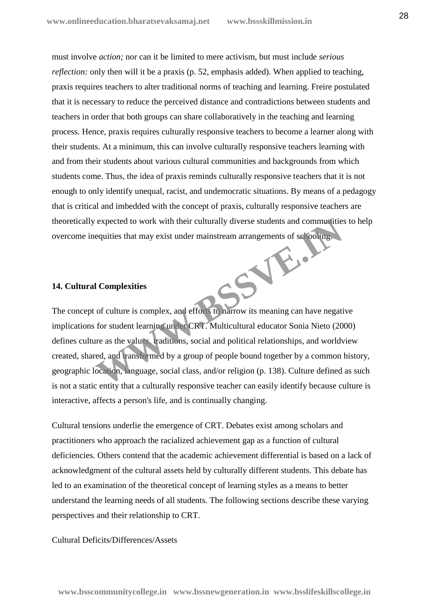must involve *action;* nor can it be limited to mere activism, but must include *serious reflection:* only then will it be a praxis (p. 52, emphasis added). When applied to teaching, praxis requires teachers to alter traditional norms of teaching and learning. Freire postulated that it is necessary to reduce the perceived distance and contradictions between students and teachers in order that both groups can share collaboratively in the teaching and learning process. Hence, praxis requires culturally responsive teachers to become a learner along with their students. At a minimum, this can involve culturally responsive teachers learning with and from their students about various cultural communities and backgrounds from which students come. Thus, the idea of praxis reminds culturally responsive teachers that it is not enough to only identify unequal, racist, and undemocratic situations. By means of a pedagogy that is critical and imbedded with the concept of praxis, culturally responsive teachers are theoretically expected to work with their culturally diverse students and communities to help overcome inequities that may exist under mainstream arrangements of schooling. WWW.BSS

### **14. Cultural Complexities**

The concept of culture is complex, and efforts to narrow its meaning can have negative implications for student learning under CRT. Multicultural educator Sonia Nieto (2000) defines culture as the values, traditions, social and political relationships, and worldview created, shared, and transformed by a group of people bound together by a common history, geographic location, language, social class, and/or religion (p. 138). Culture defined as such is not a static entity that a culturally responsive teacher can easily identify because culture is interactive, affects a person's life, and is continually changing.

Cultural tensions underlie the emergence of CRT. Debates exist among scholars and practitioners who approach the racialized achievement gap as a function of cultural deficiencies. Others contend that the academic achievement differential is based on a lack of acknowledgment of the cultural assets held by culturally different students. This debate has led to an examination of the theoretical concept of learning styles as a means to better understand the learning needs of all students. The following sections describe these varying perspectives and their relationship to CRT.

# Cultural Deficits/Differences/Assets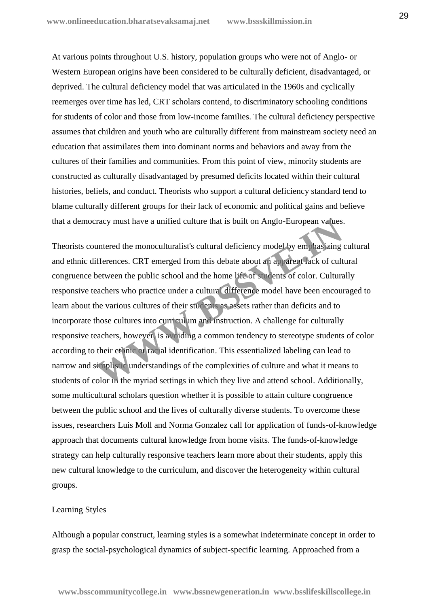At various points throughout U.S. history, population groups who were not of Anglo- or Western European origins have been considered to be culturally deficient, disadvantaged, or deprived. The cultural deficiency model that was articulated in the 1960s and cyclically reemerges over time has led, CRT scholars contend, to discriminatory schooling conditions for students of color and those from low-income families. The cultural deficiency perspective assumes that children and youth who are culturally different from mainstream society need an education that assimilates them into dominant norms and behaviors and away from the cultures of their families and communities. From this point of view, minority students are constructed as culturally disadvantaged by presumed deficits located within their cultural histories, beliefs, and conduct. Theorists who support a cultural deficiency standard tend to blame culturally different groups for their lack of economic and political gains and believe that a democracy must have a unified culture that is built on Anglo-European values.

Theorists countered the monoculturalist's cultural deficiency model by emphasizing cultural and ethnic differences. CRT emerged from this debate about an apparent lack of cultural congruence between the public school and the home life of students of color. Culturally responsive teachers who practice under a cultural difference model have been encouraged to learn about the various cultures of their students as assets rather than deficits and to incorporate those cultures into curriculum and instruction. A challenge for culturally responsive teachers, however, is avoiding a common tendency to stereotype students of color according to their ethnic or racial identification. This essentialized labeling can lead to narrow and simplistic understandings of the complexities of culture and what it means to students of color in the myriad settings in which they live and attend school. Additionally, some multicultural scholars question whether it is possible to attain culture congruence between the public school and the lives of culturally diverse students. To overcome these issues, researchers Luis Moll and Norma Gonzalez call for application of funds-of-knowledge approach that documents cultural knowledge from home visits. The funds-of-knowledge strategy can help culturally responsive teachers learn more about their students, apply this new cultural knowledge to the curriculum, and discover the heterogeneity within cultural groups. Tracy must have a unified culture that is built on Anglo-European values.<br>
untered the monoculturalist's cultural deficiency model by emphasizing<br>
ifferences. CRT emerged from this debate about an apparent lack of cult<br>
be

# Learning Styles

Although a popular construct, learning styles is a somewhat indeterminate concept in order to grasp the social-psychological dynamics of subject-specific learning. Approached from a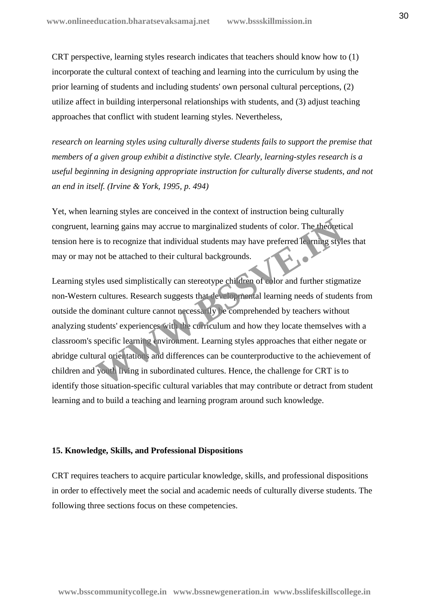CRT perspective, learning styles research indicates that teachers should know how to (1) incorporate the cultural context of teaching and learning into the curriculum by using the prior learning of students and including students' own personal cultural perceptions, (2) utilize affect in building interpersonal relationships with students, and (3) adjust teaching approaches that conflict with student learning styles. Nevertheless,

*research on learning styles using culturally diverse students fails to support the premise that members of a given group exhibit a distinctive style. Clearly, learning-styles research is a useful beginning in designing appropriate instruction for culturally diverse students, and not an end in itself. (Irvine & York, 1995, p. 494)*

Yet, when learning styles are conceived in the context of instruction being culturally congruent, learning gains may accrue to marginalized students of color. The theoretical tension here is to recognize that individual students may have preferred learning styles that may or may not be attached to their cultural backgrounds.

Learning styles used simplistically can stereotype children of color and further stigmatize non-Western cultures. Research suggests that developmental learning needs of students from outside the dominant culture cannot necessarily be comprehended by teachers without analyzing students' experiences with the curriculum and how they locate themselves with a classroom's specific learning environment. Learning styles approaches that either negate or abridge cultural orientations and differences can be counterproductive to the achievement of children and youth living in subordinated cultures. Hence, the challenge for CRT is to identify those situation-specific cultural variables that may contribute or detract from student learning and to build a teaching and learning program around such knowledge. Examing gains may accrue to marginalized students of color. The theoretic<br>is to recognize that individual students may have preferred learning style<br>not be attached to their cultural backgrounds.<br>les used simplistically ca

### **15. Knowledge, Skills, and Professional Dispositions**

CRT requires teachers to acquire particular knowledge, skills, and professional dispositions in order to effectively meet the social and academic needs of culturally diverse students. The following three sections focus on these competencies.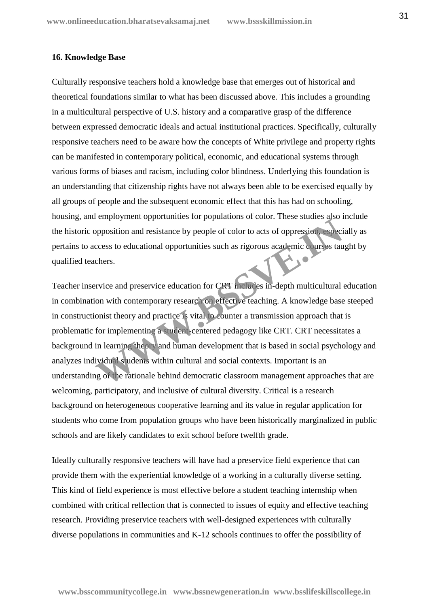### **16. Knowledge Base**

Culturally responsive teachers hold a knowledge base that emerges out of historical and theoretical foundations similar to what has been discussed above. This includes a grounding in a multicultural perspective of U.S. history and a comparative grasp of the difference between expressed democratic ideals and actual institutional practices. Specifically, culturally responsive teachers need to be aware how the concepts of White privilege and property rights can be manifested in contemporary political, economic, and educational systems through various forms of biases and racism, including color blindness. Underlying this foundation is an understanding that citizenship rights have not always been able to be exercised equally by all groups of people and the subsequent economic effect that this has had on schooling, housing, and employment opportunities for populations of color. These studies also include the historic opposition and resistance by people of color to acts of oppression, especially as pertains to access to educational opportunities such as rigorous academic courses taught by qualified teachers. qualified teachers.

Teacher inservice and preservice education for CRT includes in-depth multicultural education in combination with contemporary research on effective teaching. A knowledge base steeped in constructionist theory and practice is vital to counter a transmission approach that is problematic for implementing a student-centered pedagogy like CRT. CRT necessitates a background in learning theory and human development that is based in social psychology and analyzes individual students within cultural and social contexts. Important is an understanding of the rationale behind democratic classroom management approaches that are welcoming, participatory, and inclusive of cultural diversity. Critical is a research background on heterogeneous cooperative learning and its value in regular application for students who come from population groups who have been historically marginalized in public schools and are likely candidates to exit school before twelfth grade. **Example 5 and the state of the state of the state of the state of the state of the state of the state of the state of the state of the state of the state of the state of the state of the state of the state of the state of** 

Ideally culturally responsive teachers will have had a preservice field experience that can provide them with the experiential knowledge of a working in a culturally diverse setting. This kind of field experience is most effective before a student teaching internship when combined with critical reflection that is connected to issues of equity and effective teaching research. Providing preservice teachers with well-designed experiences with culturally diverse populations in communities and K-12 schools continues to offer the possibility of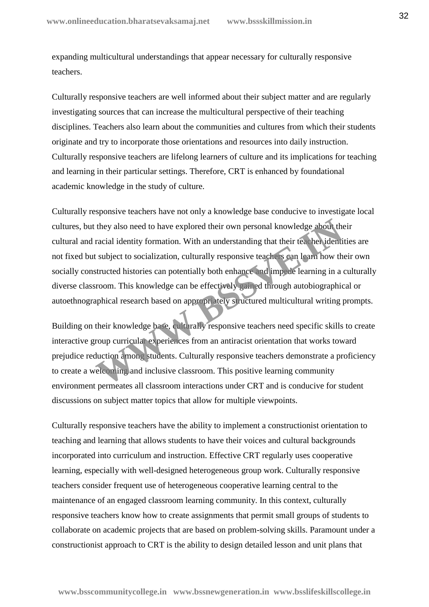expanding multicultural understandings that appear necessary for culturally responsive teachers.

Culturally responsive teachers are well informed about their subject matter and are regularly investigating sources that can increase the multicultural perspective of their teaching disciplines. Teachers also learn about the communities and cultures from which their students originate and try to incorporate those orientations and resources into daily instruction. Culturally responsive teachers are lifelong learners of culture and its implications for teaching and learning in their particular settings. Therefore, CRT is enhanced by foundational academic knowledge in the study of culture.

Culturally responsive teachers have not only a knowledge base conducive to investigate local cultures, but they also need to have explored their own personal knowledge about their cultural and racial identity formation. With an understanding that their teacher identities are not fixed but subject to socialization, culturally responsive teachers can learn how their own socially constructed histories can potentially both enhance and impede learning in a culturally diverse classroom. This knowledge can be effectively gained through autobiographical or autoethnographical research based on appropriately structured multicultural writing prompts. they also need to have explored their own personal knowledge about the racial identity formation. With an understanding that their teaches identity subject to socialization, culturally responsive teaches shan learn how the

Building on their knowledge base, culturally responsive teachers need specific skills to create interactive group curricular experiences from an antiracist orientation that works toward prejudice reduction among students. Culturally responsive teachers demonstrate a proficiency to create a welcoming and inclusive classroom. This positive learning community environment permeates all classroom interactions under CRT and is conducive for student discussions on subject matter topics that allow for multiple viewpoints.

Culturally responsive teachers have the ability to implement a constructionist orientation to teaching and learning that allows students to have their voices and cultural backgrounds incorporated into curriculum and instruction. Effective CRT regularly uses cooperative learning, especially with well-designed heterogeneous group work. Culturally responsive teachers consider frequent use of heterogeneous cooperative learning central to the maintenance of an engaged classroom learning community. In this context, culturally responsive teachers know how to create assignments that permit small groups of students to collaborate on academic projects that are based on problem-solving skills. Paramount under a constructionist approach to CRT is the ability to design detailed lesson and unit plans that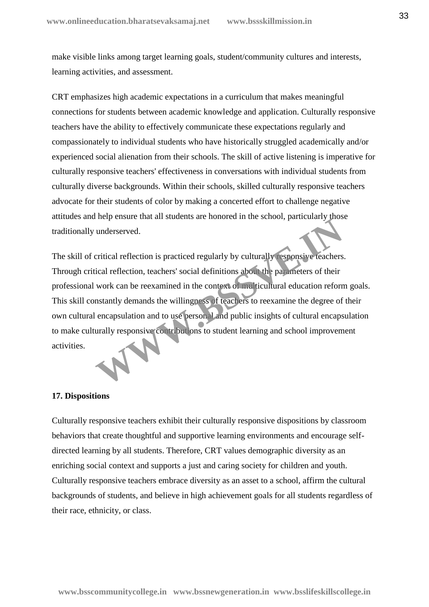make visible links among target learning goals, student/community cultures and interests, learning activities, and assessment.

CRT emphasizes high academic expectations in a curriculum that makes meaningful connections for students between academic knowledge and application. Culturally responsive teachers have the ability to effectively communicate these expectations regularly and compassionately to individual students who have historically struggled academically and/or experienced social alienation from their schools. The skill of active listening is imperative for culturally responsive teachers' effectiveness in conversations with individual students from culturally diverse backgrounds. Within their schools, skilled culturally responsive teachers advocate for their students of color by making a concerted effort to challenge negative attitudes and help ensure that all students are honored in the school, particularly those traditionally underserved.

The skill of critical reflection is practiced regularly by culturally responsive teachers. Through critical reflection, teachers' social definitions about the parameters of their professional work can be reexamined in the context of multicultural education reform goals. This skill constantly demands the willingness of teachers to reexamine the degree of their own cultural encapsulation and to use personal and public insights of cultural encapsulation to make culturally responsive contributions to student learning and school improvement activities. Inderserved.<br>
Certitical reflection is practiced regularly by culturally a show the parameters of their<br>
Work can be reexamined in the context of multicultural education reform<br>
Instantly demands the willingness of teacher

### **17. Dispositions**

Culturally responsive teachers exhibit their culturally responsive dispositions by classroom behaviors that create thoughtful and supportive learning environments and encourage self directed learning by all students. Therefore, CRT values demographic diversity as an enriching social context and supports a just and caring society for children and youth. Culturally responsive teachers embrace diversity as an asset to a school, affirm the cultural backgrounds of students, and believe in high achievement goals for all students regardless of their race, ethnicity, or class.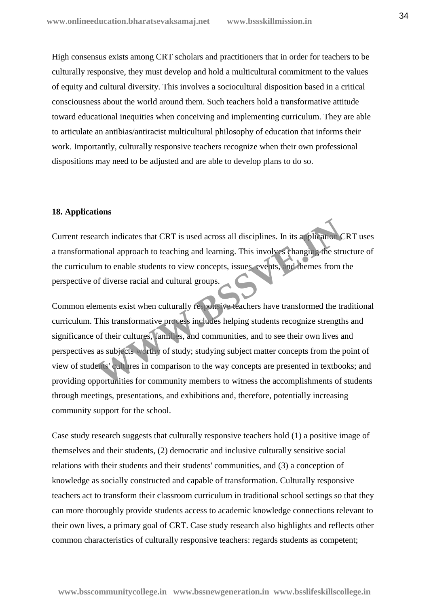High consensus exists among CRT scholars and practitioners that in order for teachers to be culturally responsive, they must develop and hold a multicultural commitment to the values of equity and cultural diversity. This involves a sociocultural disposition based in a critical consciousness about the world around them. Such teachers hold a transformative attitude toward educational inequities when conceiving and implementing curriculum. They are able to articulate an antibias/antiracist multicultural philosophy of education that informs their work. Importantly, culturally responsive teachers recognize when their own professional dispositions may need to be adjusted and are able to develop plans to do so.

### **18. Applications**

Current research indicates that CRT is used across all disciplines. In its application CRT uses a transformational approach to teaching and learning. This involves changing the structure of the curriculum to enable students to view concepts, issues, events, and themes from the perspective of diverse racial and cultural groups.

Common elements exist when culturally responsive teachers have transformed the traditional curriculum. This transformative process includes helping students recognize strengths and significance of their cultures, families, and communities, and to see their own lives and perspectives as subjects worthy of study; studying subject matter concepts from the point of view of students' cultures in comparison to the way concepts are presented in textbooks; and providing opportunities for community members to witness the accomplishments of students through meetings, presentations, and exhibitions and, therefore, potentially increasing community support for the school. arch indicates that CRT is used across all disciplines. In its a plication C<br>tional approach to teaching and learning. This involves changing the strum<br>to enable students to view concepts, issues, events, and themes from<br>o

Case study research suggests that culturally responsive teachers hold (1) a positive image of themselves and their students, (2) democratic and inclusive culturally sensitive social relations with their students and their students' communities, and (3) a conception of knowledge as socially constructed and capable of transformation. Culturally responsive teachers act to transform their classroom curriculum in traditional school settings so that they can more thoroughly provide students access to academic knowledge connections relevant to their own lives, a primary goal of CRT. Case study research also highlights and reflects other common characteristics of culturally responsive teachers: regards students as competent;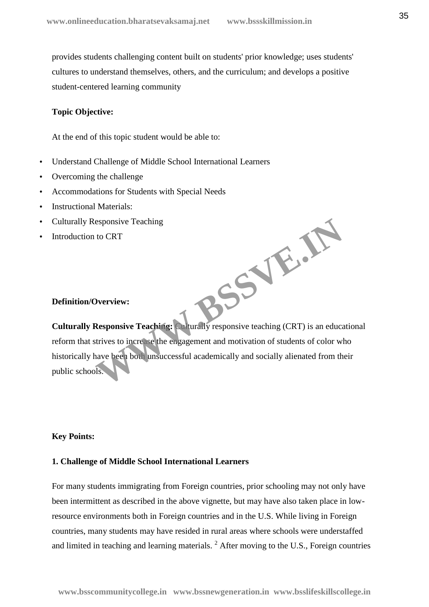provides students challenging content built on students' prior knowledge; uses students' cultures to understand themselves, others, and the curriculum; and develops a positive student-centered learning community

### **Topic Objective:**

At the end of this topic student would be able to:

- Understand Challenge of Middle School International Learners
- Overcoming the challenge
- Accommodations for Students with Special Needs
- Instructional Materials:
- Culturally Responsive Teaching
- Introduction to CRT

### **Definition/Overview:**

**Culturally Responsive Teaching:** Culturally responsive teaching (CRT) is an educational reform that strives to increase the engagement and motivation of students of color who historically have been both unsuccessful academically and socially alienated from their public schools. **WWW.BSSVE.IN**

### **Key Points:**

### **1. Challenge of Middle School International Learners**

For many students immigrating from Foreign countries, prior schooling may not only have been intermittent as described in the above vignette, but may have also taken place in lowresource environments both in Foreign countries and in the U.S. While living in Foreign countries, many students may have resided in rural areas where schools were understaffed and limited in teaching and learning materials.  $2$  After moving to the U.S., Foreign countries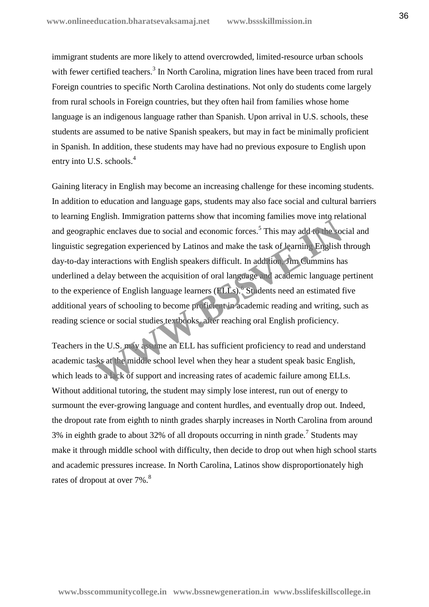immigrant students are more likely to attend overcrowded, limited-resource urban schools with fewer certified teachers.<sup>3</sup> In North Carolina, migration lines have been traced from rural Foreign countries to specific North Carolina destinations. Not only do students come largely from rural schools in Foreign countries, but they often hail from families whose home language is an indigenous language rather than Spanish. Upon arrival in U.S. schools, these students are assumed to be native Spanish speakers, but may in fact be minimally proficient in Spanish. In addition, these students may have had no previous exposure to English upon entry into U.S. schools.<sup>4</sup>

Gaining literacy in English may become an increasing challenge for these incoming students. In addition to education and language gaps, students may also face social and cultural barriers to learning English. Immigration patterns show that incoming families move into relational and geographic enclaves due to social and economic forces.<sup>5</sup> This may add to the social and linguistic segregation experienced by Latinos and make the task of learning English through day-to-day interactions with English speakers difficult. In addition, Jim Cummins has underlined a delay between the acquisition of oral language and academic language pertinent to the experience of English language learners (ELLs).<sup>6</sup> Students need an estimated five additional years of schooling to become proficient in academic reading and writing, such as reading science or social studies textbooks, after reaching oral English proficiency. *Magnan: managranon patterns show that meoning ramines move into tem*<br>hic enclaves due to social and economic forces.<sup>5</sup> This may add to the soc<br>gregation experienced by Latinos and make the task of learning English<br>therac

Teachers in the U.S. may assume an ELL has sufficient proficiency to read and understand academic tasks at the middle school level when they hear a student speak basic English, which leads to a lack of support and increasing rates of academic failure among ELLs. Without additional tutoring, the student may simply lose interest, run out of energy to surmount the ever-growing language and content hurdles, and eventually drop out. Indeed, the dropout rate from eighth to ninth grades sharply increases in North Carolina from around 3% in eighth grade to about 32% of all dropouts occurring in ninth grade.<sup>7</sup> Students may make it through middle school with difficulty, then decide to drop out when high school starts and academic pressures increase. In North Carolina, Latinos show disproportionately high rates of dropout at over 7%.<sup>8</sup>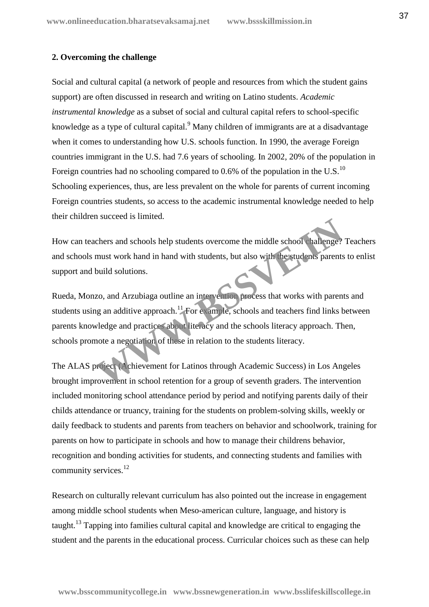## **2. Overcoming the challenge**

Social and cultural capital (a network of people and resources from which the student gains support) are often discussed in research and writing on Latino students. *Academic instrumental knowledge* as a subset of social and cultural capital refers to school-specific knowledge as a type of cultural capital.<sup>9</sup> Many children of immigrants are at a disadvantage when it comes to understanding how U.S. schools function. In 1990, the average Foreign countries immigrant in the U.S. had 7.6 years of schooling. In 2002, 20% of the population in Foreign countries had no schooling compared to 0.6% of the population in the U.S.<sup>10</sup> Schooling experiences, thus, are less prevalent on the whole for parents of current incoming Foreign countries students, so access to the academic instrumental knowledge needed to help their children succeed is limited.

How can teachers and schools help students overcome the middle school challenge? Teachers and schools must work hand in hand with students, but also with the students parents to enlist support and build solutions.

Rueda, Monzo, and Arzubiaga outline an intervention process that works with parents and students using an additive approach.<sup>11</sup> For example, schools and teachers find links between parents knowledge and practices about literacy and the schools literacy approach. Then, schools promote a negotiation of these in relation to the students literacy. chers and schools help students overcome the middle school challenge?<br>
must work hand in hand with students, but also with the students parents<br>
build solutions.<br>
zo, and Arzubiaga outline an intervention process that work

The ALAS project (Achievement for Latinos through Academic Success) in Los Angeles brought improvement in school retention for a group of seventh graders. The intervention included monitoring school attendance period by period and notifying parents daily of their childs attendance or truancy, training for the students on problem-solving skills, weekly or daily feedback to students and parents from teachers on behavior and schoolwork, training for parents on how to participate in schools and how to manage their childrens behavior, recognition and bonding activities for students, and connecting students and families with community services.<sup>12</sup>

Research on culturally relevant curriculum has also pointed out the increase in engagement among middle school students when Meso-american culture, language, and history is taught.<sup>13</sup> Tapping into families cultural capital and knowledge are critical to engaging the student and the parents in the educational process. Curricular choices such as these can help

**www.bsscommunitycollege.in www.bssnewgeneration.in www.bsslifeskillscollege.in**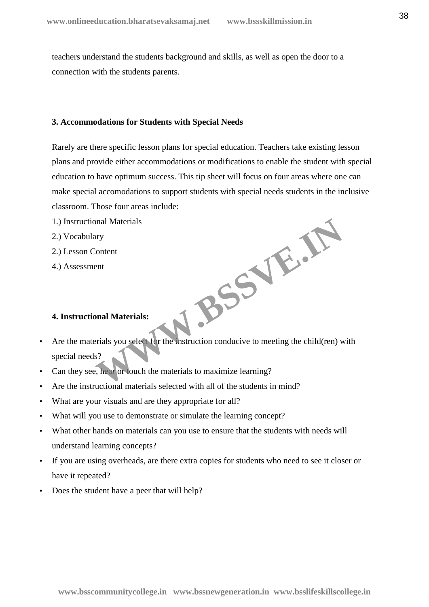teachers understand the students background and skills, as well as open the door to a connection with the students parents.

## **3. Accommodations for Students with Special Needs**

Rarely are there specific lesson plans for special education. Teachers take existing lesson plans and provide either accommodations or modifications to enable the student with special education to have optimum success. This tip sheet will focus on four areas where one can make special accomodations to support students with special needs students in the inclusive classroom. Those four areas include: **WWW.BSSVE.IN**

- 1.) Instructional Materials
- 2.) Vocabulary
- 2.) Lesson Content
- 4.) Assessment

## **4. Instructional Materials:**

- Are the materials you select for the instruction conducive to meeting the child(ren) with special needs?
- Can they see, hear or touch the materials to maximize learning?
- Are the instructional materials selected with all of the students in mind?
- What are your visuals and are they appropriate for all?
- What will you use to demonstrate or simulate the learning concept?
- What other hands on materials can you use to ensure that the students with needs will understand learning concepts?
- If you are using overheads, are there extra copies for students who need to see it closer or have it repeated?
- Does the student have a peer that will help?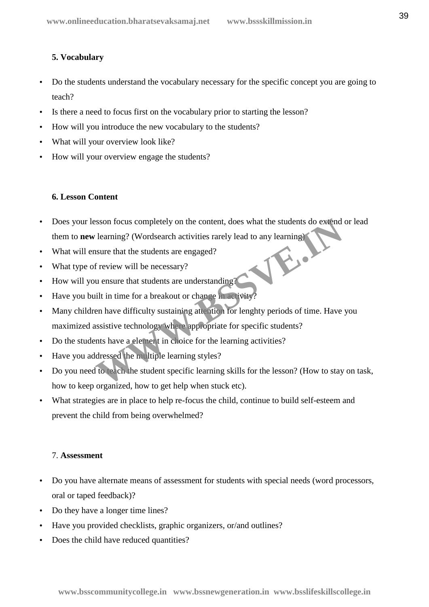## **5. Vocabulary**

- Do the students understand the vocabulary necessary for the specific concept you are going to teach?
- Is there a need to focus first on the vocabulary prior to starting the lesson?
- How will you introduce the new vocabulary to the students?
- What will your overview look like?
- How will your overview engage the students?

## **6. Lesson Content**

- Does your lesson focus completely on the content, does what the students do extend or lead them to **new** learning? (Wordsearch activities rarely lead to any learning)
- What will ensure that the students are engaged?
- What type of review will be necessary?
- How will you ensure that students are understanding?
- Have you built in time for a breakout or change in activity?
- Many children have difficulty sustaining attention for lenghty periods of time. Have you maximized assistive technology where appropriate for specific students? Source Completely on the content, does what the students do extend<br>
1 learning? (Wordsearch activities rarely lead to any learning)<br>
Sure that the students are engaged?<br>
1 f review will be necessary?<br>
1 ensure that student
- Do the students have a element in choice for the learning activities?
- Have you addressed the multiple learning styles?
- Do you need to teach the student specific learning skills for the lesson? (How to stay on task, how to keep organized, how to get help when stuck etc).
- What strategies are in place to help re-focus the child, continue to build self-esteem and prevent the child from being overwhelmed?

## 7. **Assessment**

- Do you have alternate means of assessment for students with special needs (word processors, oral or taped feedback)?
- Do they have a longer time lines?
- Have you provided checklists, graphic organizers, or/and outlines?
- Does the child have reduced quantities?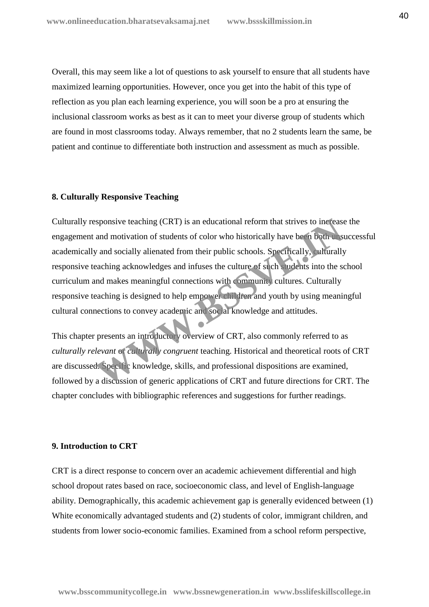Overall, this may seem like a lot of questions to ask yourself to ensure that all students have maximized learning opportunities. However, once you get into the habit of this type of reflection as you plan each learning experience, you will soon be a pro at ensuring the inclusional classroom works as best as it can to meet your diverse group of students which are found in most classrooms today. Always remember, that no 2 students learn the same, be patient and continue to differentiate both instruction and assessment as much as possible.

#### **8. Culturally Responsive Teaching**

Culturally responsive teaching (CRT) is an educational reform that strives to increase the engagement and motivation of students of color who historically have been both unsuccessful academically and socially alienated from their public schools. Specifically, culturally responsive teaching acknowledges and infuses the culture of such students into the school curriculum and makes meaningful connections with community cultures. Culturally responsive teaching is designed to help empower children and youth by using meaningful cultural connections to convey academic and social knowledge and attitudes. Exponsive teaching (CRT) is an educational reform that strives to inclease<br>and motivation of students of color who historically have be a both uns<br>y and socially alienated from their public schools. Specifically, enturally

This chapter presents an introductory overview of CRT, also commonly referred to as *culturally relevant* or *culturally congruent* teaching. Historical and theoretical roots of CRT are discussed. Specific knowledge, skills, and professional dispositions are examined, followed by a discussion of generic applications of CRT and future directions for CRT. The chapter concludes with bibliographic references and suggestions for further readings.

## **9. Introduction to CRT**

CRT is a direct response to concern over an academic achievement differential and high school dropout rates based on race, socioeconomic class, and level of English-language ability. Demographically, this academic achievement gap is generally evidenced between (1) White economically advantaged students and (2) students of color, immigrant children, and students from lower socio-economic families. Examined from a school reform perspective,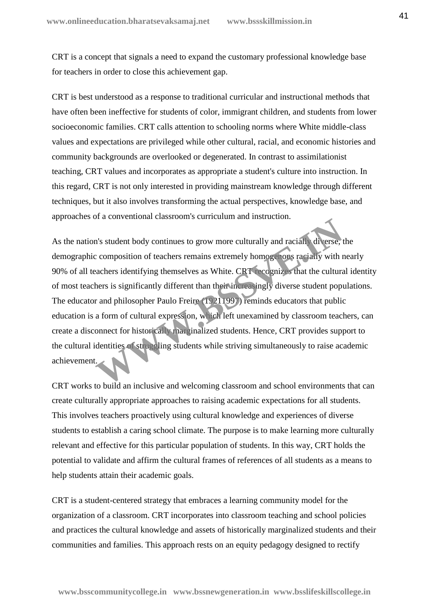CRT is a concept that signals a need to expand the customary professional knowledge base for teachers in order to close this achievement gap.

CRT is best understood as a response to traditional curricular and instructional methods that have often been ineffective for students of color, immigrant children, and students from lower socioeconomic families. CRT calls attention to schooling norms where White middle-class values and expectations are privileged while other cultural, racial, and economic histories and community backgrounds are overlooked or degenerated. In contrast to assimilationist teaching, CRT values and incorporates as appropriate a student's culture into instruction. In this regard, CRT is not only interested in providing mainstream knowledge through different techniques, but it also involves transforming the actual perspectives, knowledge base, and approaches of a conventional classroom's curriculum and instruction.

As the nation's student body continues to grow more culturally and racially diverse, the demographic composition of teachers remains extremely homogenous racially with nearly 90% of all teachers identifying themselves as White. CRT recognizes that the cultural identity of most teachers is significantly different than their increasingly diverse student populations. The educator and philosopher Paulo Freire (19211997) reminds educators that public education is a form of cultural expression, which left unexamined by classroom teachers, can create a disconnect for historically marginalized students. Hence, CRT provides support to the cultural identities of struggling students while striving simultaneously to raise academic achievement. The student body continues to grow more culturally and racially diverse, the composition of teachers remains extremely homoge to's racially with reachers identifying themselves as White. CRT recognizes that the cultural me

CRT works to build an inclusive and welcoming classroom and school environments that can create culturally appropriate approaches to raising academic expectations for all students. This involves teachers proactively using cultural knowledge and experiences of diverse students to establish a caring school climate. The purpose is to make learning more culturally relevant and effective for this particular population of students. In this way, CRT holds the potential to validate and affirm the cultural frames of references of all students as a means to help students attain their academic goals.

CRT is a student-centered strategy that embraces a learning community model for the organization of a classroom. CRT incorporates into classroom teaching and school policies and practices the cultural knowledge and assets of historically marginalized students and their communities and families. This approach rests on an equity pedagogy designed to rectify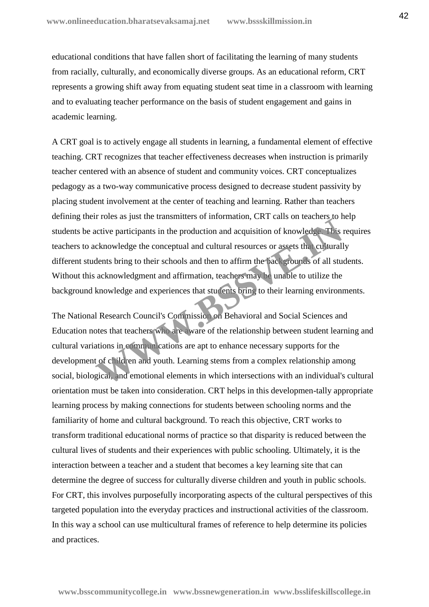educational conditions that have fallen short of facilitating the learning of many students from racially, culturally, and economically diverse groups. As an educational reform, CRT represents a growing shift away from equating student seat time in a classroom with learning and to evaluating teacher performance on the basis of student engagement and gains in academic learning.

A CRT goal is to actively engage all students in learning, a fundamental element of effective teaching. CRT recognizes that teacher effectiveness decreases when instruction is primarily teacher centered with an absence of student and community voices. CRT conceptualizes pedagogy as a two-way communicative process designed to decrease student passivity by placing student involvement at the center of teaching and learning. Rather than teachers defining their roles as just the transmitters of information, CRT calls on teachers to help students be active participants in the production and acquisition of knowledge. This requires teachers to acknowledge the conceptual and cultural resources or assets that culturally different students bring to their schools and then to affirm the backgrounds of all students. Without this acknowledgment and affirmation, teachers may be unable to utilize the background knowledge and experiences that students bring to their learning environments. Thus as just the dultrimates of intofination, CKT can's of elactions in<br>chief participants in the production and acquisition of knowledge. This<br>cknowledge the conceptual and cultural resources or assets that culturall<br>dent

The National Research Council's Commission on Behavioral and Social Sciences and Education notes that teachers who are aware of the relationship between student learning and cultural variations in communications are apt to enhance necessary supports for the development of children and youth. Learning stems from a complex relationship among social, biological, and emotional elements in which intersections with an individual's cultural orientation must be taken into consideration. CRT helps in this developmen-tally appropriate learning process by making connections for students between schooling norms and the familiarity of home and cultural background. To reach this objective, CRT works to transform traditional educational norms of practice so that disparity is reduced between the cultural lives of students and their experiences with public schooling. Ultimately, it is the interaction between a teacher and a student that becomes a key learning site that can determine the degree of success for culturally diverse children and youth in public schools. For CRT, this involves purposefully incorporating aspects of the cultural perspectives of this targeted population into the everyday practices and instructional activities of the classroom. In this way a school can use multicultural frames of reference to help determine its policies and practices.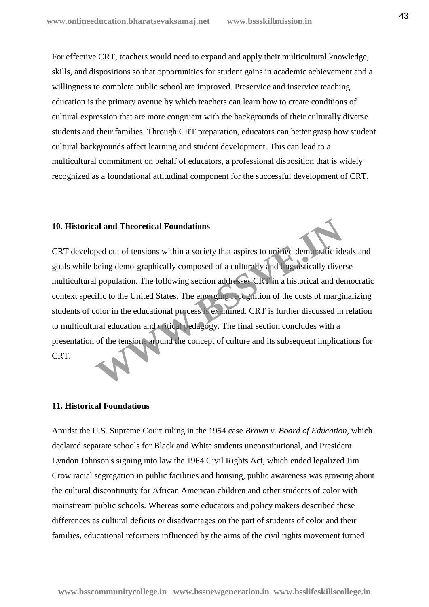For effective CRT, teachers would need to expand and apply their multicultural knowledge, skills, and dispositions so that opportunities for student gains in academic achievement and a willingness to complete public school are improved. Preservice and inservice teaching education is the primary avenue by which teachers can learn how to create conditions of cultural expression that are more congruent with the backgrounds of their culturally diverse students and their families. Through CRT preparation, educators can better grasp how student cultural backgrounds affect learning and student development. This can lead to a multicultural commitment on behalf of educators, a professional disposition that is widely recognized as a foundational attitudinal component for the successful development of CRT.

## **10. Historical and Theoretical Foundations**

CRT developed out of tensions within a society that aspires to unified democratic ideals and goals while being demo-graphically composed of a culturally and linguistically diverse multicultural population. The following section addresses CRT in a historical and democratic context specific to the United States. The emerging recognition of the costs of marginalizing students of color in the educational process is examined. CRT is further discussed in relation to multicultural education and critical pedagogy. The final section concludes with a presentation of the tensions around the concept of culture and its subsequent implications for CRT. al and Theoretical Foundations<br>ped out of tensions within a society that aspires to unified democratic ide<br>being demo-graphically composed of a culturally and Inguistically diver<br>I population. The following section address

## **11. Historical Foundations**

Amidst the U.S. Supreme Court ruling in the 1954 case *Brown v. Board of Education*, which declared separate schools for Black and White students unconstitutional, and President Lyndon Johnson's signing into law the 1964 Civil Rights Act, which ended legalized Jim Crow racial segregation in public facilities and housing, public awareness was growing about the cultural discontinuity for African American children and other students of color with mainstream public schools. Whereas some educators and policy makers described these differences as cultural deficits or disadvantages on the part of students of color and their families, educational reformers influenced by the aims of the civil rights movement turned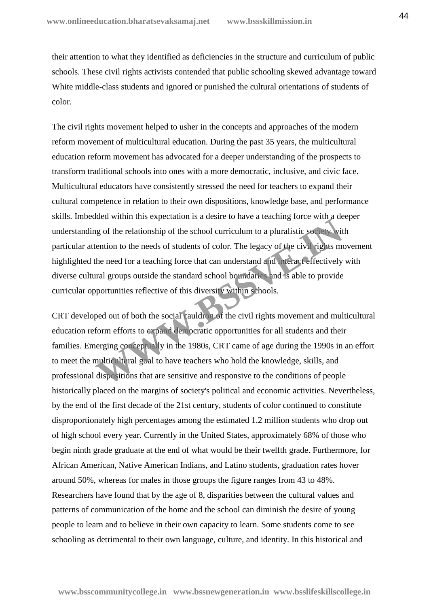their attention to what they identified as deficiencies in the structure and curriculum of public schools. These civil rights activists contended that public schooling skewed advantage toward White middle-class students and ignored or punished the cultural orientations of students of color.

The civil rights movement helped to usher in the concepts and approaches of the modern reform movement of multicultural education. During the past 35 years, the multicultural education reform movement has advocated for a deeper understanding of the prospects to transform traditional schools into ones with a more democratic, inclusive, and civic face. Multicultural educators have consistently stressed the need for teachers to expand their cultural competence in relation to their own dispositions, knowledge base, and performance skills. Imbedded within this expectation is a desire to have a teaching force with a deeper understanding of the relationship of the school curriculum to a pluralistic society with particular attention to the needs of students of color. The legacy of the civil rights movement highlighted the need for a teaching force that can understand and interact effectively with diverse cultural groups outside the standard school boundaries and is able to provide curricular opportunities reflective of this diversity within schools. From the ends of students of color. The legacy of the civil rights means the needs of students of color. The legacy of the civil rights means the need for a teaching force that can understand and interact effectively ural

CRT developed out of both the social cauldron of the civil rights movement and multicultural education reform efforts to expand democratic opportunities for all students and their families. Emerging conceptually in the 1980s, CRT came of age during the 1990s in an effort to meet the multicultural goal to have teachers who hold the knowledge, skills, and professional dispositions that are sensitive and responsive to the conditions of people historically placed on the margins of society's political and economic activities. Nevertheless, by the end of the first decade of the 21st century, students of color continued to constitute disproportionately high percentages among the estimated 1.2 million students who drop out of high school every year. Currently in the United States, approximately 68% of those who begin ninth grade graduate at the end of what would be their twelfth grade. Furthermore, for African American, Native American Indians, and Latino students, graduation rates hover around 50%, whereas for males in those groups the figure ranges from 43 to 48%. Researchers have found that by the age of 8, disparities between the cultural values and patterns of communication of the home and the school can diminish the desire of young people to learn and to believe in their own capacity to learn. Some students come to see schooling as detrimental to their own language, culture, and identity. In this historical and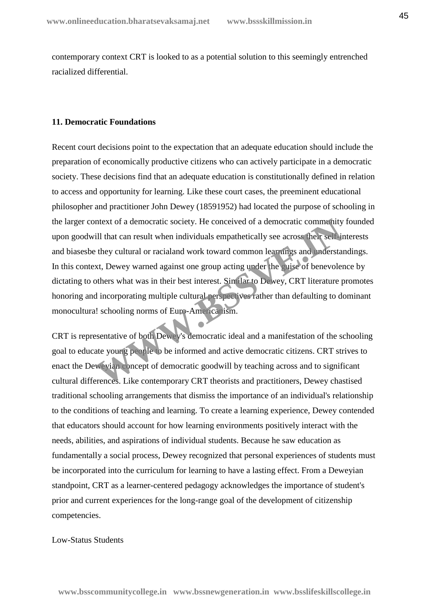contemporary context CRT is looked to as a potential solution to this seemingly entrenched racialized differential.

## **11. Democratic Foundations**

Recent court decisions point to the expectation that an adequate education should include the preparation of economically productive citizens who can actively participate in a democratic society. These decisions find that an adequate education is constitutionally defined in relation to access and opportunity for learning. Like these court cases, the preeminent educational philosopher and practitioner John Dewey (18591952) had located the purpose of schooling in the larger context of a democratic society. He conceived of a democratic community founded upon goodwill that can result when individuals empathetically see across their self-interests and biasesbe they cultural or racialand work toward common learnings and understandings. In this context, Dewey warned against one group acting under the guise of benevolence by dictating to others what was in their best interest. Similar to Dewey, CRT literature promotes honoring and incorporating multiple cultural perspectives rather than defaulting to dominant monocultura! schooling norms of Euro-Americanism. ntext of a democratic society. He conceived of a democratic community<br>ill that can result when individuals empathetically see across their self-in<br>they cultural or racialand work toward common learnings and inderstand<br>xt,

CRT is representative of both Dewey's democratic ideal and a manifestation of the schooling goal to educate young people to be informed and active democratic citizens. CRT strives to enact the Deweyian concept of democratic goodwill by teaching across and to significant cultural differences. Like contemporary CRT theorists and practitioners, Dewey chastised traditional schooling arrangements that dismiss the importance of an individual's relationship to the conditions of teaching and learning. To create a learning experience, Dewey contended that educators should account for how learning environments positively interact with the needs, abilities, and aspirations of individual students. Because he saw education as fundamentally a social process, Dewey recognized that personal experiences of students must be incorporated into the curriculum for learning to have a lasting effect. From a Deweyian standpoint, CRT as a learner-centered pedagogy acknowledges the importance of student's prior and current experiences for the long-range goal of the development of citizenship competencies.

## Low-Status Students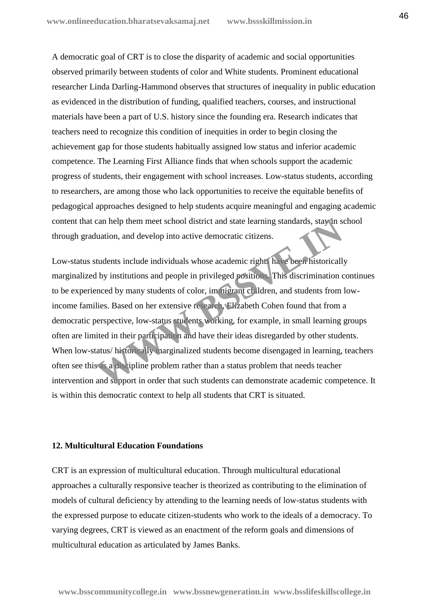A democratic goal of CRT is to close the disparity of academic and social opportunities observed primarily between students of color and White students. Prominent educational researcher Linda Darling-Hammond observes that structures of inequality in public education as evidenced in the distribution of funding, qualified teachers, courses, and instructional materials have been a part of U.S. history since the founding era. Research indicates that teachers need to recognize this condition of inequities in order to begin closing the achievement gap for those students habitually assigned low status and inferior academic competence. The Learning First Alliance finds that when schools support the academic progress of students, their engagement with school increases. Low-status students, according to researchers, are among those who lack opportunities to receive the equitable benefits of pedagogical approaches designed to help students acquire meaningful and engaging academic content that can help them meet school district and state learning standards, stay in school through graduation, and develop into active democratic citizens.

Low-status students include individuals whose academic rights have been historically marginalized by institutions and people in privileged positions. This discrimination continues to be experienced by many students of color, immigrant children, and students from lowincome families. Based on her extensive research, Elizabeth Cohen found that from a democratic perspective, low-status students working, for example, in small learning groups often are limited in their participation and have their ideas disregarded by other students. When low-status/ historically marginalized students become disengaged in learning, teachers often see this as a discipline problem rather than a status problem that needs teacher intervention and support in order that such students can demonstrate academic competence. It is within this democratic context to help all students that CRT is situated. can help them meet school district and state learning standards, stay in solutation, and develop into active democratic citizens.<br>
Huation, and develop into active democratic citizens.<br>
Huations include individuals whose a

## **12. Multicultural Education Foundations**

CRT is an expression of multicultural education. Through multicultural educational approaches a culturally responsive teacher is theorized as contributing to the elimination of models of cultural deficiency by attending to the learning needs of low-status students with the expressed purpose to educate citizen-students who work to the ideals of a democracy. To varying degrees, CRT is viewed as an enactment of the reform goals and dimensions of multicultural education as articulated by James Banks.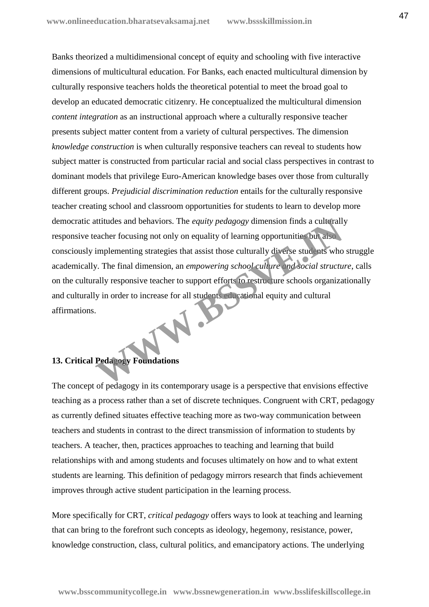Banks theorized a multidimensional concept of equity and schooling with five interactive dimensions of multicultural education. For Banks, each enacted multicultural dimension by culturally responsive teachers holds the theoretical potential to meet the broad goal to develop an educated democratic citizenry. He conceptualized the multicultural dimension *content integration* as an instructional approach where a culturally responsive teacher presents subject matter content from a variety of cultural perspectives. The dimension *knowledge construction* is when culturally responsive teachers can reveal to students how subject matter is constructed from particular racial and social class perspectives in contrast to dominant models that privilege Euro-American knowledge bases over those from culturally different groups. *Prejudicial discrimination reduction* entails for the culturally responsive teacher creating school and classroom opportunities for students to learn to develop more democratic attitudes and behaviors. The *equity pedagogy* dimension finds a culturally responsive teacher focusing not only on equality of learning opportunities but also consciously implementing strategies that assist those culturally diverse students who struggle academically. The final dimension, an *empowering school culture and social structure*, calls on the culturally responsive teacher to support efforts to restructure schools organizationally and culturally in order to increase for all students educational equity and cultural affirmations. Internative and behaviors. The *equity pedagogy* dimension finds a culturally<br>
eacher focusing not only on equality of learning opportunities but also<br>
implementing strategies that assist those culturally diverse students

# **13. Critical Pedagogy Foundations**

The concept of pedagogy in its contemporary usage is a perspective that envisions effective teaching as a process rather than a set of discrete techniques. Congruent with CRT, pedagogy as currently defined situates effective teaching more as two-way communication between teachers and students in contrast to the direct transmission of information to students by teachers. A teacher, then, practices approaches to teaching and learning that build relationships with and among students and focuses ultimately on how and to what extent students are learning. This definition of pedagogy mirrors research that finds achievement improves through active student participation in the learning process.

More specifically for CRT, *critical pedagogy* offers ways to look at teaching and learning that can bring to the forefront such concepts as ideology, hegemony, resistance, power, knowledge construction, class, cultural politics, and emancipatory actions. The underlying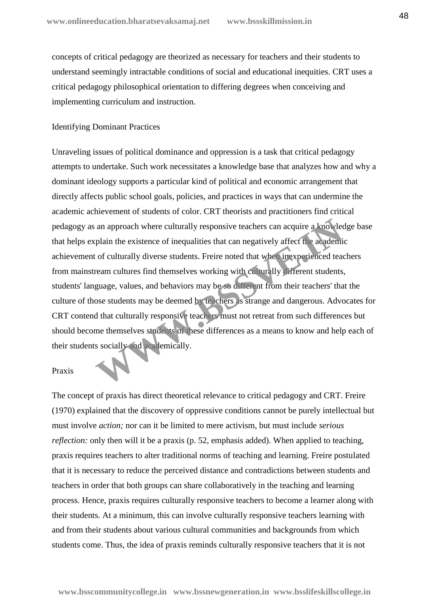concepts of critical pedagogy are theorized as necessary for teachers and their students to understand seemingly intractable conditions of social and educational inequities. CRT uses a critical pedagogy philosophical orientation to differing degrees when conceiving and implementing curriculum and instruction.

#### Identifying Dominant Practices

Unraveling issues of political dominance and oppression is a task that critical pedagogy attempts to undertake. Such work necessitates a knowledge base that analyzes how and why a dominant ideology supports a particular kind of political and economic arrangement that directly affects public school goals, policies, and practices in ways that can undermine the academic achievement of students of color. CRT theorists and practitioners find critical pedagogy as an approach where culturally responsive teachers can acquire a knowledge base that helps explain the existence of inequalities that can negatively affect the academic achievement of culturally diverse students. Freire noted that when inexperienced teachers from mainstream cultures find themselves working with culturally different students, students' language, values, and behaviors may be so different from their teachers' that the culture of those students may be deemed by teachers as strange and dangerous. Advocates for CRT contend that culturally responsive teachers must not retreat from such differences but should become themselves students of these differences as a means to know and help each of their students socially and academically. an approach where culturally responsive teachers can acquire a knowled<br>plain the existence of inequalities that can negatively affect the academii<br>of culturally diverse students. Freire noted that when inexperienced tead<br>r

## Praxis

The concept of praxis has direct theoretical relevance to critical pedagogy and CRT. Freire (1970) explained that the discovery of oppressive conditions cannot be purely intellectual but must involve *action;* nor can it be limited to mere activism, but must include *serious reflection:* only then will it be a praxis (p. 52, emphasis added). When applied to teaching, praxis requires teachers to alter traditional norms of teaching and learning. Freire postulated that it is necessary to reduce the perceived distance and contradictions between students and teachers in order that both groups can share collaboratively in the teaching and learning process. Hence, praxis requires culturally responsive teachers to become a learner along with their students. At a minimum, this can involve culturally responsive teachers learning with and from their students about various cultural communities and backgrounds from which students come. Thus, the idea of praxis reminds culturally responsive teachers that it is not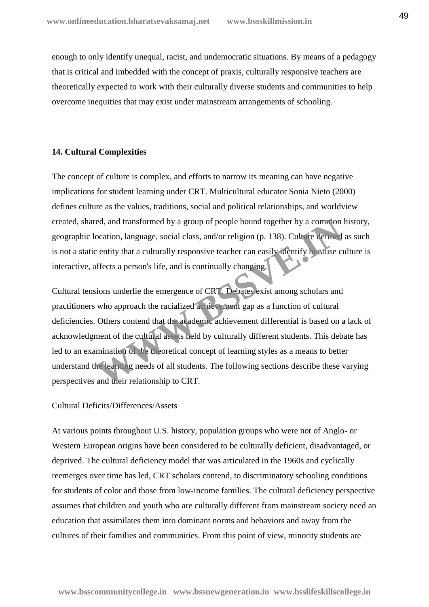enough to only identify unequal, racist, and undemocratic situations. By means of a pedagogy that is critical and imbedded with the concept of praxis, culturally responsive teachers are theoretically expected to work with their culturally diverse students and communities to help overcome inequities that may exist under mainstream arrangements of schooling.

#### **14. Cultural Complexities**

The concept of culture is complex, and efforts to narrow its meaning can have negative implications for student learning under CRT. Multicultural educator Sonia Nieto (2000) defines culture as the values, traditions, social and political relationships, and worldview created, shared, and transformed by a group of people bound together by a common history, geographic location, language, social class, and/or religion (p. 138). Culture defined as such is not a static entity that a culturally responsive teacher can easily identify because culture is interactive, affects a person's life, and is continually changing.

Cultural tensions underlie the emergence of CRT. Debates exist among scholars and practitioners who approach the racialized achievement gap as a function of cultural deficiencies. Others contend that the academic achievement differential is based on a lack of acknowledgment of the cultural assets held by culturally different students. This debate has led to an examination of the theoretical concept of learning styles as a means to better understand the learning needs of all students. The following sections describe these varying perspectives and their relationship to CRT. red, and transformed by a group of people bound together by a common ocation, language, social class, and/or religion (p. 138). Cult re derined centity that a culturally responsive teacher can easily identify because culte

## Cultural Deficits/Differences/Assets

At various points throughout U.S. history, population groups who were not of Anglo- or Western European origins have been considered to be culturally deficient, disadvantaged, or deprived. The cultural deficiency model that was articulated in the 1960s and cyclically reemerges over time has led, CRT scholars contend, to discriminatory schooling conditions for students of color and those from low-income families. The cultural deficiency perspective assumes that children and youth who are culturally different from mainstream society need an education that assimilates them into dominant norms and behaviors and away from the cultures of their families and communities. From this point of view, minority students are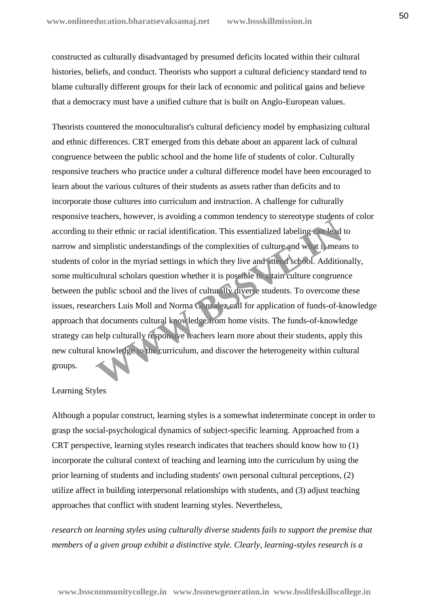constructed as culturally disadvantaged by presumed deficits located within their cultural histories, beliefs, and conduct. Theorists who support a cultural deficiency standard tend to blame culturally different groups for their lack of economic and political gains and believe that a democracy must have a unified culture that is built on Anglo-European values.

Theorists countered the monoculturalist's cultural deficiency model by emphasizing cultural and ethnic differences. CRT emerged from this debate about an apparent lack of cultural congruence between the public school and the home life of students of color. Culturally responsive teachers who practice under a cultural difference model have been encouraged to learn about the various cultures of their students as assets rather than deficits and to incorporate those cultures into curriculum and instruction. A challenge for culturally responsive teachers, however, is avoiding a common tendency to stereotype students of color according to their ethnic or racial identification. This essentialized labeling can lead to narrow and simplistic understandings of the complexities of culture and what it means to students of color in the myriad settings in which they live and attend school. Additionally, some multicultural scholars question whether it is possible to attain culture congruence between the public school and the lives of culturally diverse students. To overcome these issues, researchers Luis Moll and Norma Gonzalez call for application of funds-of-knowledge approach that documents cultural knowledge from home visits. The funds-of-knowledge strategy can help culturally responsive teachers learn more about their students, apply this new cultural knowledge to the curriculum, and discover the heterogeneity within cultural groups. their ethnic or racial identification. This essentialized labeling can lead<br>simplistic understandings of the complexities of culture and what it mean<br>olor in the myriad settings in which they live and attend school. Additi

## Learning Styles

Although a popular construct, learning styles is a somewhat indeterminate concept in order to grasp the social-psychological dynamics of subject-specific learning. Approached from a CRT perspective, learning styles research indicates that teachers should know how to (1) incorporate the cultural context of teaching and learning into the curriculum by using the prior learning of students and including students' own personal cultural perceptions, (2) utilize affect in building interpersonal relationships with students, and (3) adjust teaching approaches that conflict with student learning styles. Nevertheless,

*research on learning styles using culturally diverse students fails to support the premise that members of a given group exhibit a distinctive style. Clearly, learning-styles research is a*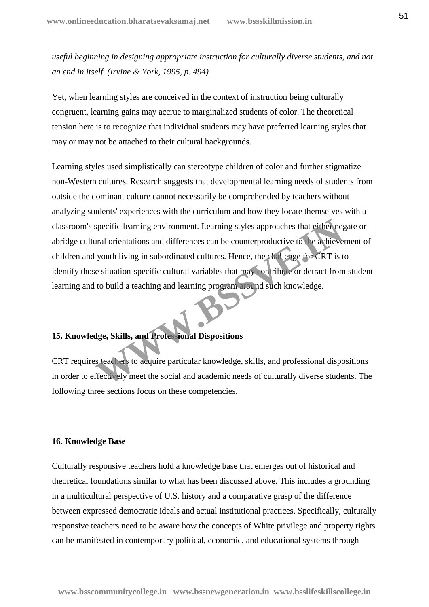*useful beginning in designing appropriate instruction for culturally diverse students, and not an end in itself. (Irvine & York, 1995, p. 494)*

Yet, when learning styles are conceived in the context of instruction being culturally congruent, learning gains may accrue to marginalized students of color. The theoretical tension here is to recognize that individual students may have preferred learning styles that may or may not be attached to their cultural backgrounds.

Learning styles used simplistically can stereotype children of color and further stigmatize non-Western cultures. Research suggests that developmental learning needs of students from outside the dominant culture cannot necessarily be comprehended by teachers without analyzing students' experiences with the curriculum and how they locate themselves with a classroom's specific learning environment. Learning styles approaches that either negate or abridge cultural orientations and differences can be counterproductive to the achievement of children and youth living in subordinated cultures. Hence, the challenge for CRT is to identify those situation-specific cultural variables that may contribute or detract from student learning and to build a teaching and learning program around such knowledge. specific learning environment. Learning styles approaches that either near<br>time and orientations and differences can be counterproductive to the achieve<br>youth living in subordinated cultures. Hence, the ch<sup>1</sup>lenge for CRT

## **15. Knowledge, Skills, and Professional Dispositions**

CRT requires teachers to acquire particular knowledge, skills, and professional dispositions in order to effectively meet the social and academic needs of culturally diverse students. The following three sections focus on these competencies.

#### **16. Knowledge Base**

Culturally responsive teachers hold a knowledge base that emerges out of historical and theoretical foundations similar to what has been discussed above. This includes a grounding in a multicultural perspective of U.S. history and a comparative grasp of the difference between expressed democratic ideals and actual institutional practices. Specifically, culturally responsive teachers need to be aware how the concepts of White privilege and property rights can be manifested in contemporary political, economic, and educational systems through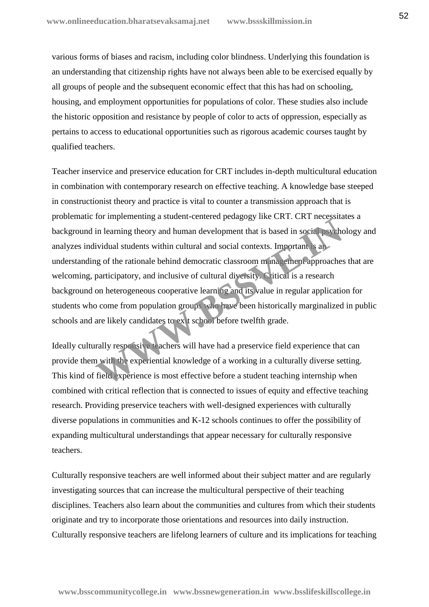various forms of biases and racism, including color blindness. Underlying this foundation is an understanding that citizenship rights have not always been able to be exercised equally by all groups of people and the subsequent economic effect that this has had on schooling, housing, and employment opportunities for populations of color. These studies also include the historic opposition and resistance by people of color to acts of oppression, especially as pertains to access to educational opportunities such as rigorous academic courses taught by qualified teachers.

Teacher inservice and preservice education for CRT includes in-depth multicultural education in combination with contemporary research on effective teaching. A knowledge base steeped in constructionist theory and practice is vital to counter a transmission approach that is problematic for implementing a student-centered pedagogy like CRT. CRT necessitates a background in learning theory and human development that is based in social psychology and analyzes individual students within cultural and social contexts. Important is an understanding of the rationale behind democratic classroom management approaches that are welcoming, participatory, and inclusive of cultural diversity. Critical is a research background on heterogeneous cooperative learning and its value in regular application for students who come from population groups who have been historically marginalized in public schools and are likely candidates to exit school before twelfth grade. In learning theory and human development that is based in social psychological students within cultural and social contexts. Important is and got the rationale behind democratic classroom management approaches participator

Ideally culturally responsive teachers will have had a preservice field experience that can provide them with the experiential knowledge of a working in a culturally diverse setting. This kind of field experience is most effective before a student teaching internship when combined with critical reflection that is connected to issues of equity and effective teaching research. Providing preservice teachers with well-designed experiences with culturally diverse populations in communities and K-12 schools continues to offer the possibility of expanding multicultural understandings that appear necessary for culturally responsive teachers.

Culturally responsive teachers are well informed about their subject matter and are regularly investigating sources that can increase the multicultural perspective of their teaching disciplines. Teachers also learn about the communities and cultures from which their students originate and try to incorporate those orientations and resources into daily instruction. Culturally responsive teachers are lifelong learners of culture and its implications for teaching

**www.bsscommunitycollege.in www.bssnewgeneration.in www.bsslifeskillscollege.in**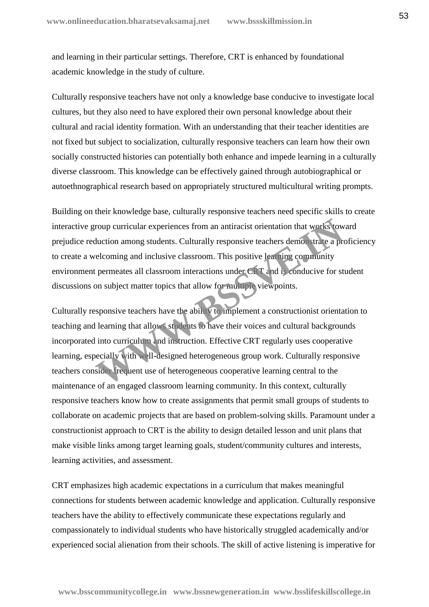and learning in their particular settings. Therefore, CRT is enhanced by foundational academic knowledge in the study of culture.

Culturally responsive teachers have not only a knowledge base conducive to investigate local cultures, but they also need to have explored their own personal knowledge about their cultural and racial identity formation. With an understanding that their teacher identities are not fixed but subject to socialization, culturally responsive teachers can learn how their own socially constructed histories can potentially both enhance and impede learning in a culturally diverse classroom. This knowledge can be effectively gained through autobiographical or autoethnographical research based on appropriately structured multicultural writing prompts.

Building on their knowledge base, culturally responsive teachers need specific skills to create interactive group curricular experiences from an antiracist orientation that works toward prejudice reduction among students. Culturally responsive teachers demonstrate a proficiency to create a welcoming and inclusive classroom. This positive learning community environment permeates all classroom interactions under CRT and is conducive for student discussions on subject matter topics that allow for multiple viewpoints.

Culturally responsive teachers have the ability to implement a constructionist orientation to teaching and learning that allows students to have their voices and cultural backgrounds incorporated into curriculum and instruction. Effective CRT regularly uses cooperative learning, especially with well-designed heterogeneous group work. Culturally responsive teachers consider frequent use of heterogeneous cooperative learning central to the maintenance of an engaged classroom learning community. In this context, culturally responsive teachers know how to create assignments that permit small groups of students to collaborate on academic projects that are based on problem-solving skills. Paramount under a constructionist approach to CRT is the ability to design detailed lesson and unit plans that make visible links among target learning goals, student/community cultures and interests, learning activities, and assessment. From an antiracist orientation that works toward and included a prelicming and inclusive classroom. This positive lear life community permeates all classroom interactions under CRT and is conducive for st on subject matter

CRT emphasizes high academic expectations in a curriculum that makes meaningful connections for students between academic knowledge and application. Culturally responsive teachers have the ability to effectively communicate these expectations regularly and compassionately to individual students who have historically struggled academically and/or experienced social alienation from their schools. The skill of active listening is imperative for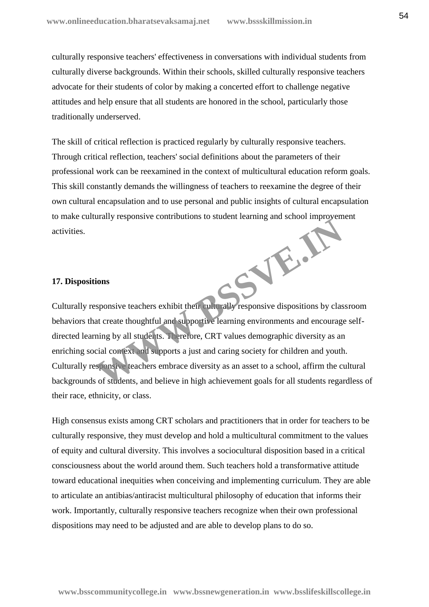culturally responsive teachers' effectiveness in conversations with individual students from culturally diverse backgrounds. Within their schools, skilled culturally responsive teachers advocate for their students of color by making a concerted effort to challenge negative attitudes and help ensure that all students are honored in the school, particularly those traditionally underserved.

The skill of critical reflection is practiced regularly by culturally responsive teachers. Through critical reflection, teachers' social definitions about the parameters of their professional work can be reexamined in the context of multicultural education reform goals. This skill constantly demands the willingness of teachers to reexamine the degree of their own cultural encapsulation and to use personal and public insights of cultural encapsulation to make culturally responsive contributions to student learning and school improvement activities. **WWW.BSSVE.IN**

#### **17. Dispositions**

Culturally responsive teachers exhibit their culturally responsive dispositions by classroom behaviors that create thoughtful and supportive learning environments and encourage self directed learning by all students. Therefore, CRT values demographic diversity as an enriching social context and supports a just and caring society for children and youth. Culturally responsive teachers embrace diversity as an asset to a school, affirm the cultural backgrounds of students, and believe in high achievement goals for all students regardless of their race, ethnicity, or class.

High consensus exists among CRT scholars and practitioners that in order for teachers to be culturally responsive, they must develop and hold a multicultural commitment to the values of equity and cultural diversity. This involves a sociocultural disposition based in a critical consciousness about the world around them. Such teachers hold a transformative attitude toward educational inequities when conceiving and implementing curriculum. They are able to articulate an antibias/antiracist multicultural philosophy of education that informs their work. Importantly, culturally responsive teachers recognize when their own professional dispositions may need to be adjusted and are able to develop plans to do so.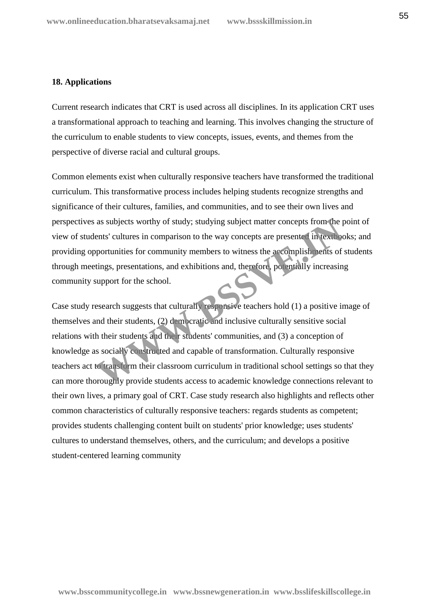#### **18. Applications**

Current research indicates that CRT is used across all disciplines. In its application CRT uses a transformational approach to teaching and learning. This involves changing the structure of the curriculum to enable students to view concepts, issues, events, and themes from the perspective of diverse racial and cultural groups.

Common elements exist when culturally responsive teachers have transformed the traditional curriculum. This transformative process includes helping students recognize strengths and significance of their cultures, families, and communities, and to see their own lives and perspectives as subjects worthy of study; studying subject matter concepts from the point of view of students' cultures in comparison to the way concepts are presented in textbooks; and providing opportunities for community members to witness the accomplishments of students through meetings, presentations, and exhibitions and, therefore, potentially increasing community support for the school.

Case study research suggests that culturally responsive teachers hold (1) a positive image of themselves and their students, (2) democratic and inclusive culturally sensitive social relations with their students and their students' communities, and (3) a conception of knowledge as socially constructed and capable of transformation. Culturally responsive teachers act to transform their classroom curriculum in traditional school settings so that they can more thoroughly provide students access to academic knowledge connections relevant to their own lives, a primary goal of CRT. Case study research also highlights and reflects other common characteristics of culturally responsive teachers: regards students as competent; provides students challenging content built on students' prior knowledge; uses students' cultures to understand themselves, others, and the curriculum; and develops a positive student-centered learning community as subjects worthy of study; studying subject matter concepts from the pents' cultures in comparison to the way concepts are presented in text both poportunities for community members to witness the a complishments of ting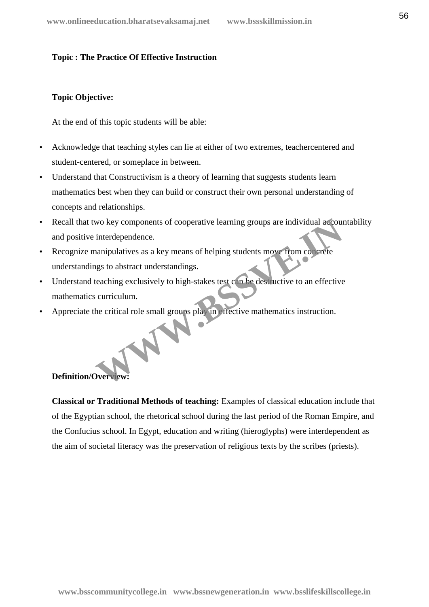#### **Topic : The Practice Of Effective Instruction**

#### **Topic Objective:**

At the end of this topic students will be able:

- Acknowledge that teaching styles can lie at either of two extremes, teachercentered and student-centered, or someplace in between.
- Understand that Constructivism is a theory of learning that suggests students learn mathematics best when they can build or construct their own personal understanding of concepts and relationships.
- Recall that two key components of cooperative learning groups are individual accountability and positive interdependence.
- Recognize manipulatives as a key means of helping students move from concrete understandings to abstract understandings.
- Understand teaching exclusively to high-stakes test can be destructive to an effective mathematics curriculum. Wo key components of cooperative learning groups are individual account<br>interdependence.<br>
nanipulatives as a key means of helping students move from concrete<br>
reaching exclusively to high-stakes test can be descructive to
- Appreciate the critical role small groups play in effective mathematics instruction.

#### **Definition/Overview:**

**Classical or Traditional Methods of teaching:** Examples of classical education include that of the Egyptian school, the rhetorical school during the last period of the Roman Empire, and the Confucius school. In Egypt, education and writing (hieroglyphs) were interdependent as the aim of societal literacy was the preservation of religious texts by the scribes (priests).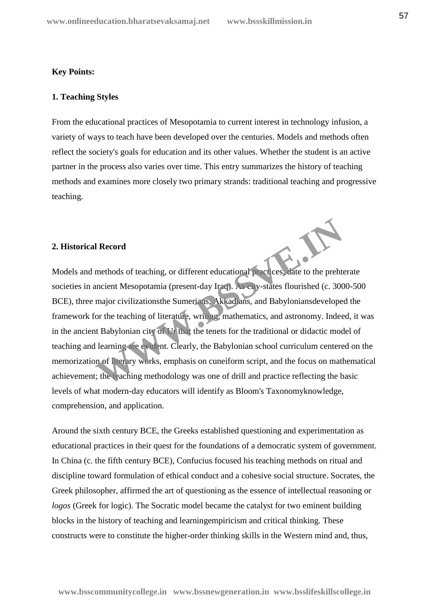## **Key Points:**

#### **1. Teaching Styles**

From the educational practices of Mesopotamia to current interest in technology infusion, a variety of ways to teach have been developed over the centuries. Models and methods often reflect the society's goals for education and its other values. Whether the student is an active partner in the process also varies over time. This entry summarizes the history of teaching methods and examines more closely two primary strands: traditional teaching and progressive teaching.

#### **2. Historical Record**

Models and methods of teaching, or different educational practices, date to the prehterate societies in ancient Mesopotamia (present-day Iraq). As city-states flourished (c. 3000-500 BCE), three major civilizationsthe Sumerians, Akkadians, and Babyloniansdeveloped the framework for the teaching of literature, writing, mathematics, and astronomy. Indeed, it was in the ancient Babylonian city of Ur that the tenets for the traditional or didactic model of teaching and learning are evident. Clearly, the Babylonian school curriculum centered on the memorization of literary works, emphasis on cuneiform script, and the focus on mathematical achievement; the teaching methodology was one of drill and practice reflecting the basic levels of what modern-day educators will identify as Bloom's Taxonomyknowledge, comprehension, and application. **Record**<br>
methods of teaching, or different educational practices, date to the preht<br>
nncient Mesopotamia (present-day Iraq). As cry-states flourished (c. 300<br>
major civilizations the Sumerians, Akkad ans, and Babylonians

Around the sixth century BCE, the Greeks established questioning and experimentation as educational practices in their quest for the foundations of a democratic system of government. In China (c. the fifth century BCE), Confucius focused his teaching methods on ritual and discipline toward formulation of ethical conduct and a cohesive social structure. Socrates, the Greek philosopher, affirmed the art of questioning as the essence of intellectual reasoning or *logos* (Greek for logic). The Socratic model became the catalyst for two eminent building blocks in the history of teaching and learningempiricism and critical thinking. These constructs were to constitute the higher-order thinking skills in the Western mind and, thus,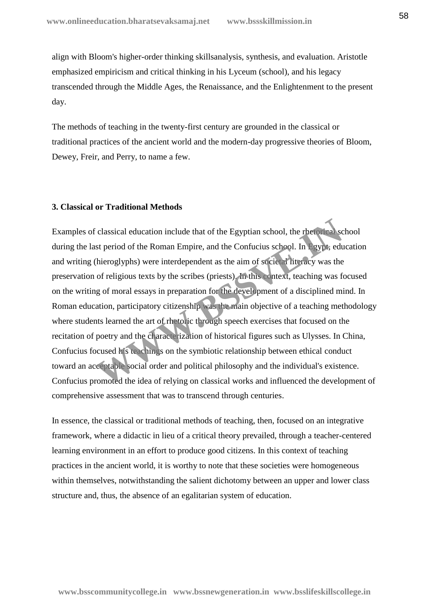align with Bloom's higher-order thinking skillsanalysis, synthesis, and evaluation. Aristotle emphasized empiricism and critical thinking in his Lyceum (school), and his legacy transcended through the Middle Ages, the Renaissance, and the Enlightenment to the present day.

The methods of teaching in the twenty-first century are grounded in the classical or traditional practices of the ancient world and the modern-day progressive theories of Bloom, Dewey, Freir, and Perry, to name a few.

#### **3. Classical or Traditional Methods**

Examples of classical education include that of the Egyptian school, the rhetorical school during the last period of the Roman Empire, and the Confucius school. In Egypt, education and writing (hieroglyphs) were interdependent as the aim of societal literacy was the preservation of religious texts by the scribes (priests). In this context, teaching was focused on the writing of moral essays in preparation for the development of a disciplined mind. In Roman education, participatory citizenship was the main objective of a teaching methodology where students learned the art of rhetoric through speech exercises that focused on the recitation of poetry and the characterization of historical figures such as Ulysses. In China, Confucius focused his teachings on the symbiotic relationship between ethical conduct toward an acceptable social order and political philosophy and the individual's existence. Confucius promoted the idea of relying on classical works and influenced the development of comprehensive assessment that was to transcend through centuries. classical education include that of the Egyptian school, the rhetorical set period of the Roman Empire, and the Confucius school. In Laypt, education (hieroglyphs) were interdependent as the aim of societar literacy was th

In essence, the classical or traditional methods of teaching, then, focused on an integrative framework, where a didactic in lieu of a critical theory prevailed, through a teacher-centered learning environment in an effort to produce good citizens. In this context of teaching practices in the ancient world, it is worthy to note that these societies were homogeneous within themselves, notwithstanding the salient dichotomy between an upper and lower class structure and, thus, the absence of an egalitarian system of education.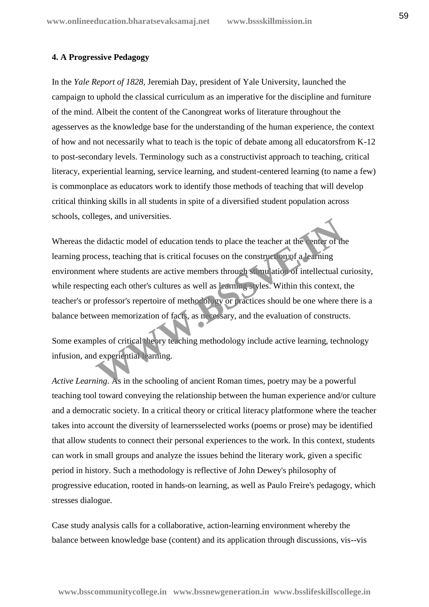## **4. A Progressive Pedagogy**

In the *Yale Report of 1828,* Jeremiah Day, president of Yale University, launched the campaign to uphold the classical curriculum as an imperative for the discipline and furniture of the mind. Albeit the content of the Canongreat works of literature throughout the agesserves as the knowledge base for the understanding of the human experience, the context of how and not necessarily what to teach is the topic of debate among all educatorsfrom K-12 to post-secondary levels. Terminology such as a constructivist approach to teaching, critical literacy, experiential learning, service learning, and student-centered learning (to name a few) is commonplace as educators work to identify those methods of teaching that will develop critical thinking skills in all students in spite of a diversified student population across schools, colleges, and universities.

Whereas the didactic model of education tends to place the teacher at the center of the learning process, teaching that is critical focuses on the construction of a learning environment where students are active members through stimulation of intellectual curiosity, while respecting each other's cultures as well as learning styles. Within this context, the teacher's or professor's repertoire of methodology or practices should be one where there is a balance between memorization of facts, as necessary, and the evaluation of constructs. didactic model of education tends to place the teacher at the enter of the<br>cess, teaching that is critical focuses on the construction of a learning<br>where students are active members through stamulation of intellectual c<br>t

Some examples of critical theory teaching methodology include active learning, technology infusion, and experiential learning.

*Active Learning*. As in the schooling of ancient Roman times, poetry may be a powerful teaching tool toward conveying the relationship between the human experience and/or culture and a democratic society. In a critical theory or critical literacy platformone where the teacher takes into account the diversity of learnersselected works (poems or prose) may be identified that allow students to connect their personal experiences to the work. In this context, students can work in small groups and analyze the issues behind the literary work, given a specific period in history. Such a methodology is reflective of John Dewey's philosophy of progressive education, rooted in hands-on learning, as well as Paulo Freire's pedagogy, which stresses dialogue.

Case study analysis calls for a collaborative, action-learning environment whereby the balance between knowledge base (content) and its application through discussions, vis--vis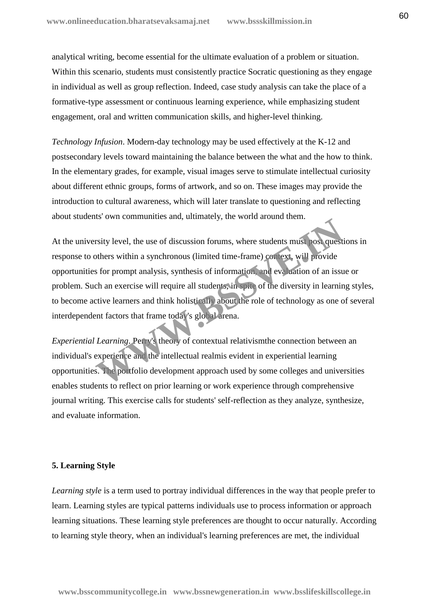analytical writing, become essential for the ultimate evaluation of a problem or situation. Within this scenario, students must consistently practice Socratic questioning as they engage in individual as well as group reflection. Indeed, case study analysis can take the place of a formative-type assessment or continuous learning experience, while emphasizing student engagement, oral and written communication skills, and higher-level thinking.

*Technology Infusion*. Modern-day technology may be used effectively at the K-12 and postsecondary levels toward maintaining the balance between the what and the how to think. In the elementary grades, for example, visual images serve to stimulate intellectual curiosity about different ethnic groups, forms of artwork, and so on. These images may provide the introduction to cultural awareness, which will later translate to questioning and reflecting about students' own communities and, ultimately, the world around them.

At the university level, the use of discussion forums, where students must post questions in response to others within a synchronous (limited time-frame) context, will provide opportunities for prompt analysis, synthesis of information, and evaluation of an issue or problem. Such an exercise will require all students, in spite of the diversity in learning styles, to become active learners and think holistically about the role of technology as one of several interdependent factors that frame today's global arena. The set of discussion forums, where students must post quest<br>there within a synchronous (limited time-frame) con ext. will provide<br>s for prompt analysis, synthesis of information, and evaluation of an issue<br>the an exercise

*Experiential Learning*. Perry's theory of contextual relativismthe connection between an individual's experience and the intellectual realmis evident in experiential learning opportunities. The portfolio development approach used by some colleges and universities enables students to reflect on prior learning or work experience through comprehensive journal writing. This exercise calls for students' self-reflection as they analyze, synthesize, and evaluate information.

#### **5. Learning Style**

*Learning style* is a term used to portray individual differences in the way that people prefer to learn. Learning styles are typical patterns individuals use to process information or approach learning situations. These learning style preferences are thought to occur naturally. According to learning style theory, when an individual's learning preferences are met, the individual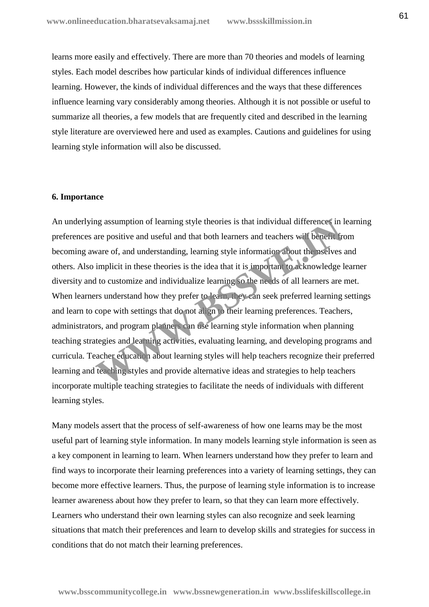learns more easily and effectively. There are more than 70 theories and models of learning styles. Each model describes how particular kinds of individual differences influence learning. However, the kinds of individual differences and the ways that these differences influence learning vary considerably among theories. Although it is not possible or useful to summarize all theories, a few models that are frequently cited and described in the learning style literature are overviewed here and used as examples. Cautions and guidelines for using learning style information will also be discussed.

#### **6. Importance**

An underlying assumption of learning style theories is that individual differences in learning preferences are positive and useful and that both learners and teachers will benefit from becoming aware of, and understanding, learning style information about themselves and others. Also implicit in these theories is the idea that it is important to acknowledge learner diversity and to customize and individualize learning so the needs of all learners are met. When learners understand how they prefer to learn, they can seek preferred learning settings and learn to cope with settings that do not align to their learning preferences. Teachers, administrators, and program planners can use learning style information when planning teaching strategies and learning activities, evaluating learning, and developing programs and curricula. Teacher education about learning styles will help teachers recognize their preferred learning and teaching styles and provide alternative ideas and strategies to help teachers incorporate multiple teaching strategies to facilitate the needs of individuals with different learning styles. many assumption of learning style theories is that individual differences in lare positive and useful and that both learners and teachers will benefit from the movement of, and understanding, learning style information abo

Many models assert that the process of self-awareness of how one learns may be the most useful part of learning style information. In many models learning style information is seen as a key component in learning to learn. When learners understand how they prefer to learn and find ways to incorporate their learning preferences into a variety of learning settings, they can become more effective learners. Thus, the purpose of learning style information is to increase learner awareness about how they prefer to learn, so that they can learn more effectively. Learners who understand their own learning styles can also recognize and seek learning situations that match their preferences and learn to develop skills and strategies for success in conditions that do not match their learning preferences.

**www.bsscommunitycollege.in www.bssnewgeneration.in www.bsslifeskillscollege.in**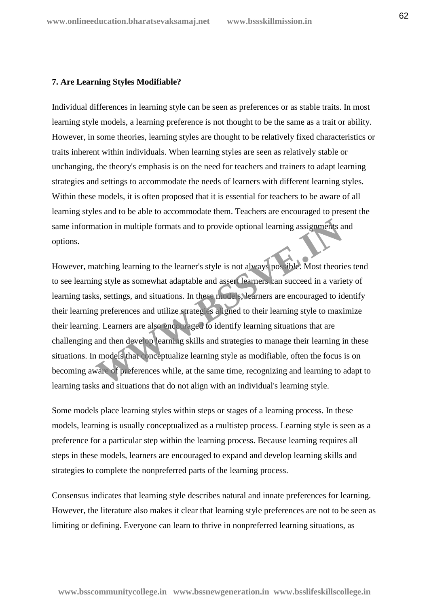#### **7. Are Learning Styles Modifiable?**

Individual differences in learning style can be seen as preferences or as stable traits. In most learning style models, a learning preference is not thought to be the same as a trait or ability. However, in some theories, learning styles are thought to be relatively fixed characteristics or traits inherent within individuals. When learning styles are seen as relatively stable or unchanging, the theory's emphasis is on the need for teachers and trainers to adapt learning strategies and settings to accommodate the needs of learners with different learning styles. Within these models, it is often proposed that it is essential for teachers to be aware of all learning styles and to be able to accommodate them. Teachers are encouraged to present the same information in multiple formats and to provide optional learning assignments and options.

However, matching learning to the learner's style is not always possible. Most theories tend to see learning style as somewhat adaptable and assert learners can succeed in a variety of learning tasks, settings, and situations. In these models, learners are encouraged to identify their learning preferences and utilize strategies aligned to their learning style to maximize their learning. Learners are also encouraged to identify learning situations that are challenging and then develop learning skills and strategies to manage their learning in these situations. In models that conceptualize learning style as modifiable, often the focus is on becoming aware of preferences while, at the same time, recognizing and learning to adapt to learning tasks and situations that do not align with an individual's learning style. ation in multiple formats and to provide optional learning assignments a<br>atching learning to the learner's style is not always possible. Most theori<br>mag style as somewhat adaptable and assert learners can succeed in a vari

Some models place learning styles within steps or stages of a learning process. In these models, learning is usually conceptualized as a multistep process. Learning style is seen as a preference for a particular step within the learning process. Because learning requires all steps in these models, learners are encouraged to expand and develop learning skills and strategies to complete the nonpreferred parts of the learning process.

Consensus indicates that learning style describes natural and innate preferences for learning. However, the literature also makes it clear that learning style preferences are not to be seen as limiting or defining. Everyone can learn to thrive in nonpreferred learning situations, as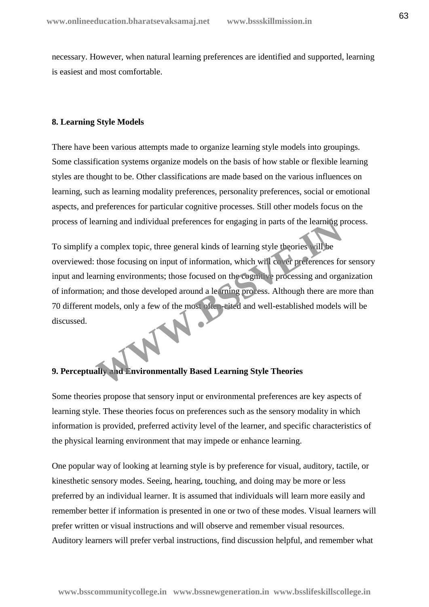necessary. However, when natural learning preferences are identified and supported, learning is easiest and most comfortable.

## **8. Learning Style Models**

There have been various attempts made to organize learning style models into groupings. Some classification systems organize models on the basis of how stable or flexible learning styles are thought to be. Other classifications are made based on the various influences on learning, such as learning modality preferences, personality preferences, social or emotional aspects, and preferences for particular cognitive processes. Still other models focus on the process of learning and individual preferences for engaging in parts of the learning process.

To simplify a complex topic, three general kinds of learning style theories will be overviewed: those focusing on input of information, which will cover preferences for sensory input and learning environments; those focused on the cognitive processing and organization of information; and those developed around a learning process. Although there are more than 70 different models, only a few of the most often-cited and well-established models will be discussed. arning and individual preferences for engaging in parts of the learning p<br>a complex topic, three general kinds of learning style theories will be<br>those focusing on input of information, which wril cover preferences fo<br>urni

## **9. Perceptually and Environmentally Based Learning Style Theories**

Some theories propose that sensory input or environmental preferences are key aspects of learning style. These theories focus on preferences such as the sensory modality in which information is provided, preferred activity level of the learner, and specific characteristics of the physical learning environment that may impede or enhance learning.

One popular way of looking at learning style is by preference for visual, auditory, tactile, or kinesthetic sensory modes. Seeing, hearing, touching, and doing may be more or less preferred by an individual learner. It is assumed that individuals will learn more easily and remember better if information is presented in one or two of these modes. Visual learners will prefer written or visual instructions and will observe and remember visual resources. Auditory learners will prefer verbal instructions, find discussion helpful, and remember what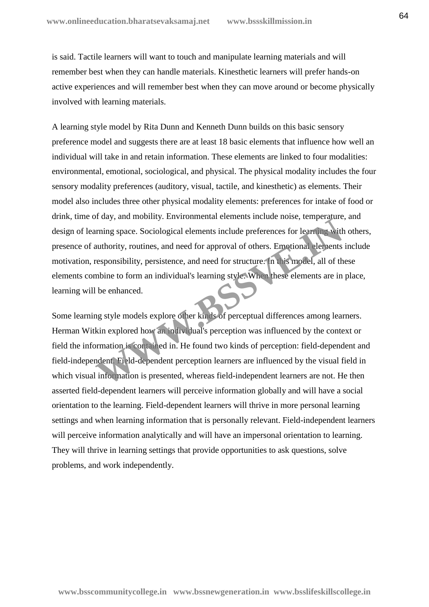is said. Tactile learners will want to touch and manipulate learning materials and will remember best when they can handle materials. Kinesthetic learners will prefer hands-on active experiences and will remember best when they can move around or become physically involved with learning materials.

A learning style model by Rita Dunn and Kenneth Dunn builds on this basic sensory preference model and suggests there are at least 18 basic elements that influence how well an individual will take in and retain information. These elements are linked to four modalities: environmental, emotional, sociological, and physical. The physical modality includes the four sensory modality preferences (auditory, visual, tactile, and kinesthetic) as elements. Their model also includes three other physical modality elements: preferences for intake of food or drink, time of day, and mobility. Environmental elements include noise, temperature, and design of learning space. Sociological elements include preferences for learning with others, presence of authority, routines, and need for approval of others. Emotional elements include motivation, responsibility, persistence, and need for structure. In this model, all of these elements combine to form an individual's learning style. When these elements are in place, learning will be enhanced. The state is the state in the state in the state in the state in the state in the state in the state in the authority, routines, and need for approval of others. Emotional elements responsibility, persistence, and need for

Some learning style models explore other kinds of perceptual differences among learners. Herman Witkin explored how an individual's perception was influenced by the context or field the information is contained in. He found two kinds of perception: field-dependent and field-independent. Field-dependent perception learners are influenced by the visual field in which visual information is presented, whereas field-independent learners are not. He then asserted field-dependent learners will perceive information globally and will have a social orientation to the learning. Field-dependent learners will thrive in more personal learning settings and when learning information that is personally relevant. Field-independent learners will perceive information analytically and will have an impersonal orientation to learning. They will thrive in learning settings that provide opportunities to ask questions, solve problems, and work independently.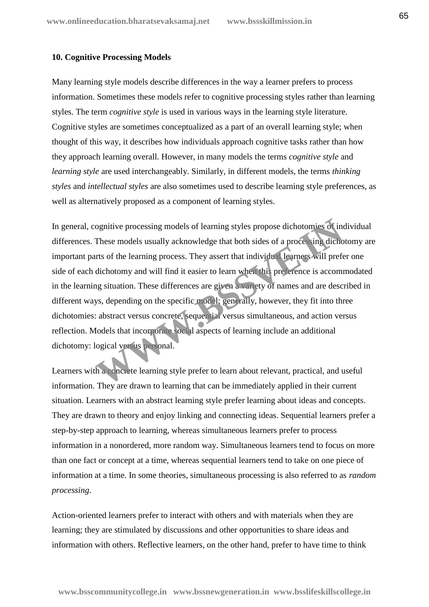#### **10. Cognitive Processing Models**

Many learning style models describe differences in the way a learner prefers to process information. Sometimes these models refer to cognitive processing styles rather than learning styles. The term *cognitive style* is used in various ways in the learning style literature. Cognitive styles are sometimes conceptualized as a part of an overall learning style; when thought of this way, it describes how individuals approach cognitive tasks rather than how they approach learning overall. However, in many models the terms *cognitive style* and *learning style* are used interchangeably. Similarly, in different models, the terms *thinking styles* and *intellectual styles* are also sometimes used to describe learning style preferences, as well as alternatively proposed as a component of learning styles.

In general, cognitive processing models of learning styles propose dichotomies of individual differences. These models usually acknowledge that both sides of a processing dichotomy are important parts of the learning process. They assert that individual learners will prefer one side of each dichotomy and will find it easier to learn when this preference is accommodated in the learning situation. These differences are given a variety of names and are described in different ways, depending on the specific model; generally, however, they fit into three dichotomies: abstract versus concrete, sequential versus simultaneous, and action versus reflection. Models that incorporate social aspects of learning include an additional dichotomy: logical versus personal. ognitive processing models of learning styles propose dichotomies of index<br>These models usually acknowledge that both sides of a processing dichot<br>trs of the learning process. They assert that individual Rearners will pref

Learners with a concrete learning style prefer to learn about relevant, practical, and useful information. They are drawn to learning that can be immediately applied in their current situation. Learners with an abstract learning style prefer learning about ideas and concepts. They are drawn to theory and enjoy linking and connecting ideas. Sequential learners prefer a step-by-step approach to learning, whereas simultaneous learners prefer to process information in a nonordered, more random way. Simultaneous learners tend to focus on more than one fact or concept at a time, whereas sequential learners tend to take on one piece of information at a time. In some theories, simultaneous processing is also referred to as *random processing*.

Action-oriented learners prefer to interact with others and with materials when they are learning; they are stimulated by discussions and other opportunities to share ideas and information with others. Reflective learners, on the other hand, prefer to have time to think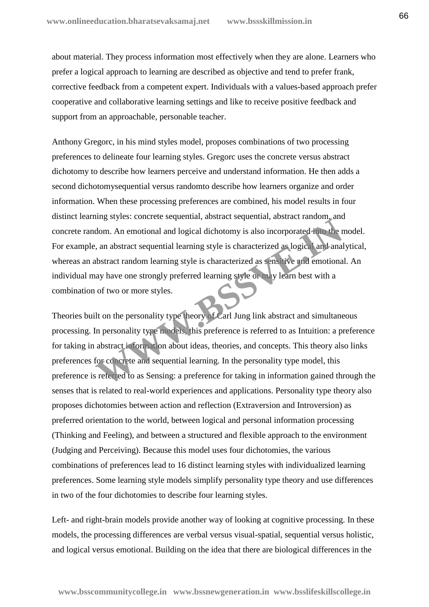about material. They process information most effectively when they are alone. Learners who prefer a logical approach to learning are described as objective and tend to prefer frank, corrective feedback from a competent expert. Individuals with a values-based approach prefer cooperative and collaborative learning settings and like to receive positive feedback and support from an approachable, personable teacher.

Anthony Gregorc, in his mind styles model, proposes combinations of two processing preferences to delineate four learning styles. Gregorc uses the concrete versus abstract dichotomy to describe how learners perceive and understand information. He then adds a second dichotomysequential versus randomto describe how learners organize and order information. When these processing preferences are combined, his model results in four distinct learning styles: concrete sequential, abstract sequential, abstract random, and concrete random. An emotional and logical dichotomy is also incorporated into the model. For example, an abstract sequential learning style is characterized as logical and analytical, whereas an abstract random learning style is characterized as sensitive and emotional. An individual may have one strongly preferred learning style or may learn best with a combination of two or more styles. The styles: concrete sequential, assuare sequential, assuare fundaons and<br>
dom. An emotional and logical dichotomy is also incorporated into the<br>
e, an abstract sequential learning style is characterized as sensitive and a

Theories built on the personality type theory of Carl Jung link abstract and simultaneous processing. In personality type models, this preference is referred to as Intuition: a preference for taking in abstract information about ideas, theories, and concepts. This theory also links preferences for concrete and sequential learning. In the personality type model, this preference is referred to as Sensing: a preference for taking in information gained through the senses that is related to real-world experiences and applications. Personality type theory also proposes dichotomies between action and reflection (Extraversion and Introversion) as preferred orientation to the world, between logical and personal information processing (Thinking and Feeling), and between a structured and flexible approach to the environment (Judging and Perceiving). Because this model uses four dichotomies, the various combinations of preferences lead to 16 distinct learning styles with individualized learning preferences. Some learning style models simplify personality type theory and use differences in two of the four dichotomies to describe four learning styles.

Left- and right-brain models provide another way of looking at cognitive processing. In these models, the processing differences are verbal versus visual-spatial, sequential versus holistic, and logical versus emotional. Building on the idea that there are biological differences in the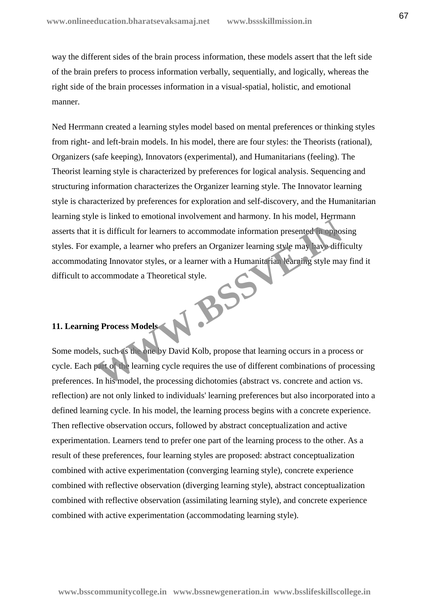way the different sides of the brain process information, these models assert that the left side of the brain prefers to process information verbally, sequentially, and logically, whereas the right side of the brain processes information in a visual-spatial, holistic, and emotional manner.

Ned Herrmann created a learning styles model based on mental preferences or thinking styles from right- and left-brain models. In his model, there are four styles: the Theorists (rational), Organizers (safe keeping), Innovators (experimental), and Humanitarians (feeling). The Theorist learning style is characterized by preferences for logical analysis. Sequencing and structuring information characterizes the Organizer learning style. The Innovator learning style is characterized by preferences for exploration and self-discovery, and the Humanitarian learning style is linked to emotional involvement and harmony. In his model, Herrmann asserts that it is difficult for learners to accommodate information presented in opposing styles. For example, a learner who prefers an Organizer learning style may have difficulty accommodating Innovator styles, or a learner with a Humanitarian learning style may find it difficult to accommodate a Theoretical style. **WWW.BSSVE.IN**

# **11. Learning Process Models**

Some models, such as the one by David Kolb, propose that learning occurs in a process or cycle. Each part of the learning cycle requires the use of different combinations of processing preferences. In his model, the processing dichotomies (abstract vs. concrete and action vs. reflection) are not only linked to individuals' learning preferences but also incorporated into a defined learning cycle. In his model, the learning process begins with a concrete experience. Then reflective observation occurs, followed by abstract conceptualization and active experimentation. Learners tend to prefer one part of the learning process to the other. As a result of these preferences, four learning styles are proposed: abstract conceptualization combined with active experimentation (converging learning style), concrete experience combined with reflective observation (diverging learning style), abstract conceptualization combined with reflective observation (assimilating learning style), and concrete experience combined with active experimentation (accommodating learning style).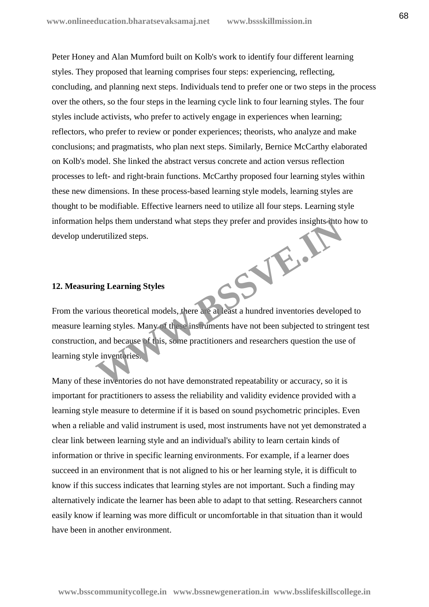Peter Honey and Alan Mumford built on Kolb's work to identify four different learning styles. They proposed that learning comprises four steps: experiencing, reflecting, concluding, and planning next steps. Individuals tend to prefer one or two steps in the process over the others, so the four steps in the learning cycle link to four learning styles. The four styles include activists, who prefer to actively engage in experiences when learning; reflectors, who prefer to review or ponder experiences; theorists, who analyze and make conclusions; and pragmatists, who plan next steps. Similarly, Bernice McCarthy elaborated on Kolb's model. She linked the abstract versus concrete and action versus reflection processes to left- and right-brain functions. McCarthy proposed four learning styles within these new dimensions. In these process-based learning style models, learning styles are thought to be modifiable. Effective learners need to utilize all four steps. Learning style information helps them understand what steps they prefer and provides insights into how to develop underutilized steps. **WWW.BSSVE.IN**

## **12. Measuring Learning Styles**

From the various theoretical models, there are at least a hundred inventories developed to measure learning styles. Many of these instruments have not been subjected to stringent test construction, and because of this, some practitioners and researchers question the use of learning style inventories.

Many of these inventories do not have demonstrated repeatability or accuracy, so it is important for practitioners to assess the reliability and validity evidence provided with a learning style measure to determine if it is based on sound psychometric principles. Even when a reliable and valid instrument is used, most instruments have not yet demonstrated a clear link between learning style and an individual's ability to learn certain kinds of information or thrive in specific learning environments. For example, if a learner does succeed in an environment that is not aligned to his or her learning style, it is difficult to know if this success indicates that learning styles are not important. Such a finding may alternatively indicate the learner has been able to adapt to that setting. Researchers cannot easily know if learning was more difficult or uncomfortable in that situation than it would have been in another environment.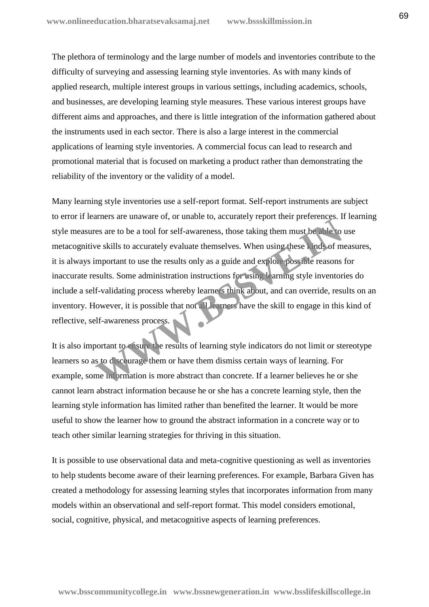The plethora of terminology and the large number of models and inventories contribute to the difficulty of surveying and assessing learning style inventories. As with many kinds of applied research, multiple interest groups in various settings, including academics, schools, and businesses, are developing learning style measures. These various interest groups have different aims and approaches, and there is little integration of the information gathered about the instruments used in each sector. There is also a large interest in the commercial applications of learning style inventories. A commercial focus can lead to research and promotional material that is focused on marketing a product rather than demonstrating the reliability of the inventory or the validity of a model.

Many learning style inventories use a self-report format. Self-report instruments are subject to error if learners are unaware of, or unable to, accurately report their preferences. If learning style measures are to be a tool for self-awareness, those taking them must be able to use metacognitive skills to accurately evaluate themselves. When using these kinds of measures, it is always important to use the results only as a guide and explore possible reasons for inaccurate results. Some administration instructions for using learning style inventories do include a self-validating process whereby learners think about, and can override, results on an inventory. However, it is possible that not all learners have the skill to engage in this kind of reflective, self-awareness process. There are to be a tool for self-awareness, those taking them must be able to<br>the skills to accurately evaluate themselves. When using these k nds of m<br>mportant to use the results only as a guide and explore possible reason

It is also important to ensure the results of learning style indicators do not limit or stereotype learners so as to discourage them or have them dismiss certain ways of learning. For example, some information is more abstract than concrete. If a learner believes he or she cannot learn abstract information because he or she has a concrete learning style, then the learning style information has limited rather than benefited the learner. It would be more useful to show the learner how to ground the abstract information in a concrete way or to teach other similar learning strategies for thriving in this situation.

It is possible to use observational data and meta-cognitive questioning as well as inventories to help students become aware of their learning preferences. For example, Barbara Given has created a methodology for assessing learning styles that incorporates information from many models within an observational and self-report format. This model considers emotional, social, cognitive, physical, and metacognitive aspects of learning preferences.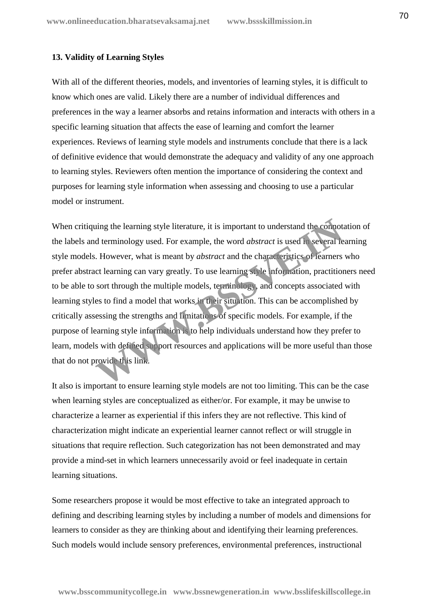#### **13. Validity of Learning Styles**

With all of the different theories, models, and inventories of learning styles, it is difficult to know which ones are valid. Likely there are a number of individual differences and preferences in the way a learner absorbs and retains information and interacts with others in a specific learning situation that affects the ease of learning and comfort the learner experiences. Reviews of learning style models and instruments conclude that there is a lack of definitive evidence that would demonstrate the adequacy and validity of any one approach to learning styles. Reviewers often mention the importance of considering the context and purposes for learning style information when assessing and choosing to use a particular model or instrument.

When critiquing the learning style literature, it is important to understand the connotation of the labels and terminology used. For example, the word *abstract* is used in several learning style models. However, what is meant by *abstract* and the characteristics of learners who prefer abstract learning can vary greatly. To use learning style information, practitioners need to be able to sort through the multiple models, terminology, and concepts associated with learning styles to find a model that works in their situation. This can be accomplished by critically assessing the strengths and limitations of specific models. For example, if the purpose of learning style information is to help individuals understand how they prefer to learn, models with defined support resources and applications will be more useful than those that do not provide this link. ing the learning style literature, it is important to understand the connot<br>d terminology used. For example, the word *abstract* is used in several le<br>. However, what is meant by *abstract* and the characteristics of learn

It also is important to ensure learning style models are not too limiting. This can be the case when learning styles are conceptualized as either/or. For example, it may be unwise to characterize a learner as experiential if this infers they are not reflective. This kind of characterization might indicate an experiential learner cannot reflect or will struggle in situations that require reflection. Such categorization has not been demonstrated and may provide a mind-set in which learners unnecessarily avoid or feel inadequate in certain learning situations.

Some researchers propose it would be most effective to take an integrated approach to defining and describing learning styles by including a number of models and dimensions for learners to consider as they are thinking about and identifying their learning preferences. Such models would include sensory preferences, environmental preferences, instructional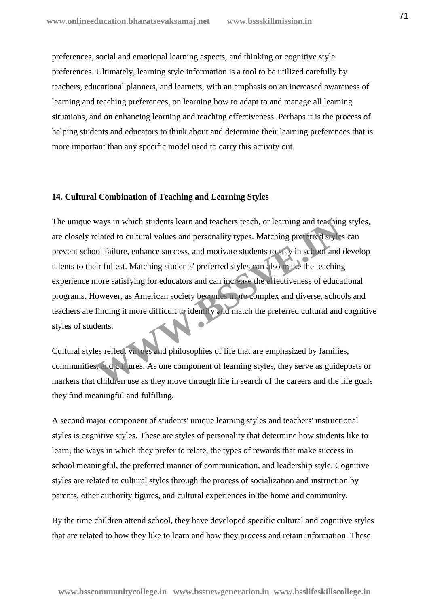preferences, social and emotional learning aspects, and thinking or cognitive style preferences. Ultimately, learning style information is a tool to be utilized carefully by teachers, educational planners, and learners, with an emphasis on an increased awareness of learning and teaching preferences, on learning how to adapt to and manage all learning situations, and on enhancing learning and teaching effectiveness. Perhaps it is the process of helping students and educators to think about and determine their learning preferences that is more important than any specific model used to carry this activity out.

#### **14. Cultural Combination of Teaching and Learning Styles**

The unique ways in which students learn and teachers teach, or learning and teaching styles, are closely related to cultural values and personality types. Matching preferred styles can prevent school failure, enhance success, and motivate students to stay in school and develop talents to their fullest. Matching students' preferred styles can also make the teaching experience more satisfying for educators and can increase the effectiveness of educational programs. However, as American society becomes more complex and diverse, schools and teachers are finding it more difficult to identify and match the preferred cultural and cognitive styles of students. ways in which students learn and teachers teach, or learning and teaching<br>elated to cultural values and personality types. Matching preferred styles<br>ol failure, enhance success, and motivate students to stay in school and<br>

Cultural styles reflect virtues and philosophies of life that are emphasized by families, communities, and cultures. As one component of learning styles, they serve as guideposts or markers that children use as they move through life in search of the careers and the life goals they find meaningful and fulfilling.

A second major component of students' unique learning styles and teachers' instructional styles is cognitive styles. These are styles of personality that determine how students like to learn, the ways in which they prefer to relate, the types of rewards that make success in school meaningful, the preferred manner of communication, and leadership style. Cognitive styles are related to cultural styles through the process of socialization and instruction by parents, other authority figures, and cultural experiences in the home and community.

By the time children attend school, they have developed specific cultural and cognitive styles that are related to how they like to learn and how they process and retain information. These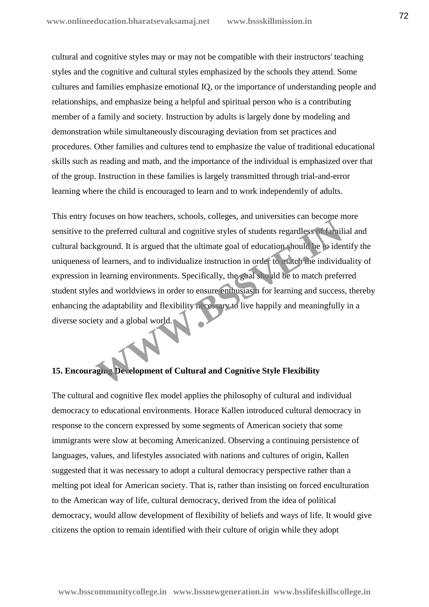cultural and cognitive styles may or may not be compatible with their instructors' teaching styles and the cognitive and cultural styles emphasized by the schools they attend. Some cultures and families emphasize emotional IQ, or the importance of understanding people and relationships, and emphasize being a helpful and spiritual person who is a contributing member of a family and society. Instruction by adults is largely done by modeling and demonstration while simultaneously discouraging deviation from set practices and procedures. Other families and cultures tend to emphasize the value of traditional educational skills such as reading and math, and the importance of the individual is emphasized over that of the group. Instruction in these families is largely transmitted through trial-and-error learning where the child is encouraged to learn and to work independently of adults.

This entry focuses on how teachers, schools, colleges, and universities can become more sensitive to the preferred cultural and cognitive styles of students regardless of familial and cultural background. It is argued that the ultimate goal of education should be to identify the uniqueness of learners, and to individualize instruction in order to match the individuality of expression in learning environments. Specifically, the goal should be to match preferred student styles and worldviews in order to ensure enthusiasm for learning and success, thereby enhancing the adaptability and flexibility necessary to live happily and meaningfully in a diverse society and a global world. Example 2011 International and Cognitive Style Flexibility<br>
We also contained a students regardless of famility<br>
Second. It is argued that the ultimate goal of education should be to identify<br>
flearners, and to individuali

## **15. Encouraging Development of Cultural and Cognitive Style Flexibility**

The cultural and cognitive flex model applies the philosophy of cultural and individual democracy to educational environments. Horace Kallen introduced cultural democracy in response to the concern expressed by some segments of American society that some immigrants were slow at becoming Americanized. Observing a continuing persistence of languages, values, and lifestyles associated with nations and cultures of origin, Kallen suggested that it was necessary to adopt a cultural democracy perspective rather than a melting pot ideal for American society. That is, rather than insisting on forced enculturation to the American way of life, cultural democracy, derived from the idea of political democracy, would allow development of flexibility of beliefs and ways of life. It would give citizens the option to remain identified with their culture of origin while they adopt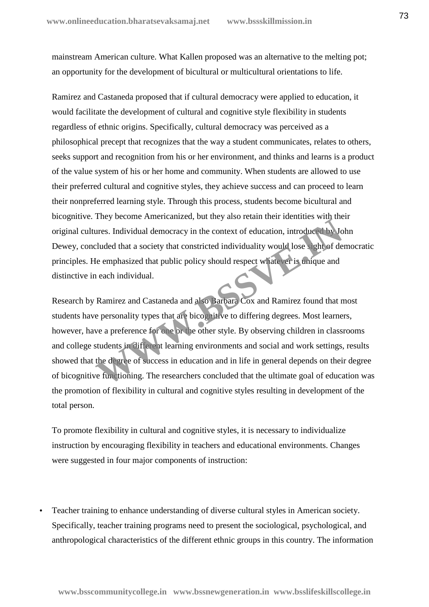mainstream American culture. What Kallen proposed was an alternative to the melting pot; an opportunity for the development of bicultural or multicultural orientations to life.

Ramirez and Castaneda proposed that if cultural democracy were applied to education, it would facilitate the development of cultural and cognitive style flexibility in students regardless of ethnic origins. Specifically, cultural democracy was perceived as a philosophical precept that recognizes that the way a student communicates, relates to others, seeks support and recognition from his or her environment, and thinks and learns is a product of the value system of his or her home and community. When students are allowed to use their preferred cultural and cognitive styles, they achieve success and can proceed to learn their nonpreferred learning style. Through this process, students become bicultural and bicognitive. They become Americanized, but they also retain their identities with their original cultures. Individual democracy in the context of education, introduced by John Dewey, concluded that a society that constricted individuality would lose sight of democratic principles. He emphasized that public policy should respect whatever is unique and distinctive in each individual.

Research by Ramirez and Castaneda and also Barbara Cox and Ramirez found that most students have personality types that are bicognitive to differing degrees. Most learners, however, have a preference for one or the other style. By observing children in classrooms and college students in different learning environments and social and work settings, results showed that the degree of success in education and in life in general depends on their degree of bicognitive functioning. The researchers concluded that the ultimate goal of education was the promotion of flexibility in cultural and cognitive styles resulting in development of the total person. They become intertemneed, bat any also feal in their identities with the<br>cluded that a society that constricted individuality would lose a ght of de<br>le emphasized that public policy should respect whatever is unique and<br>ne

To promote flexibility in cultural and cognitive styles, it is necessary to individualize instruction by encouraging flexibility in teachers and educational environments. Changes were suggested in four major components of instruction:

 Teacher training to enhance understanding of diverse cultural styles in American society. Specifically, teacher training programs need to present the sociological, psychological, and anthropological characteristics of the different ethnic groups in this country. The information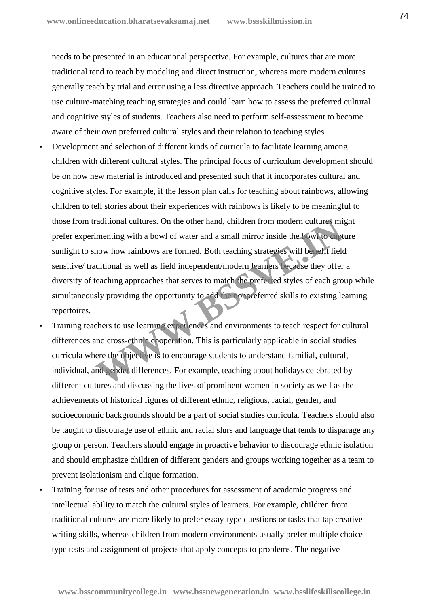needs to be presented in an educational perspective. For example, cultures that are more traditional tend to teach by modeling and direct instruction, whereas more modern cultures generally teach by trial and error using a less directive approach. Teachers could be trained to use culture-matching teaching strategies and could learn how to assess the preferred cultural and cognitive styles of students. Teachers also need to perform self-assessment to become aware of their own preferred cultural styles and their relation to teaching styles.

- Development and selection of different kinds of curricula to facilitate learning among children with different cultural styles. The principal focus of curriculum development should be on how new material is introduced and presented such that it incorporates cultural and cognitive styles. For example, if the lesson plan calls for teaching about rainbows, allowing children to tell stories about their experiences with rainbows is likely to be meaningful to those from traditional cultures. On the other hand, children from modern cultures might prefer experimenting with a bowl of water and a small mirror inside the bowl to capture sunlight to show how rainbows are formed. Both teaching strategies will benefit field sensitive/ traditional as well as field independent/modern learners because they offer a diversity of teaching approaches that serves to match the preferred styles of each group while simultaneously providing the opportunity to add the nonpreferred skills to existing learning repertoires. raditional cultures. On the other hand, children from modern cultures mi<br>
imenting with a bowl of water and a small mirror inside the 5 wM to eapt<br>
how how rainbows are formed. Both teaching strategies will benefit field<br>
- Training teachers to use learning experiences and environments to teach respect for cultural differences and cross-ethnic cooperation. This is particularly applicable in social studies curricula where the objective is to encourage students to understand familial, cultural, individual, and gender differences. For example, teaching about holidays celebrated by different cultures and discussing the lives of prominent women in society as well as the achievements of historical figures of different ethnic, religious, racial, gender, and socioeconomic backgrounds should be a part of social studies curricula. Teachers should also be taught to discourage use of ethnic and racial slurs and language that tends to disparage any group or person. Teachers should engage in proactive behavior to discourage ethnic isolation and should emphasize children of different genders and groups working together as a team to prevent isolationism and clique formation.
- Training for use of tests and other procedures for assessment of academic progress and intellectual ability to match the cultural styles of learners. For example, children from traditional cultures are more likely to prefer essay-type questions or tasks that tap creative writing skills, whereas children from modern environments usually prefer multiple choicetype tests and assignment of projects that apply concepts to problems. The negative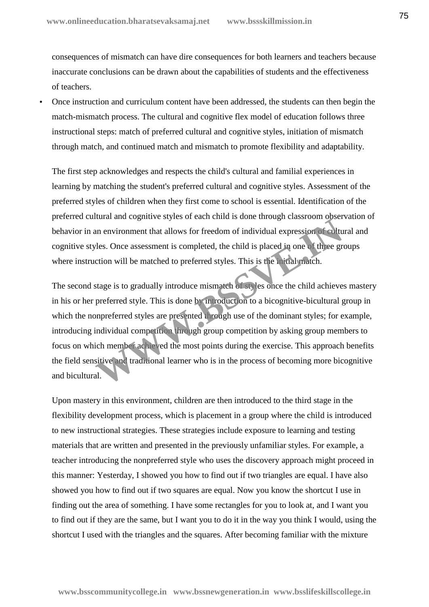consequences of mismatch can have dire consequences for both learners and teachers because inaccurate conclusions can be drawn about the capabilities of students and the effectiveness of teachers.

 Once instruction and curriculum content have been addressed, the students can then begin the match-mismatch process. The cultural and cognitive flex model of education follows three instructional steps: match of preferred cultural and cognitive styles, initiation of mismatch through match, and continued match and mismatch to promote flexibility and adaptability.

The first step acknowledges and respects the child's cultural and familial experiences in learning by matching the student's preferred cultural and cognitive styles. Assessment of the preferred styles of children when they first come to school is essential. Identification of the preferred cultural and cognitive styles of each child is done through classroom observation of behavior in an environment that allows for freedom of individual expression of cultural and cognitive styles. Once assessment is completed, the child is placed in one of three groups where instruction will be matched to preferred styles. This is the initial match.

The second stage is to gradually introduce mismatch of styles once the child achieves mastery in his or her preferred style. This is done by introduction to a bicognitive-bicultural group in which the nonpreferred styles are presented through use of the dominant styles; for example, introducing individual competition through group competition by asking group members to focus on which member achieved the most points during the exercise. This approach benefits the field sensitive and traditional learner who is in the process of becoming more bicognitive and bicultural. The members are the most provided to the most and the distribution of entire the set of the control of the set of the control of the control of the set of the control of the set of the control of the method to preferred st

Upon mastery in this environment, children are then introduced to the third stage in the flexibility development process, which is placement in a group where the child is introduced to new instructional strategies. These strategies include exposure to learning and testing materials that are written and presented in the previously unfamiliar styles. For example, a teacher introducing the nonpreferred style who uses the discovery approach might proceed in this manner: Yesterday, I showed you how to find out if two triangles are equal. I have also showed you how to find out if two squares are equal. Now you know the shortcut I use in finding out the area of something. I have some rectangles for you to look at, and I want you to find out if they are the same, but I want you to do it in the way you think I would, using the shortcut I used with the triangles and the squares. After becoming familiar with the mixture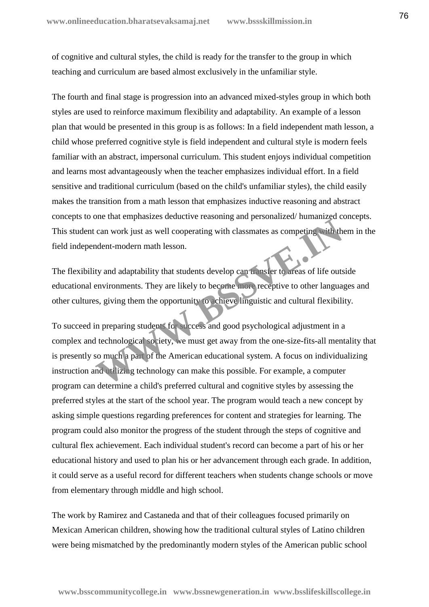of cognitive and cultural styles, the child is ready for the transfer to the group in which teaching and curriculum are based almost exclusively in the unfamiliar style.

The fourth and final stage is progression into an advanced mixed-styles group in which both styles are used to reinforce maximum flexibility and adaptability. An example of a lesson plan that would be presented in this group is as follows: In a field independent math lesson, a child whose preferred cognitive style is field independent and cultural style is modern feels familiar with an abstract, impersonal curriculum. This student enjoys individual competition and learns most advantageously when the teacher emphasizes individual effort. In a field sensitive and traditional curriculum (based on the child's unfamiliar styles), the child easily makes the transition from a math lesson that emphasizes inductive reasoning and abstract concepts to one that emphasizes deductive reasoning and personalized/ humanized concepts. This student can work just as well cooperating with classmates as competing with them in the field independent-modern math lesson.

The flexibility and adaptability that students develop can transfer to areas of life outside educational environments. They are likely to become more receptive to other languages and other cultures, giving them the opportunity to achieve linguistic and cultural flexibility.

To succeed in preparing students for success and good psychological adjustment in a complex and technological society, we must get away from the one-size-fits-all mentality that is presently so much a part of the American educational system. A focus on individualizing instruction and utilizing technology can make this possible. For example, a computer program can determine a child's preferred cultural and cognitive styles by assessing the preferred styles at the start of the school year. The program would teach a new concept by asking simple questions regarding preferences for content and strategies for learning. The program could also monitor the progress of the student through the steps of cognitive and cultural flex achievement. Each individual student's record can become a part of his or her educational history and used to plan his or her advancement through each grade. In addition, it could serve as a useful record for different teachers when students change schools or move from elementary through middle and high school. The that emphasizes dedactive reasoning and personalized numarized exercise the case of the photon of the the<br>
Ment-modern math lesson.<br>
We and adaptability that students develop can transfer to areas of life outs<br>
environ

The work by Ramirez and Castaneda and that of their colleagues focused primarily on Mexican American children, showing how the traditional cultural styles of Latino children were being mismatched by the predominantly modern styles of the American public school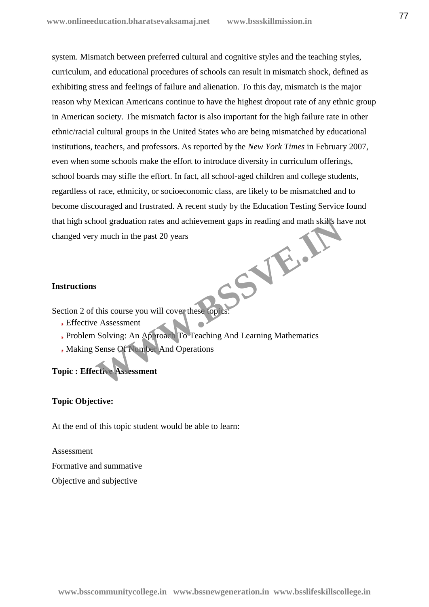system. Mismatch between preferred cultural and cognitive styles and the teaching styles, curriculum, and educational procedures of schools can result in mismatch shock, defined as exhibiting stress and feelings of failure and alienation. To this day, mismatch is the major reason why Mexican Americans continue to have the highest dropout rate of any ethnic group in American society. The mismatch factor is also important for the high failure rate in other ethnic/racial cultural groups in the United States who are being mismatched by educational institutions, teachers, and professors. As reported by the *New York Times* in February 2007, even when some schools make the effort to introduce diversity in curriculum offerings, school boards may stifle the effort. In fact, all school-aged children and college students, regardless of race, ethnicity, or socioeconomic class, are likely to be mismatched and to become discouraged and frustrated. A recent study by the Education Testing Service found that high school graduation rates and achievement gaps in reading and math skills have not changed very much in the past 20 years WWW.BSSVE.IN

#### **Instructions**

Section 2 of this course you will cover these topic

- Effective Assessment
- Problem Solving: An Approach To Teaching And Learning Mathematics
- Making Sense Of Number And Operations

# **Topic : Effective Assessment**

#### **Topic Objective:**

At the end of this topic student would be able to learn:

 Assessment Formative and summative Objective and subjective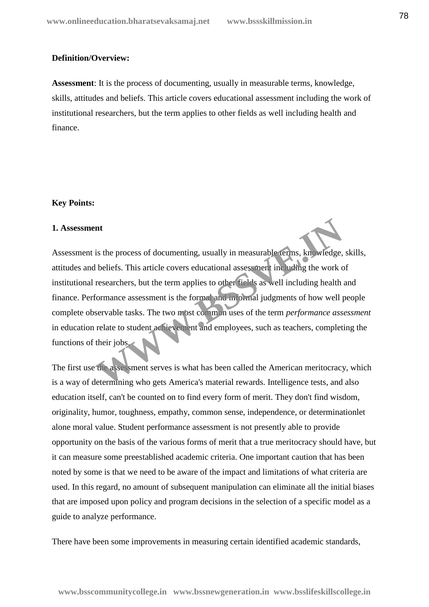#### **Definition/Overview:**

**Assessment**: It is the process of documenting, usually in measurable terms, knowledge, skills, attitudes and beliefs. This article covers educational assessment including the work of institutional researchers, but the term applies to other fields as well including health and finance.

### **Key Points:**

#### **1. Assessment**

Assessment is the process of documenting, usually in measurable terms, knowledge, skills, attitudes and beliefs. This article covers educational assessment including the work of institutional researchers, but the term applies to other fields as well including health and finance. Performance assessment is the formal and informal judgments of how well people complete observable tasks. The two most common uses of the term *performance assessment* in education relate to student achievement and employees, such as teachers, completing the functions of their jobs. **International State State Controllering**, usually in measurable ferms, knowledge, l beliefs. This article covers educational assessment including the work researchers, but the term applies to other fields as well includin

The first use the assessment serves is what has been called the American meritocracy, which is a way of determining who gets America's material rewards. Intelligence tests, and also education itself, can't be counted on to find every form of merit. They don't find wisdom, originality, humor, toughness, empathy, common sense, independence, or determinationlet alone moral value. Student performance assessment is not presently able to provide opportunity on the basis of the various forms of merit that a true meritocracy should have, but it can measure some preestablished academic criteria. One important caution that has been noted by some is that we need to be aware of the impact and limitations of what criteria are used. In this regard, no amount of subsequent manipulation can eliminate all the initial biases that are imposed upon policy and program decisions in the selection of a specific model as a guide to analyze performance.

There have been some improvements in measuring certain identified academic standards,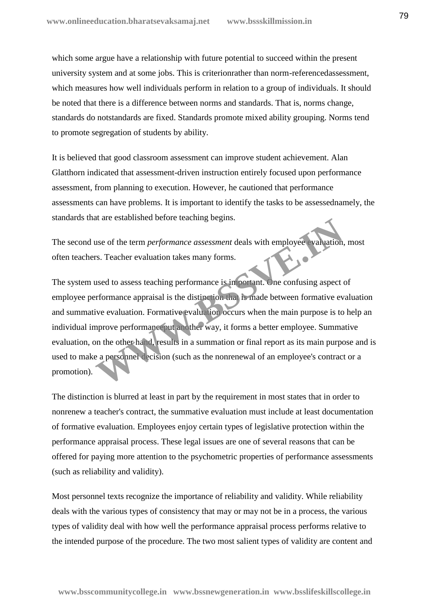which some argue have a relationship with future potential to succeed within the present university system and at some jobs. This is criterionrather than norm-referencedassessment, which measures how well individuals perform in relation to a group of individuals. It should be noted that there is a difference between norms and standards. That is, norms change, standards do notstandards are fixed. Standards promote mixed ability grouping. Norms tend to promote segregation of students by ability.

It is believed that good classroom assessment can improve student achievement. Alan Glatthorn indicated that assessment-driven instruction entirely focused upon performance assessment, from planning to execution. However, he cautioned that performance assessments can have problems. It is important to identify the tasks to be assessednamely, the standards that are established before teaching begins.

The second use of the term *performance assessment* deals with employee evaluation, most often teachers. Teacher evaluation takes many forms.

The system used to assess teaching performance is important. One confusing aspect of employee performance appraisal is the distinction that is made between formative evaluation and summative evaluation. Formative evaluation occurs when the main purpose is to help an individual improve performanceput another way, it forms a better employee. Summative evaluation, on the other hand, results in a summation or final report as its main purpose and is used to make a personnel decision (such as the nonrenewal of an employee's contract or a promotion). In the established before teaching begins.<br>
Teacher evaluation takes many forms.<br>
In the confusing aspect of the term performance assessment deals with employee evaluation.<br>
In the confusing aspect of the evaluation. Forma

The distinction is blurred at least in part by the requirement in most states that in order to nonrenew a teacher's contract, the summative evaluation must include at least documentation of formative evaluation. Employees enjoy certain types of legislative protection within the performance appraisal process. These legal issues are one of several reasons that can be offered for paying more attention to the psychometric properties of performance assessments (such as reliability and validity).

Most personnel texts recognize the importance of reliability and validity. While reliability deals with the various types of consistency that may or may not be in a process, the various types of validity deal with how well the performance appraisal process performs relative to the intended purpose of the procedure. The two most salient types of validity are content and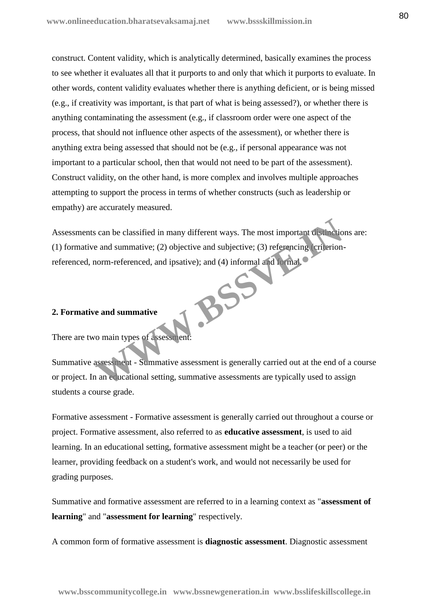construct. Content validity, which is analytically determined, basically examines the process to see whether it evaluates all that it purports to and only that which it purports to evaluate. In other words, content validity evaluates whether there is anything deficient, or is being missed (e.g., if creativity was important, is that part of what is being assessed?), or whether there is anything contaminating the assessment (e.g., if classroom order were one aspect of the process, that should not influence other aspects of the assessment), or whether there is anything extra being assessed that should not be (e.g., if personal appearance was not important to a particular school, then that would not need to be part of the assessment). Construct validity, on the other hand, is more complex and involves multiple approaches attempting to support the process in terms of whether constructs (such as leadership or empathy) are accurately measured.

Assessments can be classified in many different ways. The most important distinctions are: (1) formative and summative;  $(2)$  objective and subjective;  $(3)$  referencing (criterionreferenced, norm-referenced, and ipsative); and (4) informal and formal.<br>
2. Formative and summations Example 18 and summative; (2) objective and subjective; (3) referencing criterion-<br>
Norm-referenced, and ipsative); and (4) informal and rermal<br>
e and summative<br>
comain types of assessment:<br>
Normal and represented out at t

# **2. Formative and summative**

There are two main types of assessment:

Summative assessment - Summative assessment is generally carried out at the end of a course or project. In an educational setting, summative assessments are typically used to assign students a course grade.

Formative assessment - Formative assessment is generally carried out throughout a course or project. Formative assessment, also referred to as **educative assessment**, is used to aid learning. In an educational setting, formative assessment might be a teacher (or peer) or the learner, providing feedback on a student's work, and would not necessarily be used for grading purposes.

Summative and formative assessment are referred to in a learning context as "**assessment of learning**" and "**assessment for learning**" respectively.

A common form of formative assessment is **diagnostic assessment**. Diagnostic assessment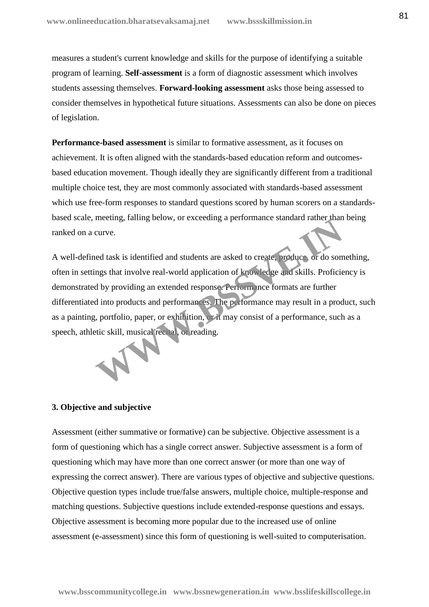measures a student's current knowledge and skills for the purpose of identifying a suitable program of learning. **Self-assessment** is a form of diagnostic assessment which involves students assessing themselves. **Forward-looking assessment** asks those being assessed to consider themselves in hypothetical future situations. Assessments can also be done on pieces of legislation.

**Performance-based assessment** is similar to formative assessment, as it focuses on achievement. It is often aligned with the standards-based education reform and outcomes based education movement. Though ideally they are significantly different from a traditional multiple choice test, they are most commonly associated with standards-based assessment which use free-form responses to standard questions scored by human scorers on a standards based scale, meeting, falling below, or exceeding a performance standard rather than being ranked on a curve.

A well-defined task is identified and students are asked to create, produce, or do something, often in settings that involve real-world application of knowledge and skills. Proficiency is demonstrated by providing an extended response. Performance formats are further differentiated into products and performances. The performance may result in a product, such as a painting, portfolio, paper, or exhibition, or it may consist of a performance, such as a speech, athletic skill, musical recital, or reading. meeting, ranny below, or exceeding a performance standard rather mand<br>curve.<br>
Hed task is identified and students are asked to create, or duce or do some<br>
mgs that involve real-world application of knowledge and skills. Pr



Assessment (either summative or formative) can be subjective. Objective assessment is a form of questioning which has a single correct answer. Subjective assessment is a form of questioning which may have more than one correct answer (or more than one way of expressing the correct answer). There are various types of objective and subjective questions. Objective question types include true/false answers, multiple choice, multiple-response and matching questions. Subjective questions include extended-response questions and essays. Objective assessment is becoming more popular due to the increased use of online assessment (e-assessment) since this form of questioning is well-suited to computerisation.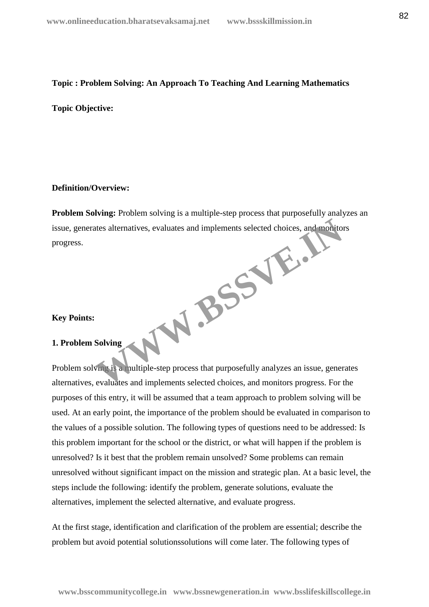# **Topic : Problem Solving: An Approach To Teaching And Learning Mathematics**

**Topic Objective:**

# **Definition/Overview:**

**Problem Solving:** Problem solving is a multiple-step process that purposefully analyzes an issue, generates alternatives, evaluates and implements selected choices, and monitors progress. WWW.BSSVE.J

#### **Key Points:**

### **1. Problem Solving**

Problem solving is a multiple-step process that purposefully analyzes an issue, generates alternatives, evaluates and implements selected choices, and monitors progress. For the purposes of this entry, it will be assumed that a team approach to problem solving will be used. At an early point, the importance of the problem should be evaluated in comparison to the values of a possible solution. The following types of questions need to be addressed: Is this problem important for the school or the district, or what will happen if the problem is unresolved? Is it best that the problem remain unsolved? Some problems can remain unresolved without significant impact on the mission and strategic plan. At a basic level, the steps include the following: identify the problem, generate solutions, evaluate the alternatives, implement the selected alternative, and evaluate progress.

At the first stage, identification and clarification of the problem are essential; describe the problem but avoid potential solutionssolutions will come later. The following types of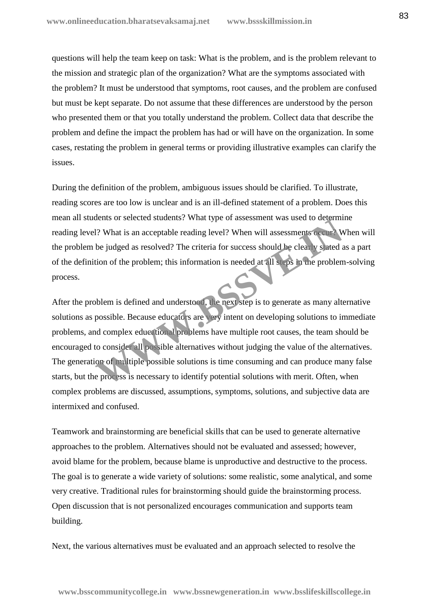questions will help the team keep on task: What is the problem, and is the problem relevant to the mission and strategic plan of the organization? What are the symptoms associated with the problem? It must be understood that symptoms, root causes, and the problem are confused but must be kept separate. Do not assume that these differences are understood by the person who presented them or that you totally understand the problem. Collect data that describe the problem and define the impact the problem has had or will have on the organization. In some cases, restating the problem in general terms or providing illustrative examples can clarify the issues.

During the definition of the problem, ambiguous issues should be clarified. To illustrate, reading scores are too low is unclear and is an ill-defined statement of a problem. Does this mean all students or selected students? What type of assessment was used to determine reading level? What is an acceptable reading level? When will assessments occur? When will the problem be judged as resolved? The criteria for success should be clearly stated as a part of the definition of the problem; this information is needed at all steps in the problem-solving process.

After the problem is defined and understood, the next step is to generate as many alternative solutions as possible. Because educators are very intent on developing solutions to immediate problems, and complex educational problems have multiple root causes, the team should be encouraged to consider all possible alternatives without judging the value of the alternatives. The generation of multiple possible solutions is time consuming and can produce many false starts, but the process is necessary to identify potential solutions with merit. Often, when complex problems are discussed, assumptions, symptoms, solutions, and subjective data are intermixed and confused. The state of selected statents? What type of assessment was used to determ<br>
1? What is an acceptable reading level? When will assessments occur.<br>
2011<br>
2013 be judged as resolved? The criteria for success should be clearly

Teamwork and brainstorming are beneficial skills that can be used to generate alternative approaches to the problem. Alternatives should not be evaluated and assessed; however, avoid blame for the problem, because blame is unproductive and destructive to the process. The goal is to generate a wide variety of solutions: some realistic, some analytical, and some very creative. Traditional rules for brainstorming should guide the brainstorming process. Open discussion that is not personalized encourages communication and supports team building.

Next, the various alternatives must be evaluated and an approach selected to resolve the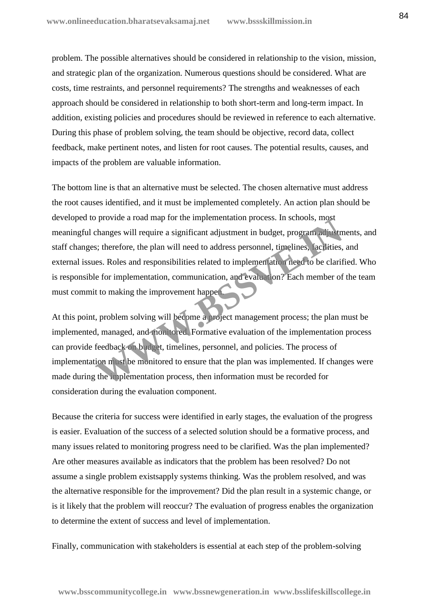problem. The possible alternatives should be considered in relationship to the vision, mission, and strategic plan of the organization. Numerous questions should be considered. What are costs, time restraints, and personnel requirements? The strengths and weaknesses of each approach should be considered in relationship to both short-term and long-term impact. In addition, existing policies and procedures should be reviewed in reference to each alternative. During this phase of problem solving, the team should be objective, record data, collect feedback, make pertinent notes, and listen for root causes. The potential results, causes, and impacts of the problem are valuable information.

The bottom line is that an alternative must be selected. The chosen alternative must address the root causes identified, and it must be implemented completely. An action plan should be developed to provide a road map for the implementation process. In schools, most meaningful changes will require a significant adjustment in budget, program adjustments, and staff changes; therefore, the plan will need to address personnel, timelines, facilities, and external issues. Roles and responsibilities related to implementation need to be clarified. Who is responsible for implementation, communication, and evaluation? Each member of the team must commit to making the improvement happen. Frovide a road map for the implementation process. In schools, most<br>stanges will require a significant adjustment in budget, program adjustment<br>s; therefore, the plan will need to address personnel, timelines, facilities,<br>

At this point, problem solving will become a project management process; the plan must be implemented, managed, and monitored. Formative evaluation of the implementation process can provide feedback on budget, timelines, personnel, and policies. The process of implementation must be monitored to ensure that the plan was implemented. If changes were made during the implementation process, then information must be recorded for consideration during the evaluation component.

Because the criteria for success were identified in early stages, the evaluation of the progress is easier. Evaluation of the success of a selected solution should be a formative process, and many issues related to monitoring progress need to be clarified. Was the plan implemented? Are other measures available as indicators that the problem has been resolved? Do not assume a single problem existsapply systems thinking. Was the problem resolved, and was the alternative responsible for the improvement? Did the plan result in a systemic change, or is it likely that the problem will reoccur? The evaluation of progress enables the organization to determine the extent of success and level of implementation.

Finally, communication with stakeholders is essential at each step of the problem-solving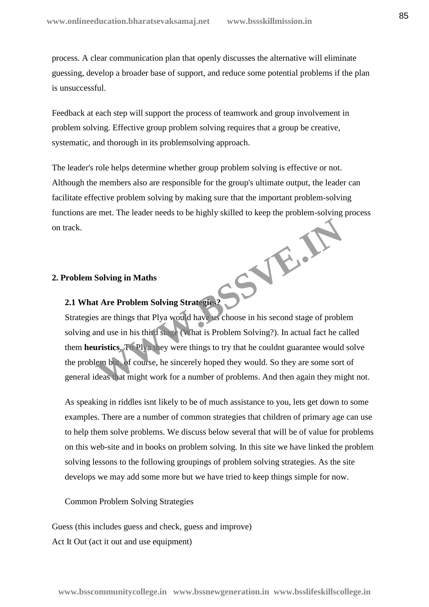process. A clear communication plan that openly discusses the alternative will eliminate guessing, develop a broader base of support, and reduce some potential problems if the plan is unsuccessful.

Feedback at each step will support the process of teamwork and group involvement in problem solving. Effective group problem solving requires that a group be creative, systematic, and thorough in its problemsolving approach.

The leader's role helps determine whether group problem solving is effective or not. Although the members also are responsible for the group's ultimate output, the leader can facilitate effective problem solving by making sure that the important problem-solving functions are met. The leader needs to be highly skilled to keep the problem-solving process on track. **WWW.BSSVE.IN**

#### **2. Problem Solving in Maths**

# **2.1 What Are Problem Solving Strategies?**

Strategies are things that Plya would have us choose in his second stage of problem solving and use in his third stage (What is Problem Solving?). In actual fact he called them **heuristics**. To Plya they were things to try that he couldnt guarantee would solve the problem but, of course, he sincerely hoped they would. So they are some sort of general ideas that might work for a number of problems. And then again they might not.

As speaking in riddles isnt likely to be of much assistance to you, lets get down to some examples. There are a number of common strategies that children of primary age can use to help them solve problems. We discuss below several that will be of value for problems on this web-site and in books on problem solving. In this site we have linked the problem solving lessons to the following groupings of problem solving strategies. As the site develops we may add some more but we have tried to keep things simple for now.

Common Problem Solving Strategies

Guess (this includes guess and check, guess and improve) Act It Out (act it out and use equipment)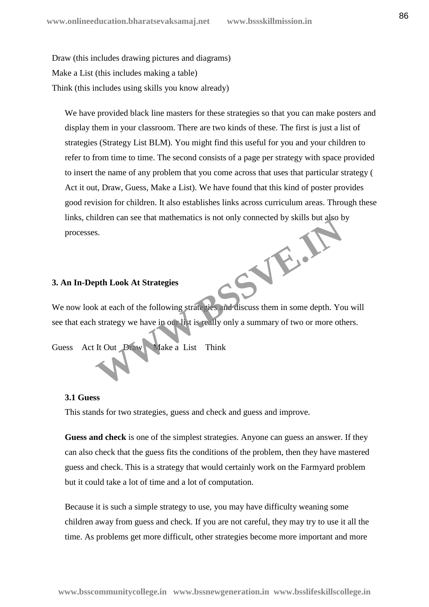Draw (this includes drawing pictures and diagrams) Make a List (this includes making a table) Think (this includes using skills you know already)

We have provided black line masters for these strategies so that you can make posters and display them in your classroom. There are two kinds of these. The first is just a list of strategies (Strategy List BLM). You might find this useful for you and your children to refer to from time to time. The second consists of a page per strategy with space provided to insert the name of any problem that you come across that uses that particular strategy ( Act it out, Draw, Guess, Make a List). We have found that this kind of poster provides good revision for children. It also establishes links across curriculum areas. Through these links, children can see that mathematics is not only connected by skills but also by processes. **WWW.BSSVE.IN**

#### **3. An In-Depth Look At Strategies**

We now look at each of the following strategies and discuss them in some depth. You will see that each strategy we have in our list is really only a summary of two or more others.

Guess Act It Out Draw Make a List Think

#### **3.1 Guess**

This stands for two strategies, guess and check and guess and improve.

**Guess and check** is one of the simplest strategies. Anyone can guess an answer. If they can also check that the guess fits the conditions of the problem, then they have mastered guess and check. This is a strategy that would certainly work on the Farmyard problem but it could take a lot of time and a lot of computation.

Because it is such a simple strategy to use, you may have difficulty weaning some children away from guess and check. If you are not careful, they may try to use it all the time. As problems get more difficult, other strategies become more important and more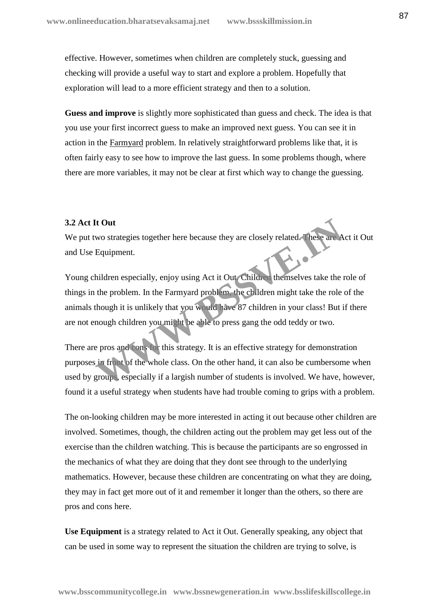effective. However, sometimes when children are completely stuck, guessing and checking will provide a useful way to start and explore a problem. Hopefully that exploration will lead to a more efficient strategy and then to a solution.

**Guess and improve** is slightly more sophisticated than guess and check. The idea is that you use your first incorrect guess to make an improved next guess. You can see it in action in the Farmyard problem. In relatively straightforward problems like that, it is often fairly easy to see how to improve the last guess. In some problems though, where there are more variables, it may not be clear at first which way to change the guessing.

#### **3.2 Act It Out**

We put two strategies together here because they are closely related. These are Act it Out and Use Equipment.

Young children especially, enjoy using Act it Out. Children themselves take the role of things in the problem. In the Farmyard problem, the children might take the role of the animals though it is unlikely that you would have 87 children in your class! But if there are not enough children you might be able to press gang the odd teddy or two. It Out<br>
wo strategies together here because they are closely related. These are A<br>
Equipment.<br>
Hildren especially, enjoy using Act it Out Children themselves take the<br>
the problem. In the Farmyard problem, the children mig

There are pros and cons for this strategy. It is an effective strategy for demonstration purposes in front of the whole class. On the other hand, it can also be cumbersome when used by groups, especially if a largish number of students is involved. We have, however, found it a useful strategy when students have had trouble coming to grips with a problem.

The on-looking children may be more interested in acting it out because other children are involved. Sometimes, though, the children acting out the problem may get less out of the exercise than the children watching. This is because the participants are so engrossed in the mechanics of what they are doing that they dont see through to the underlying mathematics. However, because these children are concentrating on what they are doing, they may in fact get more out of it and remember it longer than the others, so there are pros and cons here.

**Use Equipment** is a strategy related to Act it Out. Generally speaking, any object that can be used in some way to represent the situation the children are trying to solve, is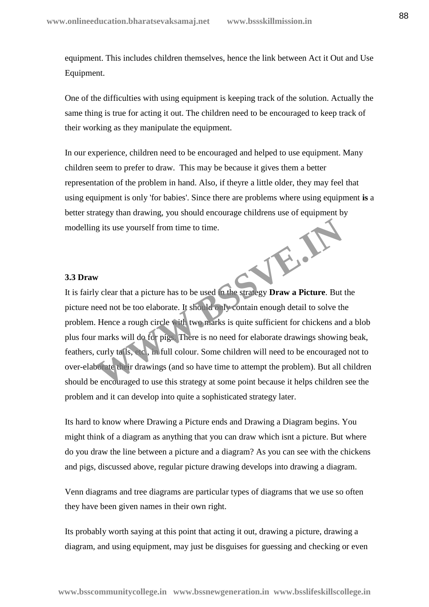equipment. This includes children themselves, hence the link between Act it Out and Use Equipment.

One of the difficulties with using equipment is keeping track of the solution. Actually the same thing is true for acting it out. The children need to be encouraged to keep track of their working as they manipulate the equipment.

In our experience, children need to be encouraged and helped to use equipment. Many children seem to prefer to draw. This may be because it gives them a better representation of the problem in hand. Also, if theyre a little older, they may feel that using equipment is only 'for babies'. Since there are problems where using equipment **is** a better strategy than drawing, you should encourage childrens use of equipment by modelling its use yourself from time to time. **WWW.BSSVE.IN**

### **3.3 Draw**

It is fairly clear that a picture has to be used in the strategy **Draw a Picture**. But the picture need not be too elaborate. It should only contain enough detail to solve the problem. Hence a rough circle with two marks is quite sufficient for chickens and a blob plus four marks will do for pigs. There is no need for elaborate drawings showing beak, feathers, curly tails, etc., in full colour. Some children will need to be encouraged not to over-elaborate their drawings (and so have time to attempt the problem). But all children should be encouraged to use this strategy at some point because it helps children see the problem and it can develop into quite a sophisticated strategy later.

Its hard to know where Drawing a Picture ends and Drawing a Diagram begins. You might think of a diagram as anything that you can draw which isnt a picture. But where do you draw the line between a picture and a diagram? As you can see with the chickens and pigs, discussed above, regular picture drawing develops into drawing a diagram.

Venn diagrams and tree diagrams are particular types of diagrams that we use so often they have been given names in their own right.

Its probably worth saying at this point that acting it out, drawing a picture, drawing a diagram, and using equipment, may just be disguises for guessing and checking or even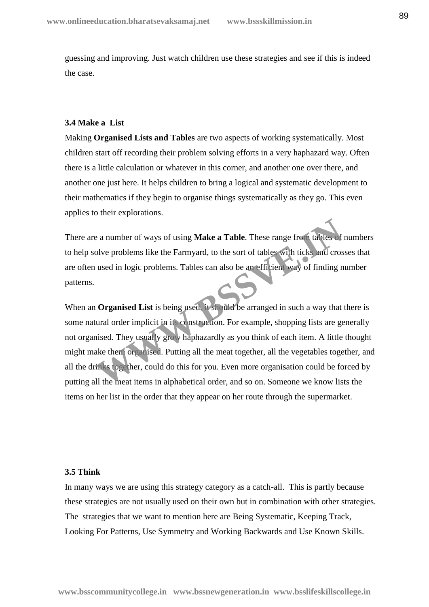guessing and improving. Just watch children use these strategies and see if this is indeed the case.

# **3.4 Make a List**

Making **Organised Lists and Tables** are two aspects of working systematically. Most children start off recording their problem solving efforts in a very haphazard way. Often there is a little calculation or whatever in this corner, and another one over there, and another one just here. It helps children to bring a logical and systematic development to their mathematics if they begin to organise things systematically as they go. This even applies to their explorations.

There are a number of ways of using **Make a Table**. These range from tables of numbers to help solve problems like the Farmyard, to the sort of tables with ticks and crosses that are often used in logic problems. Tables can also be an efficient way of finding number patterns.

When an **Organised List** is being used, it should be arranged in such a way that there is some natural order implicit in its construction. For example, shopping lists are generally not organised. They usually grow haphazardly as you think of each item. A little thought might make them organised. Putting all the meat together, all the vegetables together, and all the drinks together, could do this for you. Even more organisation could be forced by putting all the meat items in alphabetical order, and so on. Someone we know lists the items on her list in the order that they appear on her route through the supermarket. Example The United States and States and States of<br>
Note problems like the Farmyard, to the sort of tables with ticks and cross<br>
used in logic problems. Tables can also be an efficient way of finding no<br> **Cryanised List** i

# **3.5 Think**

In many ways we are using this strategy category as a catch-all. This is partly because these strategies are not usually used on their own but in combination with other strategies. The strategies that we want to mention here are Being Systematic, Keeping Track, Looking For Patterns, Use Symmetry and Working Backwards and Use Known Skills.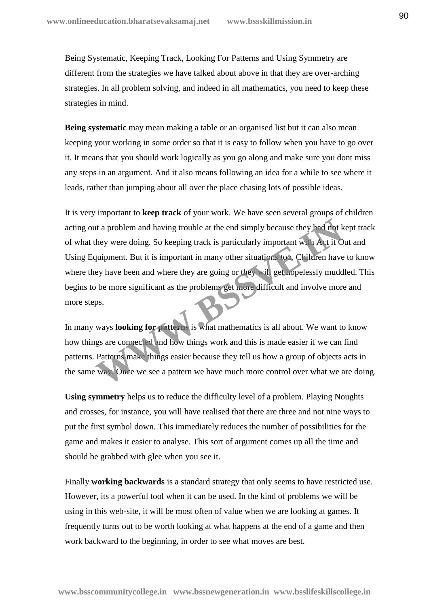Being Systematic, Keeping Track, Looking For Patterns and Using Symmetry are different from the strategies we have talked about above in that they are over-arching strategies. In all problem solving, and indeed in all mathematics, you need to keep these strategies in mind.

**Being systematic** may mean making a table or an organised list but it can also mean keeping your working in some order so that it is easy to follow when you have to go over it. It means that you should work logically as you go along and make sure you dont miss any steps in an argument. And it also means following an idea for a while to see where it leads, rather than jumping about all over the place chasing lots of possible ideas.

It is very important to **keep track** of your work. We have seen several groups of children acting out a problem and having trouble at the end simply because they had not kept track of what they were doing. So keeping track is particularly important with Act it Out and Using Equipment. But it is important in many other situations too. Children have to know where they have been and where they are going or they will get hopelessly muddled. This begins to be more significant as the problems get more difficult and involve more and more steps. It a problem and having trouble at the end simply because they had not k<br>hey were doing. So keeping track is particularly important with Act it O<br>quipment. But it is important in many other situations to a Children have<br>ey

In many ways **looking for patterns** is what mathematics is all about. We want to know how things are connected and how things work and this is made easier if we can find patterns. Patterns make things easier because they tell us how a group of objects acts in the same way. Once we see a pattern we have much more control over what we are doing.

**Using symmetry** helps us to reduce the difficulty level of a problem. Playing Noughts and crosses, for instance, you will have realised that there are three and not nine ways to put the first symbol down. This immediately reduces the number of possibilities for the game and makes it easier to analyse. This sort of argument comes up all the time and should be grabbed with glee when you see it.

Finally **working backwards** is a standard strategy that only seems to have restricted use. However, its a powerful tool when it can be used. In the kind of problems we will be using in this web-site, it will be most often of value when we are looking at games. It frequently turns out to be worth looking at what happens at the end of a game and then work backward to the beginning, in order to see what moves are best.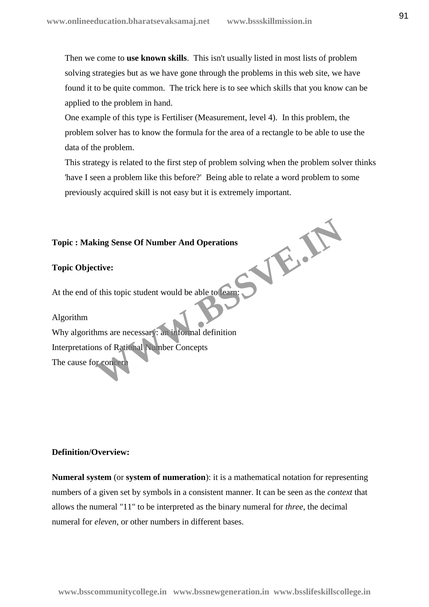Then we come to **use known skills**. This isn't usually listed in most lists of problem solving strategies but as we have gone through the problems in this web site, we have found it to be quite common. The trick here is to see which skills that you know can be applied to the problem in hand.

One example of this type is Fertiliser (Measurement, level 4). In this problem, the problem solver has to know the formula for the area of a rectangle to be able to use the data of the problem.

This strategy is related to the first step of problem solving when the problem solver thinks 'have I seen a problem like this before?' Being able to relate a word problem to some previously acquired skill is not easy but it is extremely important.

WE.A.

# **Topic : Making Sense Of Number And Operations**

### **Topic Objective:**

At the end of this topic student would be able to learn:

Algorithm

 Why algorithms are necessary: an informal definition Interpretations of Rational Number Concepts The cause for concern

# **Definition/Overview:**

**Numeral system** (or **system of numeration**): it is a mathematical notation for representing numbers of a given set by symbols in a consistent manner. It can be seen as the *context* that allows the numeral "11" to be interpreted as the binary numeral for *three*, the decimal numeral for *eleven*, or other numbers in different bases.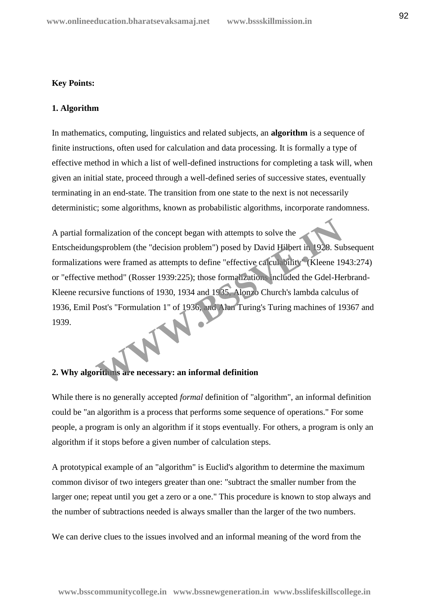### **Key Points:**

### **1. Algorithm**

In mathematics, computing, linguistics and related subjects, an **algorithm** is a sequence of finite instructions, often used for calculation and data processing. It is formally a type of effective method in which a list of well-defined instructions for completing a task will, when given an initial state, proceed through a well-defined series of successive states, eventually terminating in an end-state. The transition from one state to the next is not necessarily deterministic; some algorithms, known as probabilistic algorithms, incorporate randomness.

A partial formalization of the concept began with attempts to solve the Entscheidungsproblem (the "decision problem") posed by David Hilbert in 1928. Subsequent formalizations were framed as attempts to define "effective calculability" (Kleene 1943:274) or "effective method" (Rosser 1939:225); those formalizations included the Gdel-Herbrand- Kleene recursive functions of 1930, 1934 and 1935, Alonzo Church's lambda calculus of 1936, Emil Post's "Formulation 1" of 1936, and Alan Turing's Turing machines of 19367 and 1939. malization of the concept began with attempts to solve the<br>gsproblem (the "decision problem") posed by David Hilbert in 1928. Sul<br>ms were framed as attempts to define "effective calcula builty" (Kleene 19<br>method" (Rosser 1

# **2. Why algorithms are necessary: an informal definition**

While there is no generally accepted *formal* definition of "algorithm", an informal definition could be "an algorithm is a process that performs some sequence of operations." For some people, a program is only an algorithm if it stops eventually. For others, a program is only an algorithm if it stops before a given number of calculation steps.

A prototypical example of an "algorithm" is Euclid's algorithm to determine the maximum common divisor of two integers greater than one: "subtract the smaller number from the larger one; repeat until you get a zero or a one." This procedure is known to stop always and the number of subtractions needed is always smaller than the larger of the two numbers.

We can derive clues to the issues involved and an informal meaning of the word from the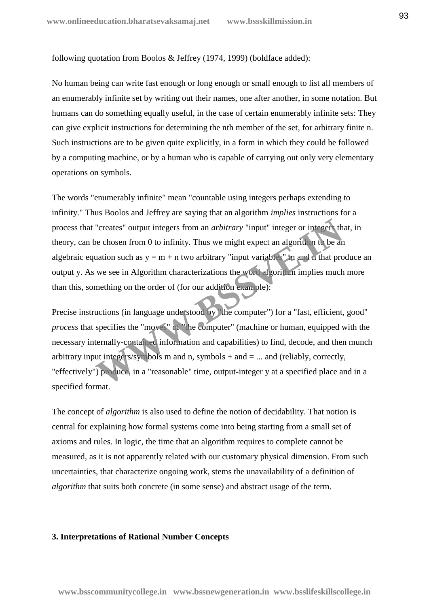following quotation from Boolos & Jeffrey (1974, 1999) (boldface added):

No human being can write fast enough or long enough or small enough to list all members of an enumerably infinite set by writing out their names, one after another, in some notation. But humans can do something equally useful, in the case of certain enumerably infinite sets: They can give explicit instructions for determining the nth member of the set, for arbitrary finite n. Such instructions are to be given quite explicitly, in a form in which they could be followed by a computing machine, or by a human who is capable of carrying out only very elementary operations on symbols.

The words "enumerably infinite" mean "countable using integers perhaps extending to infinity." Thus Boolos and Jeffrey are saying that an algorithm *implies* instructions for a process that "creates" output integers from an *arbitrary* "input" integer or integers that, in theory, can be chosen from 0 to infinity. Thus we might expect an algorithm to be an algebraic equation such as  $y = m + n$  two arbitrary "input variables" m and n that produce an output y. As we see in Algorithm characterizations the word algorithm implies much more than this, something on the order of (for our addition example):

Precise instructions (in language understood by "the computer") for a "fast, efficient, good" *process* that specifies the "moves" of "the computer" (machine or human, equipped with the necessary internally-contained information and capabilities) to find, decode, and then munch arbitrary input integers/symbols m and n, symbols  $+$  and  $=$  ... and (reliably, correctly, "effectively") produce, in a "reasonable" time, output-integer y at a specified place and in a specified format. "creates" output integers from an *arbitrary* "input" integer or integers the echosen from 0 to infinity. Thus we might expect an algorithm to be an aution such as  $y = m + n$  two arbitrary "input variables" in and n that pro

The concept of *algorithm* is also used to define the notion of decidability. That notion is central for explaining how formal systems come into being starting from a small set of axioms and rules. In logic, the time that an algorithm requires to complete cannot be measured, as it is not apparently related with our customary physical dimension. From such uncertainties, that characterize ongoing work, stems the unavailability of a definition of *algorithm* that suits both concrete (in some sense) and abstract usage of the term.

#### **3. Interpretations of Rational Number Concepts**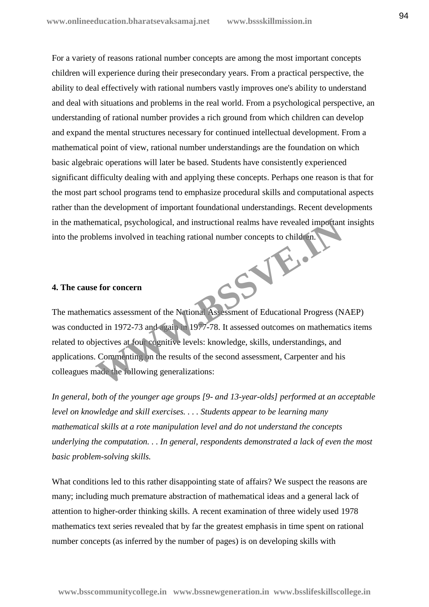For a variety of reasons rational number concepts are among the most important concepts children will experience during their presecondary years. From a practical perspective, the ability to deal effectively with rational numbers vastly improves one's ability to understand and deal with situations and problems in the real world. From a psychological perspective, an understanding of rational number provides a rich ground from which children can develop and expand the mental structures necessary for continued intellectual development. From a mathematical point of view, rational number understandings are the foundation on which basic algebraic operations will later be based. Students have consistently experienced significant difficulty dealing with and applying these concepts. Perhaps one reason is that for the most part school programs tend to emphasize procedural skills and computational aspects rather than the development of important foundational understandings. Recent developments in the mathematical, psychological, and instructional realms have revealed important insights into the problems involved in teaching rational number concepts to children. **WWW.BSSVER.IN** 

#### **4. The cause for concern**

The mathematics assessment of the National Assessment of Educational Progress (NAEP) was conducted in 1972-73 and again in 1977-78. It assessed outcomes on mathematics items related to objectives at four cognitive levels: knowledge, skills, understandings, and applications. Commenting on the results of the second assessment, Carpenter and his colleagues made the following generalizations:

*In general, both of the younger age groups [9- and 13-year-olds] performed at an acceptable level on knowledge and skill exercises. . . . Students appear to be learning many mathematical skills at a rote manipulation level and do not understand the concepts underlying the computation. . . In general, respondents demonstrated a lack of even the most basic problem-solving skills.*

What conditions led to this rather disappointing state of affairs? We suspect the reasons are many; including much premature abstraction of mathematical ideas and a general lack of attention to higher-order thinking skills. A recent examination of three widely used 1978 mathematics text series revealed that by far the greatest emphasis in time spent on rational number concepts (as inferred by the number of pages) is on developing skills with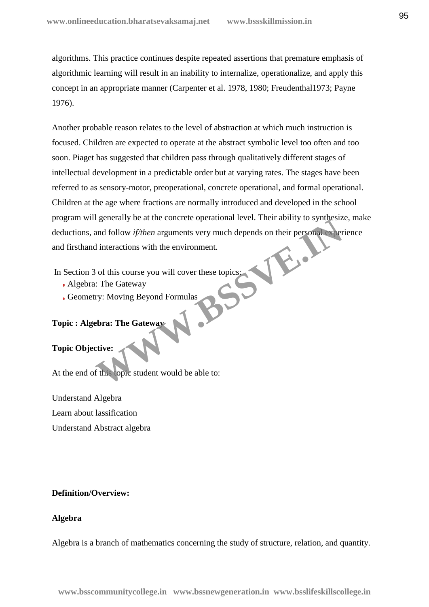algorithms. This practice continues despite repeated assertions that premature emphasis of algorithmic learning will result in an inability to internalize, operationalize, and apply this concept in an appropriate manner (Carpenter et al. 1978, 1980; Freudenthal1973; Payne 1976).

Another probable reason relates to the level of abstraction at which much instruction is focused. Children are expected to operate at the abstract symbolic level too often and too soon. Piaget has suggested that children pass through qualitatively different stages of intellectual development in a predictable order but at varying rates. The stages have been referred to as sensory-motor, preoperational, concrete operational, and formal operational. Children at the age where fractions are normally introduced and developed in the school program will generally be at the concrete operational level. Their ability to synthesize, make deductions, and follow *if/then* arguments very much depends on their personal experience and firsthand interactions with the environment. Experiency de a die concrete operational level. Then admity to sympesize and follow *if/then* arguments very much depends on their personal experient interactions with the environment.<br>
So f this course you will cover thes

In Section 3 of this course you will cover these topics:

- Algebra: The Gateway
- Geometry: Moving Beyond Formulas

# **Topic : Algebra: The Gateway**

# **Topic Objective:**

At the end of this topic student would be able to:

 Understand Algebra Learn about lassification Understand Abstract algebra

# **Definition/Overview:**

#### **Algebra**

Algebra is a branch of mathematics concerning the study of structure, relation, and quantity.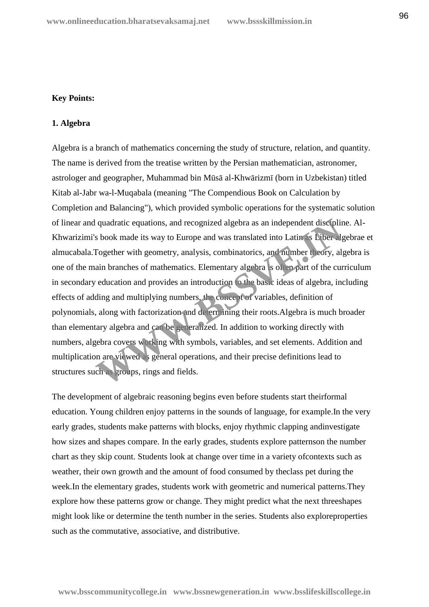# **Key Points:**

### **1. Algebra**

Algebra is a branch of mathematics concerning the study of structure, relation, and quantity. The name is derived from the treatise written by the Persian mathematician, astronomer, astrologer and geographer, Muhammad bin M  $\,$ s al-Khw rizm (born in Uzbekistan) titled Kitab al-Jabr wa-l-Muqabala (meaning "The Compendious Book on Calculation by Completion and Balancing"), which provided symbolic operations for the systematic solution of linear and quadratic equations, and recognized algebra as an independent discipline. Al- Khwarizimi's book made its way to Europe and was translated into Latin as Liber algebrae et almucabala.Together with geometry, analysis, combinatorics, and number theory, algebra is one of the main branches of mathematics. Elementary algebra is often part of the curriculum in secondary education and provides an introduction to the basic ideas of algebra, including effects of adding and multiplying numbers, the concept of variables, definition of polynomials, along with factorization and determining their roots.Algebra is much broader than elementary algebra and can be generalized. In addition to working directly with numbers, algebra covers working with symbols, variables, and set elements. Addition and multiplication are viewed as general operations, and their precise definitions lead to structures such as groups, rings and fields. quadratic equations, and recognized algebra as an independent disciplin<br>s book made its way to Europe and was translated into Latin is Liber alg<br>Together with geometry, analysis, combinatorics, and number theory, alg<br>ain b

The development of algebraic reasoning begins even before students start theirformal education. Young children enjoy patterns in the sounds of language, for example.In the very early grades, students make patterns with blocks, enjoy rhythmic clapping andinvestigate how sizes and shapes compare. In the early grades, students explore patternson the number chart as they skip count. Students look at change over time in a variety ofcontexts such as weather, their own growth and the amount of food consumed by theclass pet during the week.In the elementary grades, students work with geometric and numerical patterns.They explore how these patterns grow or change. They might predict what the next threeshapes might look like or determine the tenth number in the series. Students also exploreproperties such as the commutative, associative, and distributive.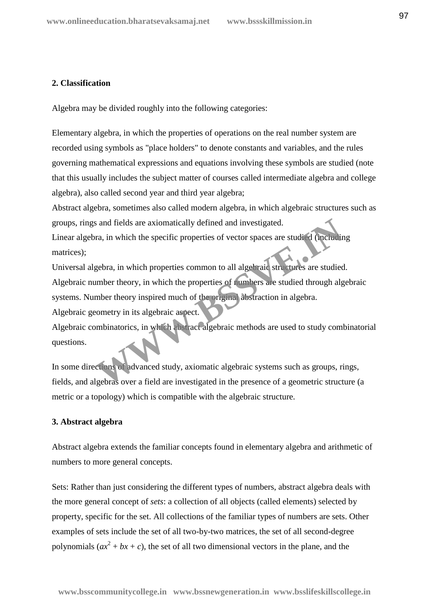# **2. Classification**

Algebra may be divided roughly into the following categories:

 Elementary algebra, in which the properties of operations on the real number system are recorded using symbols as "place holders" to denote constants and variables, and the rules governing mathematical expressions and equations involving these symbols are studied (note that this usually includes the subject matter of courses called intermediate algebra and college algebra), also called second year and third year algebra;

 Abstract algebra, sometimes also called modern algebra, in which algebraic structures such as groups, rings and fields are axiomatically defined and investigated.

 Linear algebra, in which the specific properties of vector spaces are studied (including matrices);

 Universal algebra, in which properties common to all algebraic structures are studied. Algebraic number theory, in which the properties of numbers are studied through algebraic systems. Number theory inspired much of the original abstraction in algebra. Sand fields are axiomatically defined and investigated.<br>
Tra, in which the specific properties of vector spaces are studied (including<br>
egebra, in which properties common to all algebraic structures are studied<br>
umber theo

Algebraic geometry in its algebraic aspect.

 Algebraic combinatorics, in which abstract algebraic methods are used to study combinatorial questions.

In some directions of advanced study, axiomatic algebraic systems such as groups, rings, fields, and algebras over a field are investigated in the presence of a geometric structure (a metric or a topology) which is compatible with the algebraic structure.

### **3. Abstract algebra**

Abstract algebra extends the familiar concepts found in elementary algebra and arithmetic of numbers to more general concepts.

Sets: Rather than just considering the different types of numbers, abstract algebra deals with the more general concept of *sets*: a collection of all objects (called elements) selected by property, specific for the set. All collections of the familiar types of numbers are sets. Other examples of sets include the set of all two-by-two matrices, the set of all second-degree polynomials  $(ax^2 + bx + c)$ , the set of all two dimensional vectors in the plane, and the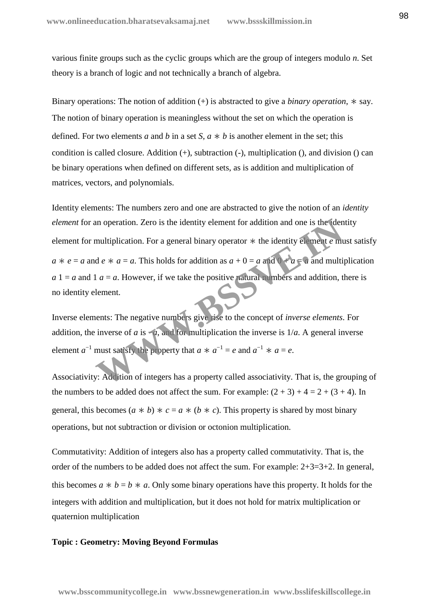various finite groups such as the cyclic groups which are the group of integers modulo *n*. Set theory is a branch of logic and not technically a branch of algebra.

Binary operations: The notion of addition (+) is abstracted to give a *binary operation*, ∗ say. The notion of binary operation is meaningless without the set on which the operation is defined. For two elements *a* and *b* in a set *S*,  $a * b$  is another element in the set; this condition is called closure. Addition (+), subtraction (-), multiplication (), and division () can be binary operations when defined on different sets, as is addition and multiplication of matrices, vectors, and polynomials.

Identity elements: The numbers zero and one are abstracted to give the notion of an *identity element* for an operation. Zero is the identity element for addition and one is the identity element for multiplication. For a general binary operator ∗ the identity element *e* must satisfy  $a * e = a$  and  $e * a = a$ . This holds for addition as  $a + 0 = a$  and  $\theta + a = a$  and multiplication  $a$  1 = *a* and 1 *a* = *a*. However, if we take the positive natural numbers and addition, there is no identity element. an operation. Zero is the identity element for addition and one is the identity<br>multiplication. For a general binary operator  $*$  the identity element  $e$  m<br>d  $e * a = a$ . This holds for addition as  $a + 0 = a$  and  $\overrightarrow{+a} = a$  a

Inverse elements: The negative numbers give rise to the concept of *inverse elements*. For addition, the inverse of *a* is  $-a$ , and for multiplication the inverse is  $1/a$ . A general inverse element  $a^{-1}$  must satisfy the property that  $a * a^{-1} = e$  and  $a^{-1} * a = e$ .

Associativity: Addition of integers has a property called associativity. That is, the grouping of the numbers to be added does not affect the sum. For example:  $(2 + 3) + 4 = 2 + (3 + 4)$ . In general, this becomes  $(a * b) * c = a * (b * c)$ . This property is shared by most binary operations, but not subtraction or division or octonion multiplication.

Commutativity: Addition of integers also has a property called commutativity. That is, the order of the numbers to be added does not affect the sum. For example: 2+3=3+2. In general, this becomes  $a * b = b * a$ . Only some binary operations have this property. It holds for the integers with addition and multiplication, but it does not hold for matrix multiplication or quaternion multiplication

#### **Topic : Geometry: Moving Beyond Formulas**

**www.bsscommunitycollege.in www.bssnewgeneration.in www.bsslifeskillscollege.in**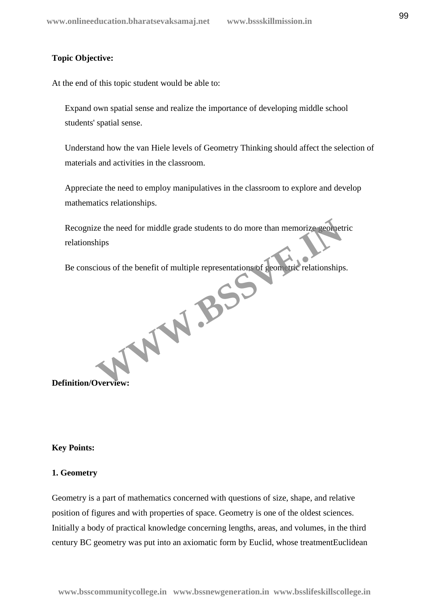### **Topic Objective:**

At the end of this topic student would be able to:

Expand own spatial sense and realize the importance of developing middle school students' spatial sense.

Understand how the van Hiele levels of Geometry Thinking should affect the selection of materials and activities in the classroom.

Appreciate the need to employ manipulatives in the classroom to explore and develop mathematics relationships.

Recognize the need for middle grade students to do more than memorize geometric relationships

Be conscious of the benefit of multiple representations of geometric relationships. **WWW.BSS** 

**Definition/Overview:**

### **Key Points:**

#### **1. Geometry**

Geometry is a part of mathematics concerned with questions of size, shape, and relative position of figures and with properties of space. Geometry is one of the oldest sciences. Initially a body of practical knowledge concerning lengths, areas, and volumes, in the third century BC geometry was put into an axiomatic form by Euclid, whose treatmentEuclidean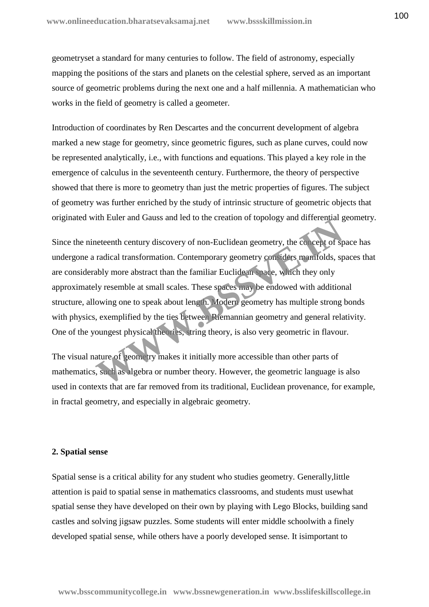geometryset a standard for many centuries to follow. The field of astronomy, especially mapping the positions of the stars and planets on the celestial sphere, served as an important source of geometric problems during the next one and a half millennia. A mathematician who works in the field of geometry is called a geometer.

Introduction of coordinates by Ren Descartes and the concurrent development of algebra marked a new stage for geometry, since geometric figures, such as plane curves, could now be represented analytically, i.e., with functions and equations. This played a key role in the emergence of calculus in the seventeenth century. Furthermore, the theory of perspective showed that there is more to geometry than just the metric properties of figures. The subject of geometry was further enriched by the study of intrinsic structure of geometric objects that originated with Euler and Gauss and led to the creation of topology and differential geometry.

Since the nineteenth century discovery of non-Euclidean geometry, the concept of space has undergone a radical transformation. Contemporary geometry considers manifolds, spaces that are considerably more abstract than the familiar Euclidean space, which they only approximately resemble at small scales. These spaces may be endowed with additional structure, allowing one to speak about length. Modern geometry has multiple strong bonds with physics, exemplified by the ties between Riemannian geometry and general relativity. One of the youngest physical theories, string theory, is also very geometric in flavour. In Euer and Gauss and ed to the creation of topology and directional generation.<br>
Interesting the concept of spraches reaction contemporary geometry, the concept of spraches radical transformation. Contemporary geometry co

The visual nature of geometry makes it initially more accessible than other parts of mathematics, such as algebra or number theory. However, the geometric language is also used in contexts that are far removed from its traditional, Euclidean provenance, for example, in fractal geometry, and especially in algebraic geometry.

# **2. Spatial sense**

Spatial sense is a critical ability for any student who studies geometry. Generally,little attention is paid to spatial sense in mathematics classrooms, and students must usewhat spatial sense they have developed on their own by playing with Lego Blocks, building sand castles and solving jigsaw puzzles. Some students will enter middle schoolwith a finely developed spatial sense, while others have a poorly developed sense. It isimportant to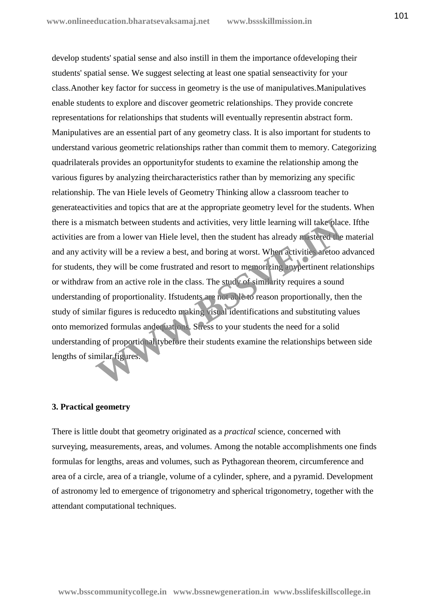develop students' spatial sense and also instill in them the importance ofdeveloping their students' spatial sense. We suggest selecting at least one spatial senseactivity for your class.Another key factor for success in geometry is the use of manipulatives.Manipulatives enable students to explore and discover geometric relationships. They provide concrete representations for relationships that students will eventually representin abstract form. Manipulatives are an essential part of any geometry class. It is also important for students to understand various geometric relationships rather than commit them to memory. Categorizing quadrilaterals provides an opportunityfor students to examine the relationship among the various figures by analyzing theircharacteristics rather than by memorizing any specific relationship. The van Hiele levels of Geometry Thinking allow a classroom teacher to generateactivities and topics that are at the appropriate geometry level for the students. When there is a mismatch between students and activities, very little learning will take place. Ifthe activities are from a lower van Hiele level, then the student has already mastered the material and any activity will be a review a best, and boring at worst. When activities aretoo advanced for students, they will be come frustrated and resort to memorizing anypertinent relationships or withdraw from an active role in the class. The study of similarity requires a sound understanding of proportionality. Ifstudents are not able to reason proportionally, then the study of similar figures is reducedto making visual identifications and substituting values onto memorized formulas andequations. Stress to your students the need for a solid understanding of proportionalitybefore their students examine the relationships between side lengths of similar figures. smatch between students and activities, very little learning will take place from a lower van Hiele level, then the student has already a astered the vity will be a review a best, and boring at worst. When activitie, are t

# **3. Practical geometry**

There is little doubt that geometry originated as a *practical* science, concerned with surveying, measurements, areas, and volumes. Among the notable accomplishments one finds formulas for lengths, areas and volumes, such as Pythagorean theorem, circumference and area of a circle, area of a triangle, volume of a cylinder, sphere, and a pyramid. Development of astronomy led to emergence of trigonometry and spherical trigonometry, together with the attendant computational techniques.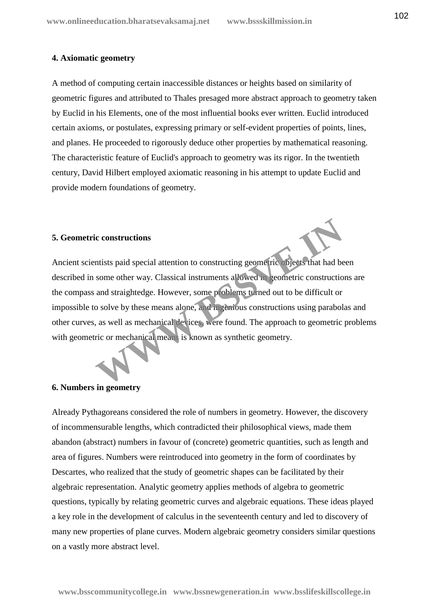### **4. Axiomatic geometry**

A method of computing certain inaccessible distances or heights based on similarity of geometric figures and attributed to Thales presaged more abstract approach to geometry taken by Euclid in his Elements, one of the most influential books ever written. Euclid introduced certain axioms, or postulates, expressing primary or self-evident properties of points, lines, and planes. He proceeded to rigorously deduce other properties by mathematical reasoning. The characteristic feature of Euclid's approach to geometry was its rigor. In the twentieth century, David Hilbert employed axiomatic reasoning in his attempt to update Euclid and provide modern foundations of geometry.

#### **5. Geometric constructions**

Ancient scientists paid special attention to constructing geometric objects that had been described in some other way. Classical instruments allowed in geometric constructions are the compass and straightedge. However, some problems turned out to be difficult or impossible to solve by these means alone, and ingenious constructions using parabolas and other curves, as well as mechanical devices, were found. The approach to geometric problems with geometric or mechanical means is known as synthetic geometry. it constructions<br>
In the some other way. Classical instruments a lowed m geometric constructio<br>
and straightedge. However, some problems turned out to be difficult or<br>
o solve by these means alone, and in genious construct

### **6. Numbers in geometry**

Already Pythagoreans considered the role of numbers in geometry. However, the discovery of incommensurable lengths, which contradicted their philosophical views, made them abandon (abstract) numbers in favour of (concrete) geometric quantities, such as length and area of figures. Numbers were reintroduced into geometry in the form of coordinates by Descartes, who realized that the study of geometric shapes can be facilitated by their algebraic representation. Analytic geometry applies methods of algebra to geometric questions, typically by relating geometric curves and algebraic equations. These ideas played a key role in the development of calculus in the seventeenth century and led to discovery of many new properties of plane curves. Modern algebraic geometry considers similar questions on a vastly more abstract level.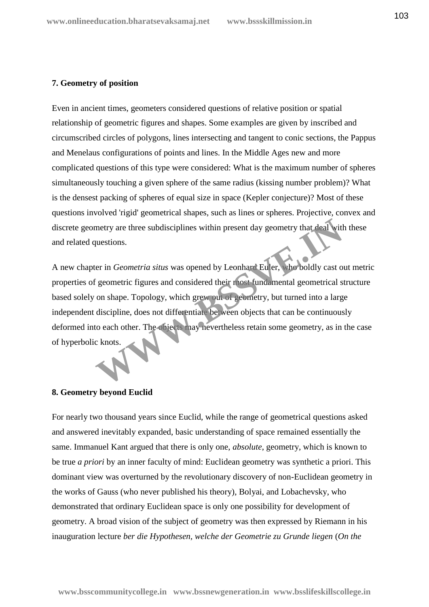### **7. Geometry of position**

Even in ancient times, geometers considered questions of relative position or spatial relationship of geometric figures and shapes. Some examples are given by inscribed and circumscribed circles of polygons, lines intersecting and tangent to conic sections, the Pappus and Menelaus configurations of points and lines. In the Middle Ages new and more complicated questions of this type were considered: What is the maximum number of spheres simultaneously touching a given sphere of the same radius (kissing number problem)? What is the densest packing of spheres of equal size in space (Kepler conjecture)? Most of these questions involved 'rigid' geometrical shapes, such as lines or spheres. Projective, convex and discrete geometry are three subdisciplines within present day geometry that deal with these and related questions.

A new chapter in *Geometria situs* was opened by Leonhard Euler, who boldly cast out metric properties of geometric figures and considered their most fundamental geometrical structure based solely on shape. Topology, which grew out of geometry, but turned into a large independent discipline, does not differentiate between objects that can be continuously deformed into each other. The objects may nevertheless retain some geometry, as in the case of hyperbolic knots. metry are three subdisciplines within present day geometry that deal with<br>questions.<br>
Here in *Geometria situs* was opened by Leonhard Euler, who boldly cast of<br>
igeometric figures and considered their most fundamental geo

### **8. Geometry beyond Euclid**

For nearly two thousand years since Euclid, while the range of geometrical questions asked and answered inevitably expanded, basic understanding of space remained essentially the same. Immanuel Kant argued that there is only one, *absolute*, geometry, which is known to be true *a priori* by an inner faculty of mind: Euclidean geometry was synthetic a priori. This dominant view was overturned by the revolutionary discovery of non-Euclidean geometry in the works of Gauss (who never published his theory), Bolyai, and Lobachevsky, who demonstrated that ordinary Euclidean space is only one possibility for development of geometry. A broad vision of the subject of geometry was then expressed by Riemann in his inauguration lecture *ber die Hypothesen, welche der Geometrie zu Grunde liegen* (*On the*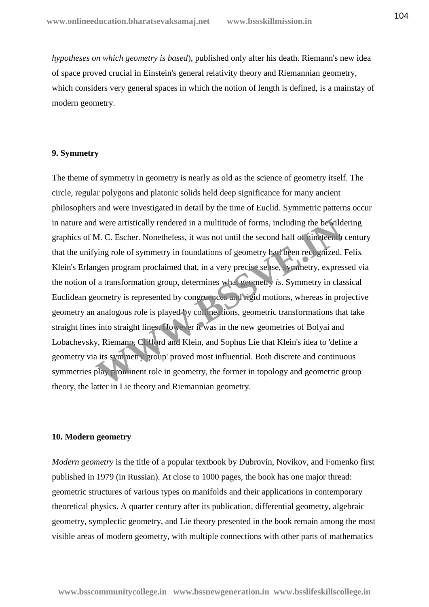*hypotheses on which geometry is based*), published only after his death. Riemann's new idea of space proved crucial in Einstein's general relativity theory and Riemannian geometry, which considers very general spaces in which the notion of length is defined, is a mainstay of modern geometry.

### **9. Symmetry**

The theme of symmetry in geometry is nearly as old as the science of geometry itself. The circle, regular polygons and platonic solids held deep significance for many ancient philosophers and were investigated in detail by the time of Euclid. Symmetric patterns occur in nature and were artistically rendered in a multitude of forms, including the bewildering graphics of M. C. Escher. Nonetheless, it was not until the second half of nineteenth century that the unifying role of symmetry in foundations of geometry had been recognized. Felix Klein's Erlangen program proclaimed that, in a very precise sense, symmetry, expressed via the notion of a transformation group, determines what geometry *is*. Symmetry in classical Euclidean geometry is represented by congruences and rigid motions, whereas in projective geometry an analogous role is played by collineations, geometric transformations that take straight lines into straight lines. However it was in the new geometries of Bolyai and Lobachevsky, Riemann, Clifford and Klein, and Sophus Lie that Klein's idea to 'define a geometry via its symmetry group' proved most influential. Both discrete and continuous symmetries play prominent role in geometry, the former in topology and geometric group theory, the latter in Lie theory and Riemannian geometry. If were artistically rendered in a multitude of forms, including the bewild M. C. Escher. Nonetheless, it was not until the second half of hineteenth ying role of symmetry in foundations of geometry had been recognized. ag

### **10. Modern geometry**

*Modern geometry* is the title of a popular textbook by Dubrovin, Novikov, and Fomenko first published in 1979 (in Russian). At close to 1000 pages, the book has one major thread: geometric structures of various types on manifolds and their applications in contemporary theoretical physics. A quarter century after its publication, differential geometry, algebraic geometry, symplectic geometry, and Lie theory presented in the book remain among the most visible areas of modern geometry, with multiple connections with other parts of mathematics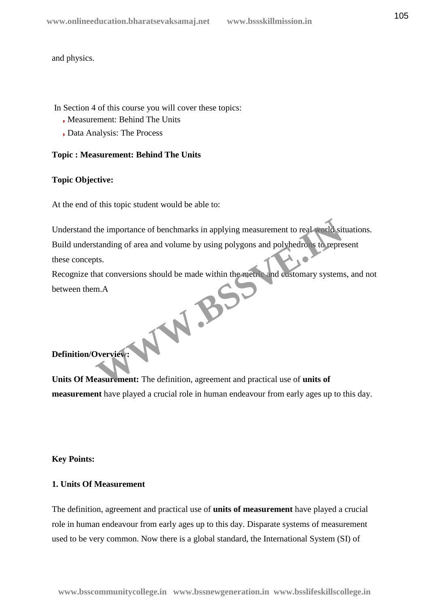and physics.

In Section 4 of this course you will cover these topics:

- Measurement: Behind The Units
- Data Analysis: The Process

# **Topic : Measurement: Behind The Units**

# **Topic Objective:**

At the end of this topic student would be able to:

 Understand the importance of benchmarks in applying measurement to real world situations. Build understanding of area and volume by using polygons and polyhedrons to represent these concepts.

 Recognize that conversions should be made within the metric and customary systems, and not between them.A W.BSC

# **Definition/Overview:**

**Units Of Measurement:** The definition, agreement and practical use of **units of measurement** have played a crucial role in human endeavour from early ages up to this day.

# **Key Points:**

# **1. Units Of Measurement**

The definition, agreement and practical use of **units of measurement** have played a crucial role in human endeavour from early ages up to this day. Disparate systems of measurement used to be very common. Now there is a global standard, the International System (SI) of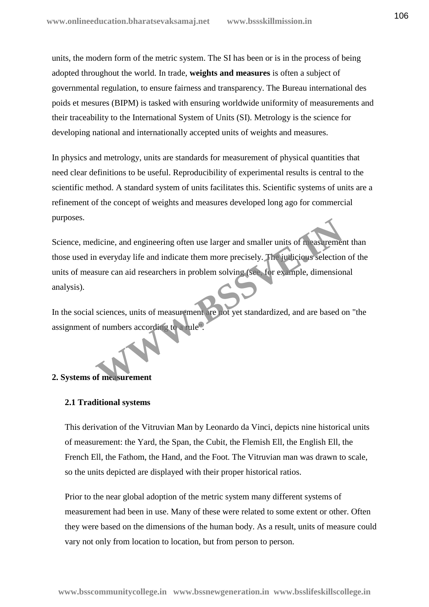units, the modern form of the metric system. The SI has been or is in the process of being adopted throughout the world. In trade, **weights and measures** is often a subject of governmental regulation, to ensure fairness and transparency. The Bureau international des poids et mesures (BIPM) is tasked with ensuring worldwide uniformity of measurements and their traceability to the International System of Units (SI). Metrology is the science for developing national and internationally accepted units of weights and measures.

In physics and metrology, units are standards for measurement of physical quantities that need clear definitions to be useful. Reproducibility of experimental results is central to the scientific method. A standard system of units facilitates this. Scientific systems of units are a refinement of the concept of weights and measures developed long ago for commercial purposes.

Science, medicine, and engineering often use larger and smaller units of measurement than those used in everyday life and indicate them more precisely. The judicious selection of the units of measure can aid researchers in problem solving (see, for example, dimensional analysis). dicine, and engineering often use larger and smaller units of measurement<br>
neveryday life and indicate them more precisely. The indicious selection<br>
sure can aid researchers in problem solving (see for example, dimension<br>

In the social sciences, units of measurement are not yet standardized, and are based on "the assignment of numbers according to a rule".

# **2. Systems of measurement**

# **2.1 Traditional systems**

This derivation of the Vitruvian Man by Leonardo da Vinci, depicts nine historical units of measurement: the Yard, the Span, the Cubit, the Flemish Ell, the English Ell, the French Ell, the Fathom, the Hand, and the Foot. The Vitruvian man was drawn to scale, so the units depicted are displayed with their proper historical ratios.

Prior to the near global adoption of the metric system many different systems of measurement had been in use. Many of these were related to some extent or other. Often they were based on the dimensions of the human body. As a result, units of measure could vary not only from location to location, but from person to person.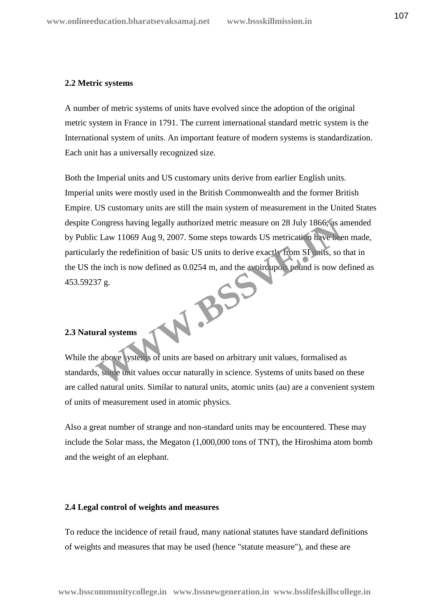### **2.2 Metric systems**

A number of metric systems of units have evolved since the adoption of the original metric system in France in 1791. The current international standard metric system is the International system of units. An important feature of modern systems is standardization. Each unit has a universally recognized size.

Both the Imperial units and US customary units derive from earlier English units. Imperial units were mostly used in the British Commonwealth and the former British Empire. US customary units are still the main system of measurement in the United States despite Congress having legally authorized metric measure on 28 July 1866, as amended by Public Law 11069 Aug 9, 2007. Some steps towards US metrication have been made, particularly the redefinition of basic US units to derive exactly from SI units, so that in the US the inch is now defined as 0.0254 m, and the avoirdupois pound is now defined as 453.59237 g. W.BSS

# **2.3 Natural systems**

While the above systems of units are based on arbitrary unit values, formalised as standards, some unit values occur naturally in science. Systems of units based on these are called natural units. Similar to natural units, atomic units (au) are a convenient system of units of measurement used in atomic physics.

Also a great number of strange and non-standard units may be encountered. These may include the Solar mass, the Megaton (1,000,000 tons of TNT), the Hiroshima atom bomb and the weight of an elephant.

#### **2.4 Legal control of weights and measures**

To reduce the incidence of retail fraud, many national statutes have standard definitions of weights and measures that may be used (hence "statute measure"), and these are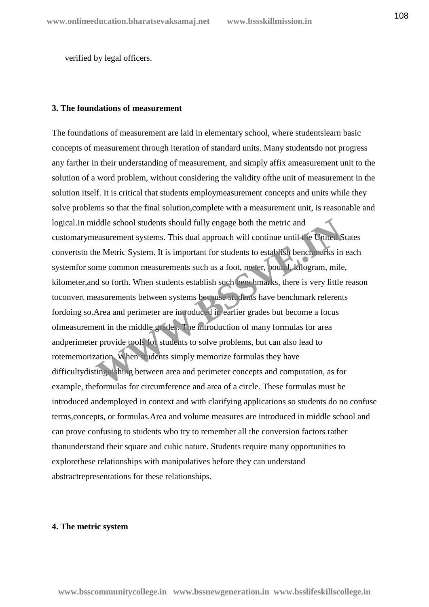verified by legal officers.

#### **3. The foundations of measurement**

The foundations of measurement are laid in elementary school, where studentslearn basic concepts of measurement through iteration of standard units. Many studentsdo not progress any farther in their understanding of measurement, and simply affix ameasurement unit to the solution of a word problem, without considering the validity ofthe unit of measurement in the solution itself. It is critical that students employmeasurement concepts and units while they solve problems so that the final solution,complete with a measurement unit, is reasonable and logical.In middle school students should fully engage both the metric and customarymeasurement systems. This dual approach will continue until the United States convertsto the Metric System. It is important for students to establish benchmarks in each systemfor some common measurements such as a foot, meter, pound, kilogram, mile, kilometer,and so forth. When students establish such benchmarks, there is very little reason toconvert measurements between systems because students have benchmark referents fordoing so.Area and perimeter are introduced in earlier grades but become a focus ofmeasurement in the middle grades. The introduction of many formulas for area andperimeter provide tools for students to solve problems, but can also lead to rotememorization. When students simply memorize formulas they have difficulty distinguishing between area and perimeter concepts and computation, as for example, theformulas for circumference and area of a circle. These formulas must be introduced andemployed in context and with clarifying applications so students do no confuse terms,concepts, or formulas.Area and volume measures are introduced in middle school and can prove confusing to students who try to remember all the conversion factors rather thanunderstand their square and cubic nature. Students require many opportunities to explorethese relationships with manipulatives before they can understand abstractrepresentations for these relationships. iddle school students should fully engage both the metric and<br>easurement systems. This dual approach will continue until-the United S<br>ee Metric System. It is important for students to establish benchmarks in<br>me common meas

#### **4. The metric system**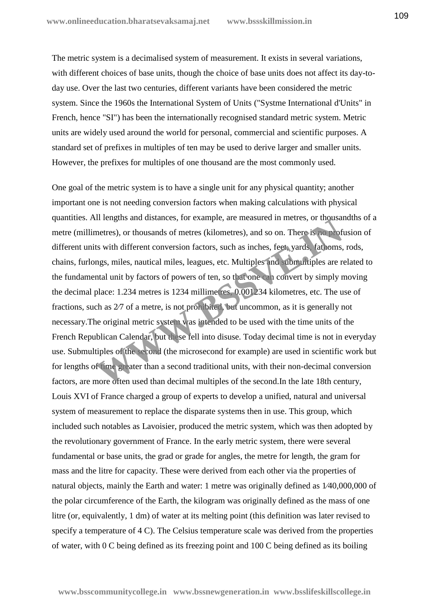The metric system is a decimalised system of measurement. It exists in several variations, with different choices of base units, though the choice of base units does not affect its day-to day use. Over the last two centuries, different variants have been considered the metric system. Since the 1960s the International System of Units ("Systme International d'Units" in French, hence "SI") has been the internationally recognised standard metric system. Metric units are widely used around the world for personal, commercial and scientific purposes. A standard set of prefixes in multiples of ten may be used to derive larger and smaller units. However, the prefixes for multiples of one thousand are the most commonly used.

One goal of the metric system is to have a single unit for any physical quantity; another important one is not needing conversion factors when making calculations with physical quantities. All lengths and distances, for example, are measured in metres, or thousandths of a metre (millimetres), or thousands of metres (kilometres), and so on. There is no profusion of different units with different conversion factors, such as inches, feet, yards, fathoms, rods, chains, furlongs, miles, nautical miles, leagues, etc. Multiples and submultiples are related to the fundamental unit by factors of powers of ten, so that one can convert by simply moving the decimal place: 1.234 metres is 1234 millimetres, 0.001234 kilometres, etc. The use of fractions, such as 2⁄7 of a metre, is not prohibited, but uncommon, as it is generally not necessary.The original metric system was intended to be used with the time units of the French Republican Calendar, but these fell into disuse. Today decimal time is not in everyday use. Submultiples of the second (the microsecond for example) are used in scientific work but for lengths of time greater than a second traditional units, with their non-decimal conversion factors, are more often used than decimal multiples of the second.In the late 18th century, Louis XVI of France charged a group of experts to develop a unified, natural and universal system of measurement to replace the disparate systems then in use. This group, which included such notables as Lavoisier, produced the metric system, which was then adopted by the revolutionary government of France. In the early metric system, there were several fundamental or base units, the grad or grade for angles, the metre for length, the gram for mass and the litre for capacity. These were derived from each other via the properties of natural objects, mainly the Earth and water: 1 metre was originally defined as 1⁄40,000,000 of the polar circumference of the Earth, the kilogram was originally defined as the mass of one litre (or, equivalently, 1 dm) of water at its melting point (this definition was later revised to specify a temperature of 4 C). The Celsius temperature scale was derived from the properties of water, with 0 C being defined as its freezing point and 100 C being defined as its boiling In lengus and ustances, for example, are ineasured in inerties, or updatent<br>metres), or thousands of metres (kilometres), and so on. There is no profit<br>ts with different conversion factors, such as inches, feet, yards, fat

**www.bsscommunitycollege.in www.bssnewgeneration.in www.bsslifeskillscollege.in**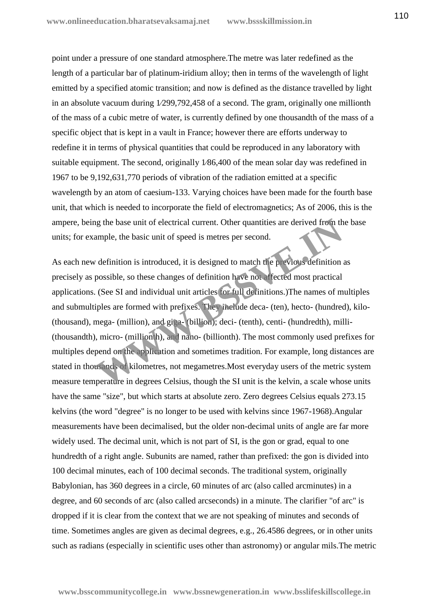point under a pressure of one standard atmosphere.The metre was later redefined as the length of a particular bar of platinum-iridium alloy; then in terms of the wavelength of light emitted by a specified atomic transition; and now is defined as the distance travelled by light in an absolute vacuum during 1⁄299,792,458 of a second. The gram, originally one millionth of the mass of a cubic metre of water, is currently defined by one thousandth of the mass of a specific object that is kept in a vault in France; however there are efforts underway to redefine it in terms of physical quantities that could be reproduced in any laboratory with suitable equipment. The second, originally 1⁄86,400 of the mean solar day was redefined in 1967 to be 9,192,631,770 periods of vibration of the radiation emitted at a specific wavelength by an atom of caesium-133. Varying choices have been made for the fourth base unit, that which is needed to incorporate the field of electromagnetics; As of 2006, this is the ampere, being the base unit of electrical current. Other quantities are derived from the base units; for example, the basic unit of speed is metres per second.

As each new definition is introduced, it is designed to match the previous definition as precisely as possible, so these changes of definition have not affected most practical applications. (See SI and individual unit articles for full definitions.)The names of multiples and submultiples are formed with prefixes. They include deca- (ten), hecto- (hundred), kilo- (thousand), mega- (million), and giga- (billion); deci- (tenth), centi- (hundredth), milli- (thousandth), micro- (millionth), and nano- (billionth). The most commonly used prefixes for multiples depend on the application and sometimes tradition. For example, long distances are stated in thousands of kilometres, not megametres.Most everyday users of the metric system measure temperature in degrees Celsius, though the SI unit is the kelvin, a scale whose units have the same "size", but which starts at absolute zero. Zero degrees Celsius equals 273.15 kelvins (the word "degree" is no longer to be used with kelvins since 1967-1968).Angular measurements have been decimalised, but the older non-decimal units of angle are far more widely used. The decimal unit, which is not part of SI, is the gon or grad, equal to one hundredth of a right angle. Subunits are named, rather than prefixed: the gon is divided into 100 decimal minutes, each of 100 decimal seconds. The traditional system, originally Babylonian, has 360 degrees in a circle, 60 minutes of arc (also called arcminutes) in a degree, and 60 seconds of arc (also called arcseconds) in a minute. The clarifier "of arc" is dropped if it is clear from the context that we are not speaking of minutes and seconds of time. Sometimes angles are given as decimal degrees, e.g., 26.4586 degrees, or in other units such as radians (especially in scientific uses other than astronomy) or angular mils.The metric If the base unit of electrical current. Other quantities are derived from the ample, the basic unit of speed is metres per second.<br> *M* definition is introduced, it is designed to match the previols definition apossible, s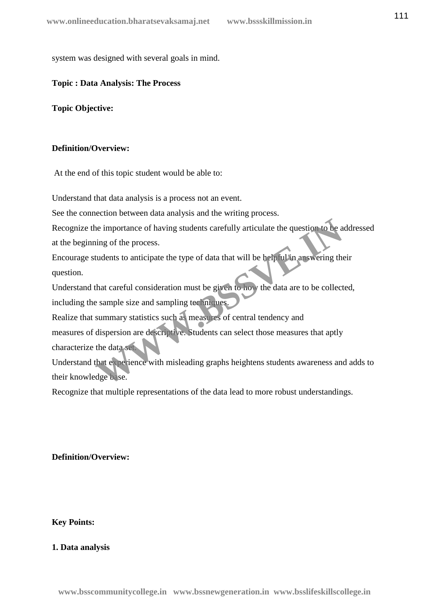system was designed with several goals in mind.

# **Topic : Data Analysis: The Process**

**Topic Objective:**

### **Definition/Overview:**

At the end of this topic student would be able to:

Understand that data analysis is a process not an event.

See the connection between data analysis and the writing process.

 Recognize the importance of having students carefully articulate the question to be addressed at the beginning of the process. The importance of having students carefully articulate the question to be a<br>ting of the process.<br>tudents to anticipate the type of data that will be help **M** in answering the<br>that careful consideration must be given to how

 Encourage students to anticipate the type of data that will be helpful in answering their question.

Understand that careful consideration must be given to how the data are to be collected,

including the sample size and sampling techniques.

Realize that summary statistics such as measures of central tendency and

 measures of dispersion are descriptive. Students can select those measures that aptly characterize the data set.

 Understand that experience with misleading graphs heightens students awareness and adds to their knowledge base.

Recognize that multiple representations of the data lead to more robust understandings.

### **Definition/Overview:**

**Key Points:**

#### **1. Data analysis**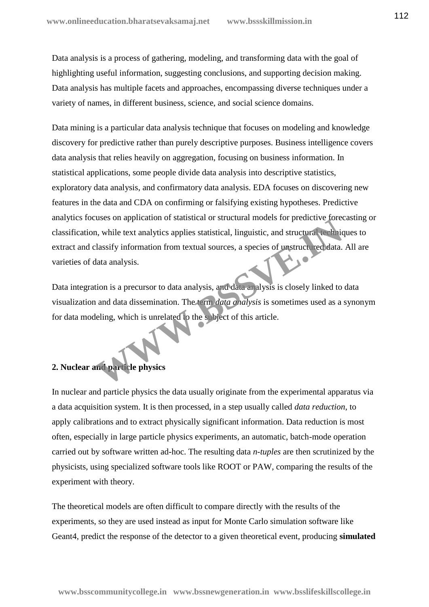Data analysis is a process of gathering, modeling, and transforming data with the goal of highlighting useful information, suggesting conclusions, and supporting decision making. Data analysis has multiple facets and approaches, encompassing diverse techniques under a variety of names, in different business, science, and social science domains.

Data mining is a particular data analysis technique that focuses on modeling and knowledge discovery for predictive rather than purely descriptive purposes. Business intelligence covers data analysis that relies heavily on aggregation, focusing on business information. In statistical applications, some people divide data analysis into descriptive statistics, exploratory data analysis, and confirmatory data analysis. EDA focuses on discovering new features in the data and CDA on confirming or falsifying existing hypotheses. Predictive analytics focuses on application of statistical or structural models for predictive forecasting or classification, while text analytics applies statistical, linguistic, and structural techniques to extract and classify information from textual sources, a species of unstructured data. All are varieties of data analysis. the extra analytics applies statistical, linguistic, and structural technical<br>assify information from textual sources, a species of *unstructured data*.<br>Idas analysis.<br>Idas analysis.<br>Idas analysis.<br>Idas analysis.<br>Idas anal

Data integration is a precursor to data analysis, and data analysis is closely linked to data visualization and data dissemination. The term *data analysis* is sometimes used as a synonym for data modeling, which is unrelated to the subject of this article.

# **2. Nuclear and particle physics**

In nuclear and particle physics the data usually originate from the experimental apparatus via a data acquisition system. It is then processed, in a step usually called *data reduction*, to apply calibrations and to extract physically significant information. Data reduction is most often, especially in large particle physics experiments, an automatic, batch-mode operation carried out by software written ad-hoc. The resulting data *n-tuples* are then scrutinized by the physicists, using specialized software tools like ROOT or PAW, comparing the results of the experiment with theory.

The theoretical models are often difficult to compare directly with the results of the experiments, so they are used instead as input for Monte Carlo simulation software like Geant4, predict the response of the detector to a given theoretical event, producing **simulated**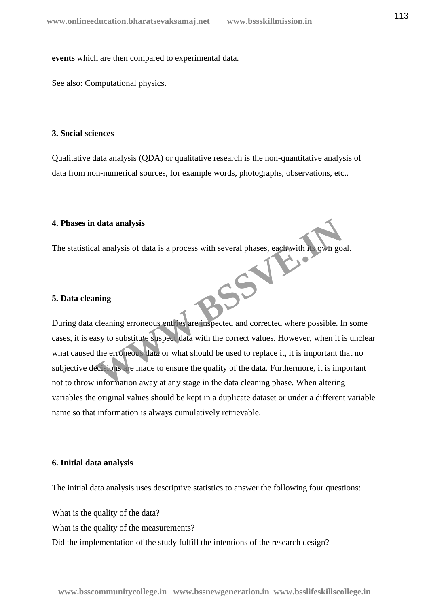**events** which are then compared to experimental data.

See also: Computational physics.

#### **3. Social sciences**

Qualitative data analysis (QDA) or qualitative research is the non-quantitative analysis of data from non-numerical sources, for example words, photographs, observations, etc..

### **4. Phases in data analysis**

The statistical analysis of data is a process with several phases, each with its own goal.

#### **5. Data cleaning**

During data cleaning erroneous entries are inspected and corrected where possible. In some cases, it is easy to substitute suspect data with the correct values. However, when it is unclear what caused the erroneous data or what should be used to replace it, it is important that no subjective decisions are made to ensure the quality of the data. Furthermore, it is important not to throw information away at any stage in the data cleaning phase. When altering variables the original values should be kept in a duplicate dataset or under a different variable name so that information is always cumulatively retrievable. **Example 3** analysis of data is a process with several phases, each with its own got<br>
analysis of data is a process with several phases, each with its own got<br>
ming<br>
cleaning erroneous entries are inspected and corrected w

#### **6. Initial data analysis**

The initial data analysis uses descriptive statistics to answer the following four questions:

What is the quality of the data?

What is the quality of the measurements?

Did the implementation of the study fulfill the intentions of the research design?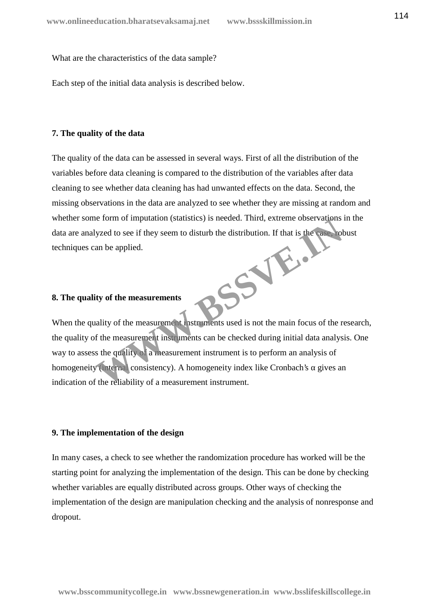What are the characteristics of the data sample?

Each step of the initial data analysis is described below.

# **7. The quality of the data**

The quality of the data can be assessed in several ways. First of all the distribution of the variables before data cleaning is compared to the distribution of the variables after data cleaning to see whether data cleaning has had unwanted effects on the data. Second, the missing observations in the data are analyzed to see whether they are missing at random and whether some form of imputation (statistics) is needed. Third, extreme observations in the data are analyzed to see if they seem to disturb the distribution. If that is the case, robust techniques can be applied. **WWW.BSSVE.IN**

#### **8. The quality of the measurements**

When the quality of the measurement instruments used is not the main focus of the research, the quality of the measurement instruments can be checked during initial data analysis. One way to assess the quality of a measurement instrument is to perform an analysis of homogeneity (internal consistency). A homogeneity index like Cronbach's gives an indication of the reliability of a measurement instrument.

## **9. The implementation of the design**

In many cases, a check to see whether the randomization procedure has worked will be the starting point for analyzing the implementation of the design. This can be done by checking whether variables are equally distributed across groups. Other ways of checking the implementation of the design are manipulation checking and the analysis of nonresponse and dropout.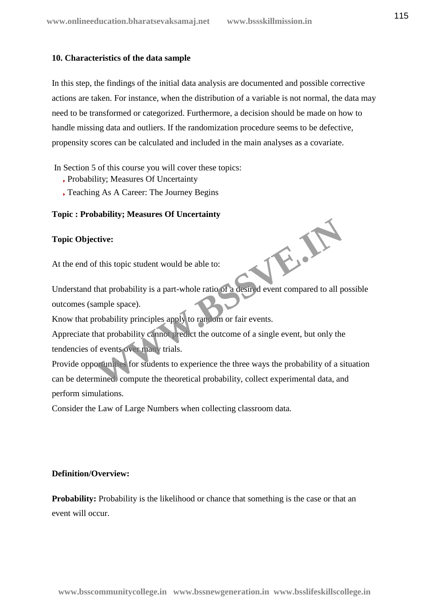# **10. Characteristics of the data sample**

In this step, the findings of the initial data analysis are documented and possible corrective actions are taken. For instance, when the distribution of a variable is not normal, the data may need to be transformed or categorized. Furthermore, a decision should be made on how to handle missing data and outliers. If the randomization procedure seems to be defective, propensity scores can be calculated and included in the main analyses as a covariate.

In Section 5 of this course you will cover these topics:

- Probability; Measures Of Uncertainty
- Teaching As A Career: The Journey Begins

# **Topic : Probability; Measures Of Uncertainty**

# **Topic Objective:**

At the end of this topic student would be able to:

 Understand that probability is a part-whole ratio of a desired event compared to all possible outcomes (sample space).

 $R_{\rm B}$ 

Know that probability principles apply to random or fair events.

 Appreciate that probability cannot predict the outcome of a single event, but only the tendencies of events over many trials.

 Provide opportunities for students to experience the three ways the probability of a situation can be determined: compute the theoretical probability, collect experimental data, and perform simulations.

Consider the Law of Large Numbers when collecting classroom data.

#### **Definition/Overview:**

**Probability:** Probability is the likelihood or chance that something is the case or that an event will occur.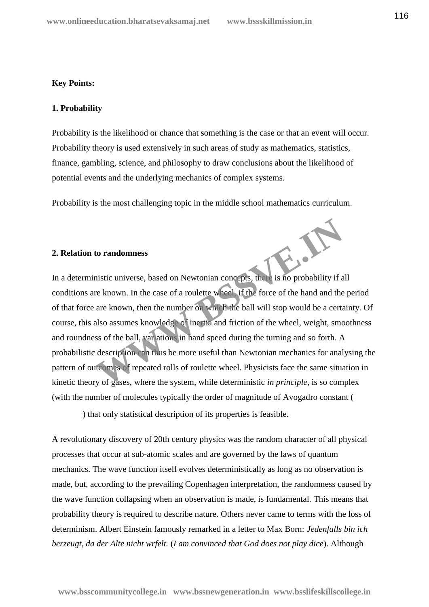# **Key Points:**

### **1. Probability**

Probability is the likelihood or chance that something is the case or that an event will occur. Probability theory is used extensively in such areas of study as mathematics, statistics, finance, gambling, science, and philosophy to draw conclusions about the likelihood of potential events and the underlying mechanics of complex systems.

Probability is the most challenging topic in the middle school mathematics curriculum.

# **2. Relation to randomness**

2. Relation to randomness<br>In a deterministic universe, based on Newtonian concepts, there is no probability if all conditions are known. In the case of a roulette wheel, if the force of the hand and the period of that force are known, then the number on which the ball will stop would be a certainty. Of course, this also assumes knowledge of inertia and friction of the wheel, weight, smoothness and roundness of the ball, variations in hand speed during the turning and so forth. A probabilistic description can thus be more useful than Newtonian mechanics for analysing the pattern of outcomes of repeated rolls of roulette wheel. Physicists face the same situation in kinetic theory of gases, where the system, while deterministic *in principle*, is so complex (with the number of molecules typically the order of magnitude of Avogadro constant ( to randomness<br>
instic universe, based on Newtonian concepts, there is no probability if a<br>
re known. In the case of a roulette wheel, if the force of the hand and the<br>
are known, then the number on which the ball will stop

) that only statistical description of its properties is feasible.

A revolutionary discovery of 20th century physics was the random character of all physical processes that occur at sub-atomic scales and are governed by the laws of quantum mechanics. The wave function itself evolves deterministically as long as no observation is made, but, according to the prevailing Copenhagen interpretation, the randomness caused by the wave function collapsing when an observation is made, is fundamental. This means that probability theory is required to describe nature. Others never came to terms with the loss of determinism. Albert Einstein famously remarked in a letter to Max Born: *Jedenfalls bin ich berzeugt, da der Alte nicht wrfelt.* (*I am convinced that God does not play dice*). Although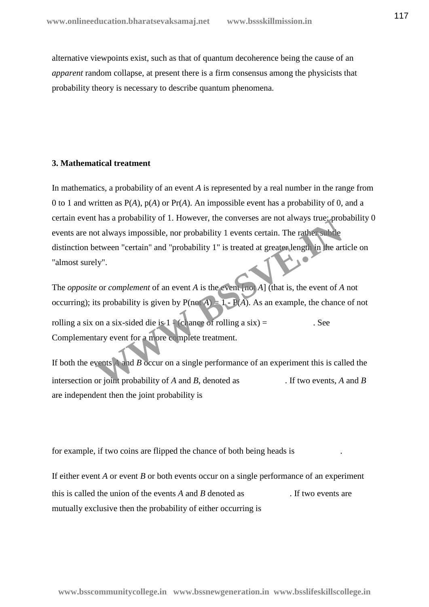alternative viewpoints exist, such as that of quantum decoherence being the cause of an *apparent* random collapse, at present there is a firm consensus among the physicists that probability theory is necessary to describe quantum phenomena.

# **3. Mathematical treatment**

In mathematics, a probability of an event *A* is represented by a real number in the range from 0 to 1 and written as P(*A*), p(*A*) or Pr(*A*). An impossible event has a probability of 0, and a certain event has a probability of 1. However, the converses are not always true: probability 0 events are not always impossible, nor probability 1 events certain. The rather subtle distinction between "certain" and "probability 1" is treated at greater length in the article on "almost surely".

The *opposite* or *complement* of an event *A* is the event [not *A*] (that is, the event of *A* not occurring); its probability is given by  $P(\text{not } A) = 1 - P(A)$ . As an example, the chance of not rolling a six on a six-sided die is  $\Gamma$ <sub>T</sub> (chance of rolling a six) = . See Complementary event for a more complete treatment. The article is the converted as the convergence of an experiment this is called a greater length in the art dy".<br>
By".<br>
We can complement of an event A is the event through  $A$ ] (that is, the event of A<br>
ts probability is

If both the events *A* and *B* occur on a single performance of an experiment this is called the intersection or joint probability of *A* and *B*, denoted as . If two events, *A* and *B* are independent then the joint probability is

for example, if two coins are flipped the chance of both being heads is

If either event *A* or event *B* or both events occur on a single performance of an experiment this is called the union of the events *A* and *B* denoted as . If two events are mutually exclusive then the probability of either occurring is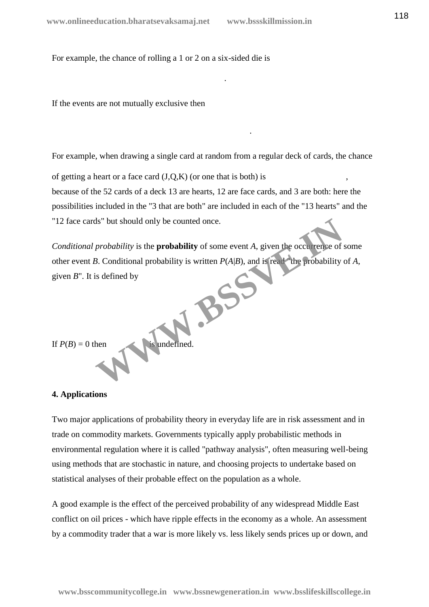.

For example, the chance of rolling a 1 or 2 on a six-sided die is

If the events are not mutually exclusive then

For example, when drawing a single card at random from a regular deck of cards, the chance of getting a heart or a face card  $(J,Q,K)$  (or one that is both) is because of the 52 cards of a deck 13 are hearts, 12 are face cards, and 3 are both: here the possibilities included in the "3 that are both" are included in each of the "13 hearts" and the "12 face cards" but should only be counted once.

.

*Conditional probability* is the **probability** of some event *A*, given the occurrence of some other event *B*. Conditional probability is written *P*(*A*|*B*), and is read "the probability of *A*, given *B*". It is defined by  $B^{S5}$ 

If  $P(B) = 0$  then **is undefined.** 

#### **4. Applications**

Two major applications of probability theory in everyday life are in risk assessment and in trade on commodity markets. Governments typically apply probabilistic methods in environmental regulation where it is called "pathway analysis", often measuring well-being using methods that are stochastic in nature, and choosing projects to undertake based on statistical analyses of their probable effect on the population as a whole.

A good example is the effect of the perceived probability of any widespread Middle East conflict on oil prices - which have ripple effects in the economy as a whole. An assessment by a commodity trader that a war is more likely vs. less likely sends prices up or down, and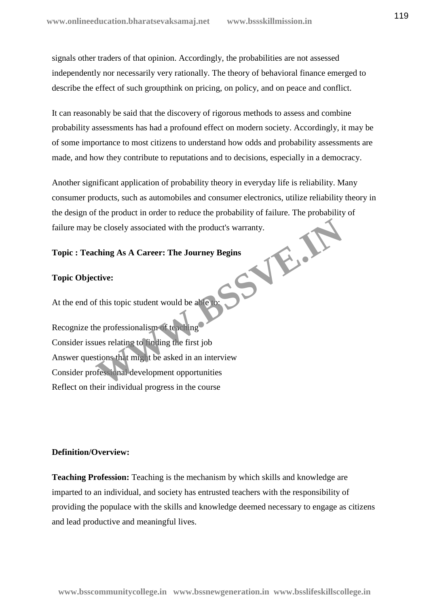signals other traders of that opinion. Accordingly, the probabilities are not assessed independently nor necessarily very rationally. The theory of behavioral finance emerged to describe the effect of such groupthink on pricing, on policy, and on peace and conflict.

It can reasonably be said that the discovery of rigorous methods to assess and combine probability assessments has had a profound effect on modern society. Accordingly, it may be of some importance to most citizens to understand how odds and probability assessments are made, and how they contribute to reputations and to decisions, especially in a democracy.

Another significant application of probability theory in everyday life is reliability. Many consumer products, such as automobiles and consumer electronics, utilize reliability theory in the design of the product in order to reduce the probability of failure. The probability of failure may be closely associated with the product's warranty. **WWW.BSSVE.IN**

# **Topic : Teaching As A Career: The Journey Begins**

# **Topic Objective:**

At the end of this topic student would be able to:

 Recognize the professionalism of teaching Consider issues relating to finding the first job Answer questions that might be asked in an interview Consider professional development opportunities Reflect on their individual progress in the course

# **Definition/Overview:**

**Teaching Profession:** Teaching is the mechanism by which skills and knowledge are imparted to an individual, and society has entrusted teachers with the responsibility of providing the populace with the skills and knowledge deemed necessary to engage as citizens and lead productive and meaningful lives.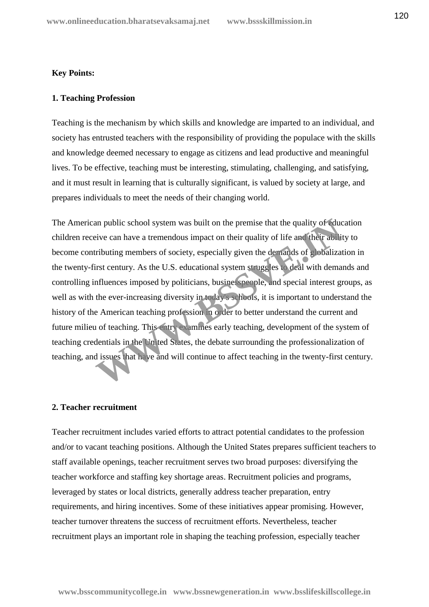# **Key Points:**

# **1. Teaching Profession**

Teaching is the mechanism by which skills and knowledge are imparted to an individual, and society has entrusted teachers with the responsibility of providing the populace with the skills and knowledge deemed necessary to engage as citizens and lead productive and meaningful lives. To be effective, teaching must be interesting, stimulating, challenging, and satisfying, and it must result in learning that is culturally significant, is valued by society at large, and prepares individuals to meet the needs of their changing world.

The American public school system was built on the premise that the quality of education children receive can have a tremendous impact on their quality of life and their ability to become contributing members of society, especially given the demands of globalization in the twenty-first century. As the U.S. educational system struggles to deal with demands and controlling influences imposed by politicians, businesspeople, and special interest groups, as well as with the ever-increasing diversity in today's schools, it is important to understand the history of the American teaching profession in order to better understand the current and future milieu of teaching. This entry examines early teaching, development of the system of teaching credentials in the United States, the debate surrounding the professionalization of teaching, and issues that have and will continue to affect teaching in the twenty-first century. an public school system was built on the premise that the quality of educe<br>ive can have a tremendous impact on their quality of life and their abilit<br>rithouting members of society, especially given the de nands of globaliz

# **2. Teacher recruitment**

Teacher recruitment includes varied efforts to attract potential candidates to the profession and/or to vacant teaching positions. Although the United States prepares sufficient teachers to staff available openings, teacher recruitment serves two broad purposes: diversifying the teacher workforce and staffing key shortage areas. Recruitment policies and programs, leveraged by states or local districts, generally address teacher preparation, entry requirements, and hiring incentives. Some of these initiatives appear promising. However, teacher turnover threatens the success of recruitment efforts. Nevertheless, teacher recruitment plays an important role in shaping the teaching profession, especially teacher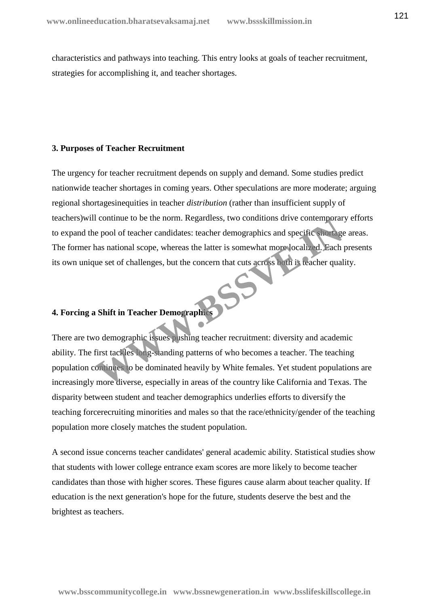characteristics and pathways into teaching. This entry looks at goals of teacher recruitment, strategies for accomplishing it, and teacher shortages.

# **3. Purposes of Teacher Recruitment**

The urgency for teacher recruitment depends on supply and demand. Some studies predict nationwide teacher shortages in coming years. Other speculations are more moderate; arguing regional shortagesinequities in teacher *distribution* (rather than insufficient supply of teachers)will continue to be the norm. Regardless, two conditions drive contemporary efforts to expand the pool of teacher candidates: teacher demographics and specific shortage areas. The former has national scope, whereas the latter is somewhat more localized. Each presents its own unique set of challenges, but the concern that cuts across both is teacher quality.

# **4. Forcing a Shift in Teacher Demographics**

There are two demographic issues pushing teacher recruitment: diversity and academic ability. The first tackles long-standing patterns of who becomes a teacher. The teaching population continues to be dominated heavily by White females. Yet student populations are increasingly more diverse, especially in areas of the country like California and Texas. The disparity between student and teacher demographics underlies efforts to diversify the teaching forcerecruiting minorities and males so that the race/ethnicity/gender of the teaching population more closely matches the student population. From the total tender candidates: teacher demographics and specific shortage<br>and national scope, whereas the latter is somewhat more localized. Each<br>ue set of challenges, but the concern that cuts across both is teacher qu

A second issue concerns teacher candidates' general academic ability. Statistical studies show that students with lower college entrance exam scores are more likely to become teacher candidates than those with higher scores. These figures cause alarm about teacher quality. If education is the next generation's hope for the future, students deserve the best and the brightest as teachers.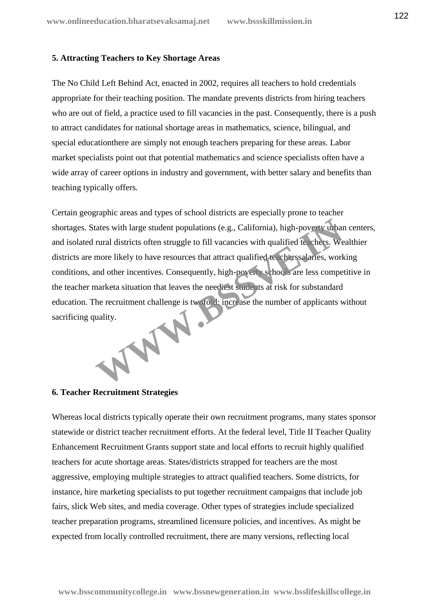# **5. Attracting Teachers to Key Shortage Areas**

The No Child Left Behind Act, enacted in 2002, requires all teachers to hold credentials appropriate for their teaching position. The mandate prevents districts from hiring teachers who are out of field, a practice used to fill vacancies in the past. Consequently, there is a push to attract candidates for national shortage areas in mathematics, science, bilingual, and special educationthere are simply not enough teachers preparing for these areas. Labor market specialists point out that potential mathematics and science specialists often have a wide array of career options in industry and government, with better salary and benefits than teaching typically offers.

Certain geographic areas and types of school districts are especially prone to teacher shortages. States with large student populations (e.g., California), high-poverty urban centers, and isolated rural districts often struggle to fill vacancies with qualified teachers. Wealthier districts are more likely to have resources that attract qualified teacherssalaries, working conditions, and other incentives. Consequently, high-poverty schools are less competitive in the teacher marketa situation that leaves the neediest students at risk for substandard education. The recruitment challenge is twofold: increase the number of applicants without sacrificing quality. WWW.BSG

# **6. Teacher Recruitment Strategies**

Whereas local districts typically operate their own recruitment programs, many states sponsor statewide or district teacher recruitment efforts. At the federal level, Title II Teacher Quality Enhancement Recruitment Grants support state and local efforts to recruit highly qualified teachers for acute shortage areas. States/districts strapped for teachers are the most aggressive, employing multiple strategies to attract qualified teachers. Some districts, for instance, hire marketing specialists to put together recruitment campaigns that include job fairs, slick Web sites, and media coverage. Other types of strategies include specialized teacher preparation programs, streamlined licensure policies, and incentives. As might be expected from locally controlled recruitment, there are many versions, reflecting local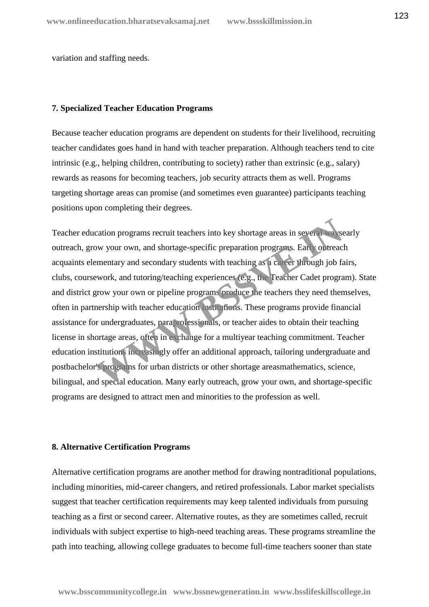variation and staffing needs.

### **7. Specialized Teacher Education Programs**

Because teacher education programs are dependent on students for their livelihood, recruiting teacher candidates goes hand in hand with teacher preparation. Although teachers tend to cite intrinsic (e.g., helping children, contributing to society) rather than extrinsic (e.g., salary) rewards as reasons for becoming teachers, job security attracts them as well. Programs targeting shortage areas can promise (and sometimes even guarantee) participants teaching positions upon completing their degrees.

Teacher education programs recruit teachers into key shortage areas in several waysearly outreach, grow your own, and shortage-specific preparation programs. Early outreach acquaints elementary and secondary students with teaching as a career through job fairs, clubs, coursework, and tutoring/teaching experiences (e.g., the Teacher Cadet program). State and district grow your own or pipeline programs produce the teachers they need themselves, often in partnership with teacher education institutions. These programs provide financial assistance for undergraduates, paraprofessionals, or teacher aides to obtain their teaching license in shortage areas, often in exchange for a multiyear teaching commitment. Teacher education institutions increasingly offer an additional approach, tailoring undergraduate and postbachelor's programs for urban districts or other shortage areasmathematics, science, bilingual, and special education. Many early outreach, grow your own, and shortage-specific programs are designed to attract men and minorities to the profession as well. cation programs recruit teachers into key shortage areas in several ways<br>ow your own, and shortage-specific preparation programs. Early outreace<br>ementary and secondary students with teaching as a career through job fa<br>ewor

### **8. Alternative Certification Programs**

Alternative certification programs are another method for drawing nontraditional populations, including minorities, mid-career changers, and retired professionals. Labor market specialists suggest that teacher certification requirements may keep talented individuals from pursuing teaching as a first or second career. Alternative routes, as they are sometimes called, recruit individuals with subject expertise to high-need teaching areas. These programs streamline the path into teaching, allowing college graduates to become full-time teachers sooner than state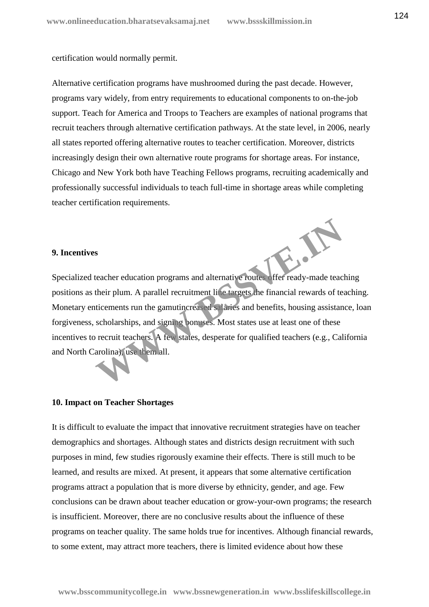certification would normally permit.

Alternative certification programs have mushroomed during the past decade. However, programs vary widely, from entry requirements to educational components to on-the-job support. Teach for America and Troops to Teachers are examples of national programs that recruit teachers through alternative certification pathways. At the state level, in 2006, nearly all states reported offering alternative routes to teacher certification. Moreover, districts increasingly design their own alternative route programs for shortage areas. For instance, Chicago and New York both have Teaching Fellows programs, recruiting academically and professionally successful individuals to teach full-time in shortage areas while completing teacher certification requirements.

### **9. Incentives**

Specialized teacher education programs and alternative routes offer ready-made teaching positions as their plum. A parallel recruitment line targets the financial rewards of teaching. Monetary enticements run the gamutincreased salaries and benefits, housing assistance, loan forgiveness, scholarships, and signing bonuses. Most states use at least one of these incentives to recruit teachers. A few states, desperate for qualified teachers (e.g., California and North Carolina), use them all. Exercite education programs and alternative routes. The ready-made teach<br>their plum. A parallel recruitment life targets the financial rewards of te<br>titicements run the gamutincreased salaries and benefits, housing assista

# **10. Impact on Teacher Shortages**

It is difficult to evaluate the impact that innovative recruitment strategies have on teacher demographics and shortages. Although states and districts design recruitment with such purposes in mind, few studies rigorously examine their effects. There is still much to be learned, and results are mixed. At present, it appears that some alternative certification programs attract a population that is more diverse by ethnicity, gender, and age. Few conclusions can be drawn about teacher education or grow-your-own programs; the research is insufficient. Moreover, there are no conclusive results about the influence of these programs on teacher quality. The same holds true for incentives. Although financial rewards, to some extent, may attract more teachers, there is limited evidence about how these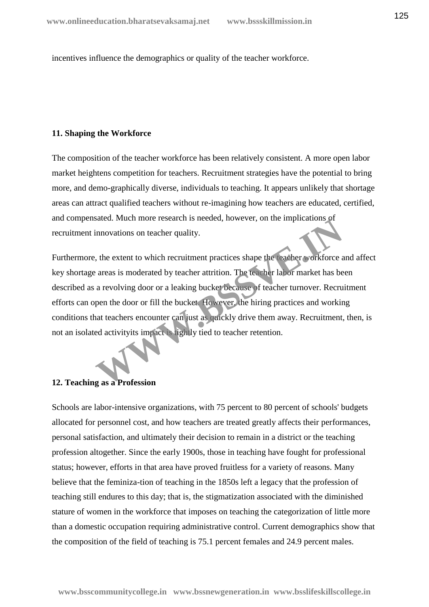incentives influence the demographics or quality of the teacher workforce.

# **11. Shaping the Workforce**

The composition of the teacher workforce has been relatively consistent. A more open labor market heightens competition for teachers. Recruitment strategies have the potential to bring more, and demo-graphically diverse, individuals to teaching. It appears unlikely that shortage areas can attract qualified teachers without re-imagining how teachers are educated, certified, and compensated. Much more research is needed, however, on the implications of recruitment innovations on teacher quality.

Furthermore, the extent to which recruitment practices shape the teacher workforce and affect key shortage areas is moderated by teacher attrition. The teacher labor market has been described as a revolving door or a leaking bucket because of teacher turnover. Recruitment efforts can open the door or fill the bucket. However, the hiring practices and working conditions that teachers encounter can just as quickly drive them away. Recruitment, then, is not an isolated activityits impact is tightly tied to teacher retention. and the extent to which recruitment practices shape the value workforce a<br>
areas is moderated by teacher attrition. The teacher vorkforce a<br>
areas is moderated by teacher attrition. The teacher labor market has be<br>
a revol

### **12. Teaching as a Profession**

Schools are labor-intensive organizations, with 75 percent to 80 percent of schools' budgets allocated for personnel cost, and how teachers are treated greatly affects their performances, personal satisfaction, and ultimately their decision to remain in a district or the teaching profession altogether. Since the early 1900s, those in teaching have fought for professional status; however, efforts in that area have proved fruitless for a variety of reasons. Many believe that the feminiza-tion of teaching in the 1850s left a legacy that the profession of teaching still endures to this day; that is, the stigmatization associated with the diminished stature of women in the workforce that imposes on teaching the categorization of little more than a domestic occupation requiring administrative control. Current demographics show that the composition of the field of teaching is 75.1 percent females and 24.9 percent males.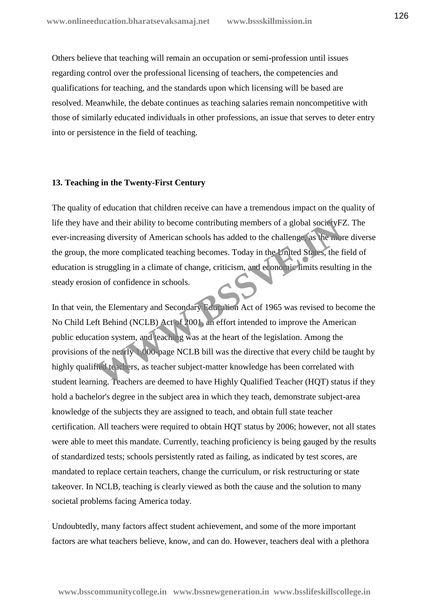Others believe that teaching will remain an occupation or semi-profession until issues regarding control over the professional licensing of teachers, the competencies and qualifications for teaching, and the standards upon which licensing will be based are resolved. Meanwhile, the debate continues as teaching salaries remain noncompetitive with those of similarly educated individuals in other professions, an issue that serves to deter entry into or persistence in the field of teaching.

#### **13. Teaching in the Twenty-First Century**

The quality of education that children receive can have a tremendous impact on the quality of life they have and their ability to become contributing members of a global societyFZ. The ever-increasing diversity of American schools has added to the challenge, as the more diverse the group, the more complicated teaching becomes. Today in the United States, the field of education is struggling in a climate of change, criticism, and economic limits resulting in the steady erosion of confidence in schools.

In that vein, the Elementary and Secondary Education Act of 1965 was revised to become the No Child Left Behind (NCLB) Act of 2001, an effort intended to improve the American public education system, and teaching was at the heart of the legislation. Among the provisions of the nearly 1,000-page NCLB bill was the directive that every child be taught by highly qualified teachers, as teacher subject-matter knowledge has been correlated with student learning. Teachers are deemed to have Highly Qualified Teacher (HQT) status if they hold a bachelor's degree in the subject area in which they teach, demonstrate subject-area knowledge of the subjects they are assigned to teach, and obtain full state teacher certification. All teachers were required to obtain HQT status by 2006; however, not all states were able to meet this mandate. Currently, teaching proficiency is being gauged by the results of standardized tests; schools persistently rated as failing, as indicated by test scores, are mandated to replace certain teachers, change the curriculum, or risk restructuring or state takeover. In NCLB, teaching is clearly viewed as both the cause and the solution to many societal problems facing America today. e and their ability to become contributing members of a global societyFity and diversity of American schools has added to the challenge as the more complicated teaching becomes. Today in the United States, the f struggling

Undoubtedly, many factors affect student achievement, and some of the more important factors are what teachers believe, know, and can do. However, teachers deal with a plethora